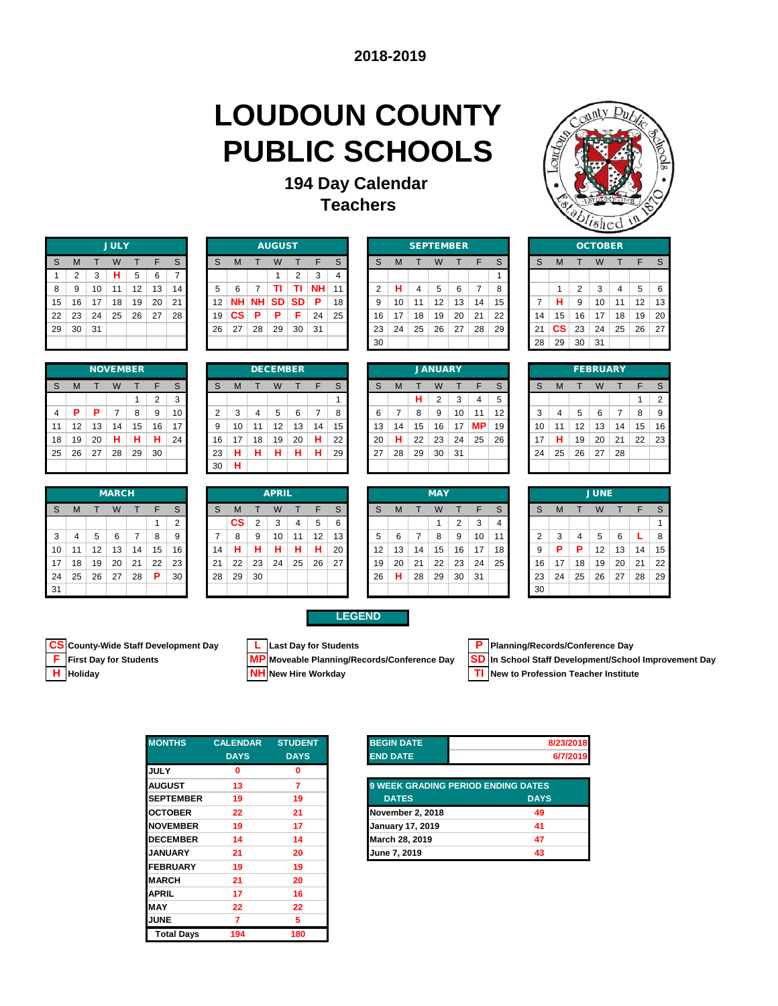### **LOUDOUN COUNTY PUBLIC SCHOOLS**

### **194 Day Calendar Teachers**



|    |    |    | <b>JULY</b> |    |    |                 |    |    |           | <b>AUGUST</b> |    |    |    |                |    |    | <b>SEPTEMBER</b> |    |    |    |    |    |        | <b>OCTOBER</b> |    |    |    |
|----|----|----|-------------|----|----|-----------------|----|----|-----------|---------------|----|----|----|----------------|----|----|------------------|----|----|----|----|----|--------|----------------|----|----|----|
| -S | м  |    | W           |    | F  | S               | S  | м  |           |               |    |    | S  | S              | м  |    | W                |    | F  |    | S  | м  |        |                |    |    |    |
|    | ◠  | 3  | н           | 5  | 6  |                 |    |    |           |               | 2  | 3  | 4  |                |    |    |                  |    |    |    |    |    |        |                |    |    |    |
| -8 | 9  | 10 | 11          | 12 | 13 | 14 <sub>h</sub> | 5  | 6  |           |               | ΤI | NΗ |    | $\overline{2}$ | н  | 4  | 5                | 6  |    | 8  |    |    | $\sim$ | 3              | 4  | 5  | 6  |
| 15 | 16 | 17 | 18          | 19 | 20 | 21              | 12 | NΗ | <b>NH</b> | <b>SD</b>     | SD | P  | 18 | 9              | 10 | 11 | 12               | 13 | 14 | 15 |    | н  | 9      | 10             | 11 | 12 | 13 |
| 22 | 23 | 24 | 25          | 26 | 27 | 28              | 19 | СS | P         | Р             | F  | 24 | 25 | 16             | 17 | 18 | 19               | 20 | 21 | 22 | 14 | 15 | 16     | 17             | 18 | 19 | 20 |
| 29 | 30 | 31 |             |    |    |                 | 26 | 27 | 28        | 29            | 30 | 31 |    | 23             | 24 | 25 | 26               | 27 | 28 | 29 | 21 | СS | 23     | 24             | 25 | 26 | 27 |
|    |    |    |             |    |    |                 |    |    |           |               |    |    |    | 30             |    |    |                  |    |    |    | 28 | 29 | 30     | 31             |    |    |    |

|                |    |    | <b>NOVEMBER</b> |    |                |    |
|----------------|----|----|-----------------|----|----------------|----|
| S              | M  |    | W               | т  | F              | S  |
|                |    |    |                 | 1  | $\overline{2}$ | 3  |
| $\overline{4}$ | P  | Ρ  | $\overline{7}$  | 8  | 9              | 10 |
| 11             | 12 | 13 | 14              | 15 | 16             | 17 |
| 18             | 19 | 20 | н               | н  | н              | 24 |
| 25             | 26 | 27 | 28              | 29 | 30             |    |
|                |    |    |                 |    |                |    |

|    |    |    | <b>MARCH</b> |    |    |    |    |    |    | <b>APRIL</b> |    |    |    |    |    |    | <b>MAY</b> |    |    |    |
|----|----|----|--------------|----|----|----|----|----|----|--------------|----|----|----|----|----|----|------------|----|----|----|
| S  | м  |    | W            |    |    | S  | S  | М  |    | W            |    |    | S  | S  | М  |    | W          |    |    | S  |
|    |    |    |              |    |    | ◠  |    | СS | っ  | 3            | 4  | 5  | 6  |    |    |    |            | າ  | 3  | 4  |
| 3  | 4  | 5  | 6            |    | 8  | 9  |    | 8  | 9  | 10           | 11 | 12 | 13 | 5  | 6  | ⇁  | 8          | 9  | 10 | 11 |
| 10 | 11 | 12 | 13           | 14 | 15 | 16 | 14 | н  | н  | Н            | н  | н  | 20 | 12 | 13 | 14 | 15         | 16 | 17 | 18 |
| 17 | 18 | 19 | 20           | 21 | 22 | 23 | 21 | 22 | 23 | 24           | 25 | 26 | 27 | 19 | 20 | 21 | 22         | 23 | 24 | 25 |
| 24 | 25 | 26 | 27           | 28 | P  | 30 | 28 | 29 | 30 |              |    |    |    | 26 | н  | 28 | 29         | 30 | 31 |    |
| 31 |    |    |              |    |    |    |    |    |    |              |    |    |    |    |    |    |            |    |    |    |

| <b>JULY</b> |    |    |    |    |           |      | <b>AUGUST</b> |           |    |                 |
|-------------|----|----|----|----|-----------|------|---------------|-----------|----|-----------------|
| W           |    |    | S  | S  | м         |      | W             |           |    | S               |
| н           | 5  | 6  | –  |    |           |      |               |           |    | 4               |
| 11          | 12 | 13 | 14 | 5  | ี         |      |               |           | NΗ | 11              |
| 18          | 19 | 20 | 21 | 12 | NH I      | 'NH. | <b>SD</b>     | <b>SD</b> | P  | 18              |
| 25          | 26 | 27 | 28 | 19 | <b>CS</b> | P    | D             |           | 24 | 25 <sub>1</sub> |
|             |    |    |    | 26 | 27        | 28   | 29            | 30        | 31 |                 |
|             |    |    |    |    |           |      |               |           |    |                 |

| S.      | M  |    | W                |    |    | S. | S  | М         |           | W               |           |           | <sub>S</sub>    | S  | M  |    | W                |    |    | S  | S  | м         |                 | W                |    |    | S              |
|---------|----|----|------------------|----|----|----|----|-----------|-----------|-----------------|-----------|-----------|-----------------|----|----|----|------------------|----|----|----|----|-----------|-----------------|------------------|----|----|----------------|
|         | 2  | 3  | н                | 5  | 6  |    |    |           |           |                 | 2         | 3         | 4               |    |    |    |                  |    |    |    |    |           |                 |                  |    |    |                |
| 8       | 9  | 10 | 11               | 12 | 13 | 14 | 5  | 6         |           | ΤI              | ΤL        | <b>NH</b> |                 | 2  | н  | 4  | 5                | 6  | 7  | 8  |    |           | 2               | 3                | 4  | 5  | 6              |
| 15      | 16 | 17 | 18               | 19 | 20 | 21 | 12 | <b>NH</b> | <b>NH</b> | <b>SD</b>       | <b>SD</b> | P         | 18 <sup>1</sup> |    | 10 | 11 | 12               | 13 | 14 | 15 |    | н         | 9               | 10               | 11 | 12 | $\ddot{ }$     |
| $22 \,$ | 23 | 24 | 25               | 26 | 27 | 28 | 19 | <b>CS</b> | P         | P.              | F         | 24        | 25              | 16 | 17 | 18 | 19               | 20 | 21 | 22 | 14 | 15        | 16              | 17               | 18 | 19 | $\overline{2}$ |
| 29.     | 30 | 31 |                  |    |    |    | 26 | 27        | 28        | 29              | 30        | 31        |                 | 23 | 24 | 25 | 26               | 27 | 28 | 29 | 21 | <b>CS</b> | 23              | 24               | 25 | 26 | $\overline{2}$ |
|         |    |    |                  |    |    |    |    |           |           |                 |           |           |                 | 30 |    |    |                  |    |    |    | 28 | 29        | 30 <sup>2</sup> | 31               |    |    |                |
|         |    |    |                  |    |    |    |    |           |           |                 |           |           |                 |    |    |    |                  |    |    |    |    |           |                 |                  |    |    |                |
|         |    |    | <b>NIOVEMBED</b> |    |    |    |    |           |           | <b>DECEMBED</b> |           |           |                 |    |    |    | <b>IANILIADV</b> |    |    |    |    |           |                 | <b>EEDDIIADV</b> |    |    |                |

|                |    |    |    | <b>NOVEMBER</b> |    |    |    |    |    | <b>DECEMBER</b> |    |    |                 |                 |    |                 | <b>JANUARY</b> |    |           |    |    |    |    | <b>FEBRUARY</b> |    |                 |                |
|----------------|----|----|----|-----------------|----|----|----|----|----|-----------------|----|----|-----------------|-----------------|----|-----------------|----------------|----|-----------|----|----|----|----|-----------------|----|-----------------|----------------|
| s              | M  |    | W  |                 |    | S  | S  | м  |    | W               |    |    | S               |                 | M  |                 | W              |    |           | S  |    | M  |    | W               |    |                 |                |
|                |    |    |    |                 | 2  | 3  |    |    |    |                 |    |    |                 |                 |    | н               | 2              | 3  | 4         | 5  |    |    |    |                 |    |                 | $\overline{2}$ |
| $\overline{4}$ | P  | P  |    | 8               | 9  | 10 | 2  | 3  | 4  | 5               | 6  |    | 8               |                 |    | 8               | 9              | 10 | 11        | 12 | 3  | 4  | 5  | 6               |    | 8               | -9             |
| 11             | 12 | 13 | 14 | 15              | 16 | 17 | 9  | 10 | 11 | 12              | 13 | 14 | 15 <sup>1</sup> | 13 <sup>1</sup> | 14 | 15              | 16             | 17 | <b>MP</b> | 19 | 10 | 11 | 12 | 13              | 14 | 15              | 16             |
| 18             | 19 | 20 | н  | н               | н  | 24 | 16 | 17 | 18 | 19              | 20 | н  | 22              | 20              | н  | 22              | 23             | 24 | 25        | 26 | 17 | н  | 19 | 20              | 21 | 22 <sub>1</sub> | 23             |
| 25             | 26 | 27 | 28 | 29              | 30 |    | 23 | н  | н  | н               | н  | н  | 29              | 27              | 28 | 29 <sub>1</sub> | 30             | 31 |           |    | 24 | 25 | 26 | 27              | 28 |                 |                |
|                |    |    |    |                 |    |    | 30 | н  |    |                 |    |    |                 |                 |    |                 |                |    |           |    |    |    |    |                 |    |                 |                |

|              |    |    |                | 30 | н  |    |              |    |    |    |    |    |    |            |    |    |    |    |    |    |             |  |
|--------------|----|----|----------------|----|----|----|--------------|----|----|----|----|----|----|------------|----|----|----|----|----|----|-------------|--|
| <b>MARCH</b> |    |    |                |    |    |    | <b>APRIL</b> |    |    |    |    |    |    | <b>MAY</b> |    |    |    |    |    |    | <b>JUNE</b> |  |
| W            |    |    | S              | S  | M  |    | W            |    | Ð  | S  | S  | M  |    | W          |    | в  | S  | S  | M  |    | W           |  |
|              |    |    | $\overline{2}$ |    | СS | 2  | 3            | 4  | 5  | 6  |    |    |    |            | 2  | 3  | 4  |    |    |    |             |  |
| 6            |    | 8  | 9              |    | 8  | 9  | 10           | 11 | 12 | 13 | 5  | 6  |    | 8          | 9  | 10 | 11 | ◠  | 3  | 4  | 5           |  |
| 13           | 14 | 15 | 16             | 14 | н  | н  | н            | н  | п  | 20 | 12 | 13 | 14 | 15         | 16 | 17 | 18 | 9  | P  | P  | 12          |  |
| 20           | 21 | 22 | 23             | 21 | 22 | 23 | 24           | 25 | 26 | 27 | 19 | 20 | 21 | 22         | 23 | 24 | 25 | 16 | 17 | 18 | 19          |  |
| 27           | 28 | P  | 30             | 28 | 29 | ∩? |              |    |    |    | 26 | н  | 28 | 29         | 3U | 31 |    | つつ | 24 | 25 | 26          |  |

|                |    |                | <b>OCTOBER</b> |    |    |    |
|----------------|----|----------------|----------------|----|----|----|
| S              | M  | т              | W              | т  | F  | S  |
|                |    |                |                |    |    |    |
|                | 1  | $\overline{2}$ | 3              | 4  | 5  | 6  |
| $\overline{7}$ | н  | 9              | 10             | 11 | 12 | 13 |
| 14             | 15 | 16             | 17             | 18 | 19 | 20 |
| 21             | СS | 23             | 24             | 25 | 26 | 27 |
| 28             | 29 | 30             | 31             |    |    |    |
|                |    |                |                |    |    |    |

|    |    |    | <b>FEBRUARY</b> |                |    |    |
|----|----|----|-----------------|----------------|----|----|
| S  | M  | т  | W               | т              | F  | S  |
|    |    |    |                 |                | 1  | 2  |
| 3  | 4  | 5  | 6               | $\overline{7}$ | 8  | 9  |
| 10 | 11 | 12 | 13              | 14             | 15 | 16 |
| 17 | н  | 19 | 20              | 21             | 22 | 23 |
| 24 | 25 | 26 | 27              | 28             |    |    |
|    |    |    |                 |                |    |    |

|    |    |    | <b>MARCH</b> |    |    |    |    |    |                 | <b>APRIL</b> |    |    |    |    |    |    | <b>MAY</b>      |    |    |    |    |    |    | <b>JUNE</b> |    |    |    |
|----|----|----|--------------|----|----|----|----|----|-----------------|--------------|----|----|----|----|----|----|-----------------|----|----|----|----|----|----|-------------|----|----|----|
| S. | м  |    | W            |    | ᆮ  | S  | S  | M  |                 | W            |    | ⊏  | S  |    | M  |    | W               |    | F  | S  | S  | M  |    | W           |    | F  | S. |
|    |    |    |              |    |    | ົ  |    | СS | 2               | 3            | 4  | 5  | 6  |    |    |    |                 | 2  | 3  | 4  |    |    |    |             |    |    |    |
| 3  | 4  | 5  | 6            |    | 8  | 9  |    | 8  | 9               | 10           | 11 | 12 | 13 |    | 6  |    | 8               | 9  | 10 | 11 |    | 3  | 4  | 5           | 6  |    | 8  |
| 10 | 11 | 12 | 13           | 14 | 15 | 16 | 14 | н  | н               | н            | н  | н  | 20 | 12 | 13 | 14 | 15              | 16 | 17 | 18 |    | P  | Р  | 12          | 13 | 14 | 15 |
| 17 | 18 | 19 | 20           | 21 | 22 | 23 | 21 | 22 | 23 <sub>1</sub> | 24           | 25 | 26 | 27 | 19 | 20 | 21 | 22 <sub>1</sub> | 23 | 24 | 25 | 16 | 17 | 18 | 19          | 20 | 21 | 22 |
| 24 | 25 | 26 | 27           | 28 | P  | 30 | 28 | 29 | 30              |              |    |    |    | 26 | н  | 28 | 29              | 30 | 31 |    | 23 | 24 | 25 | 26          | 27 | 28 | 29 |
| 31 |    |    |              |    |    |    |    |    |                 |              |    |    |    |    |    |    |                 |    |    |    | 30 |    |    |             |    |    |    |

#### **LEGEND**



**SD** In School Staff Development/School Improvement Day

 **H Holiday NH New Hire Workday TI New to Profession Teacher Institute**

| <b>MONTHS</b>     | <b>CALENDAR</b> | <b>STUDENT</b> | <b>BEGIN DATE</b>                         |             |
|-------------------|-----------------|----------------|-------------------------------------------|-------------|
|                   | <b>DAYS</b>     | <b>DAYS</b>    | <b>END DATE</b>                           |             |
| <b>JULY</b>       | $\bf{0}$        | 0              |                                           |             |
| <b>AUGUST</b>     | 13              | 7              | <b>9 WEEK GRADING PERIOD ENDING DATES</b> |             |
| <b>SEPTEMBER</b>  | 19              | 19             | <b>DATES</b>                              | <b>DAYS</b> |
| <b>OCTOBER</b>    | 22              | 21             | November 2, 2018                          |             |
| <b>NOVEMBER</b>   | 19              | 17             | <b>January 17, 2019</b>                   |             |
| <b>DECEMBER</b>   | 14              | 14             | March 28, 2019                            |             |
| <b>JANUARY</b>    | 21              | 20             | June 7, 2019                              |             |
| <b>FEBRUARY</b>   | 19              | 19             |                                           |             |
| <b>MARCH</b>      | 21              | 20             |                                           |             |
| <b>APRIL</b>      | 17              | 16             |                                           |             |
| <b>MAY</b>        | 22              | 22             |                                           |             |
| <b>JUNE</b>       | 7               | 5              |                                           |             |
| <b>Total Days</b> | 194             | 180            |                                           |             |

| <b>END DATE</b> | <b>BEGIN DATE</b> | 8/23/2018 |
|-----------------|-------------------|-----------|
|                 |                   | 6/7/2019  |

| <b>9 WEEK GRADING PERIOD ENDING DATES</b> |             |
|-------------------------------------------|-------------|
| <b>DATES</b>                              | <b>DAYS</b> |
| November 2, 2018                          | 49          |
| <b>January 17, 2019</b>                   | 41          |
| March 28, 2019                            | 47          |
| June 7, 2019                              | 43          |

**CS** County-Wide Staff Development Day **L** Last Day for Students **P** Planning/Records/Conference Day<br> **F** First Day for Students **MP** Moveable Planning/Records/Conference Day **SD** In School Staff Development/Schoo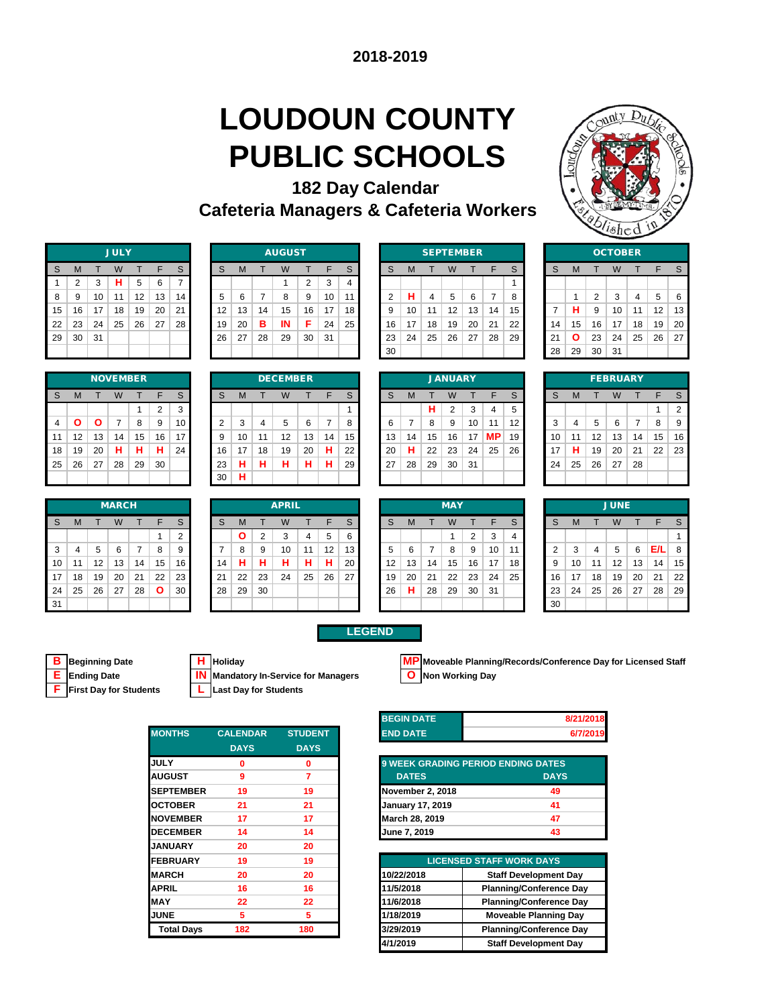### **LOUDOUN COUNTY PUBLIC SCHOOLS 182 Day Calendar**

**Cafeteria Managers & Cafeteria Workers**



|    |                |    | <b>JULY</b> |    |    |    |
|----|----------------|----|-------------|----|----|----|
| S  | M              | т  | W           | т  | F  | S  |
| 1  | $\overline{2}$ | 3  | н           | 5  | 6  | 7  |
| 8  | 9              | 10 | 11          | 12 | 13 | 14 |
| 15 | 16             | 17 | 18          | 19 | 20 | 21 |
| 22 | 23             | 24 | 25          | 26 | 27 | 28 |
| 29 | 30             | 31 |             |    |    |    |
|    |                |    |             |    |    |    |

|    |    |    | <b>NOVEMBER</b> |    |    |    |
|----|----|----|-----------------|----|----|----|
| S  | M  |    | W               |    | F  | S  |
|    |    |    |                 | 1  | 2  | 3  |
| 4  | Ο  | Ο  | $\overline{7}$  | 8  | 9  | 10 |
| 11 | 12 | 13 | 14              | 15 | 16 | 17 |
| 18 | 19 | 20 | н               | н  | н  | 24 |
| 25 | 26 | 27 | 28              | 29 | 30 |    |
|    |    |    |                 |    |    |    |

|     |    |    | <b>MARCH</b> |    |              |            |    |    |    | <b>APRIL</b> |    |    |    |    |    |    | <b>MAY</b> |    |    |    |
|-----|----|----|--------------|----|--------------|------------|----|----|----|--------------|----|----|----|----|----|----|------------|----|----|----|
| S   | M  |    | W            |    | F            | S          | S  | M  |    | W            |    | ᄃ  | S  | S  | M  |    | W          |    |    | S  |
|     |    |    |              |    |              | $\sqrt{2}$ |    | O  | ◠  | 3            | 4  | 5  | 6  |    |    |    |            | 2  | 3  | 4  |
| 3   |    | 5  | 6            |    | 8            | 9          |    | 8  | 9  | 10           | 11 | 12 | 13 | 5  | 6  |    | 8          | 9  | 10 | 11 |
| 10  | 11 | 12 | 13           | 14 | 15           | 16         | 14 |    |    | ш            | н  | н  | 20 | 12 | 13 | 14 | 15         | 16 | 17 | 18 |
| 17  | 18 | 19 | 20           | 21 | 22           | 23         | 21 | 22 | 23 | 24           | 25 | 26 | 27 | 19 | 20 | 21 | 22         | 23 | 24 | 25 |
| 24  | 25 | 26 | 27           | 28 | $\mathbf{o}$ | 30         | 28 | 29 | 30 |              |    |    |    | 26 | н  | 28 | 29         | 30 | 31 |    |
| -31 |    |    |              |    |              |            |    |    |    |              |    |    |    |    |    |    |            |    |    |    |

|                  |        |    | <b>JULY</b> |    |    |    |                   |    |    | <b>AUGUST</b> |    |     |    |          |    |    | <b>SEPTEMBER</b> |    |    |              |    |              |        | <b>OCTOBER</b> |    |    |    |
|------------------|--------|----|-------------|----|----|----|-------------------|----|----|---------------|----|-----|----|----------|----|----|------------------|----|----|--------------|----|--------------|--------|----------------|----|----|----|
| S                | M      |    |             |    |    | S  | S                 | м  |    | W             |    |     | S  | S        | м  |    | W                |    |    | <sub>S</sub> | S  | м            |        |                |    |    |    |
|                  | $\sim$ | 3  | н           | 5  | 6  | –  |                   |    |    |               | 2  | 3   | 4  |          |    |    |                  |    |    |              |    |              |        |                |    |    |    |
| 8                |        | 10 | 11          | 12 | 13 | 14 | 5                 | 6  |    | 8             | 9  | 10  |    | $\Omega$ | н  | 4  | 5                | 6  |    |              |    |              | $\sim$ | 3              | 4  | 5  | 6  |
| 15 <sup>15</sup> | 16     | 17 | 18          | 19 | 20 | 21 | $12 \overline{ }$ | 13 | 14 | 15            | 16 | 17  | 18 | 9        | 10 | 11 | 12               | 13 | 14 | 15           |    | н            | 9      | 10             | 11 | 12 | 13 |
| 22               | 23     | 24 | 25          | 26 | 27 | 28 | 19                | 20 | в  | IN            | Е  | 24  | 25 | 16       | 17 | 18 | 19               | 20 | 21 | 22           | 14 | 15           | 16     | 17             | 18 | 19 | 20 |
| 29               | 30     | 31 |             |    |    |    | 26                | 27 | 28 | 29            | 30 | -31 |    | -23      | 24 | 25 | 26               | 27 | 28 | 29           | 21 | $\mathbf{o}$ | 23     | 24             | 25 | 26 | 27 |
|                  |        |    |             |    |    |    |                   |    |    |               |    |     |    | 30       |    |    |                  |    |    |              | 28 | 29           | 30     | -31            |    |    |    |

|    |    |    | <b>SEPTEMBER</b> |    |    |    |    |    | <b>OCTO</b> |  |
|----|----|----|------------------|----|----|----|----|----|-------------|--|
| S  | M  | Т  | W                | т  | F  | S  | S  | M  |             |  |
|    |    |    |                  |    |    |    |    |    |             |  |
| 2  | н  | 4  | 5                | 6  |    | 8  |    |    | 2           |  |
| 9  | 10 | 11 | 12               | 13 | 14 | 15 | 7  | н  | 9           |  |
| 16 | 17 | 18 | 19               | 20 | 21 | 22 | 14 | 15 | 16          |  |
| 23 | 24 | 25 | 26               | 27 | 28 | 29 | 21 | O  | 23          |  |
| 30 |    |    |                  |    |    |    | 28 | 29 | 30          |  |

|                |    |    |    | <b>NOVEMBER</b> |    |    |    |    |    | <b>DECEMBER</b> |    |    |    |     |    |    | <b>JANUARY</b> |    |           |    |    |    |    | <b>FEBRUARY</b> |    |    |                |
|----------------|----|----|----|-----------------|----|----|----|----|----|-----------------|----|----|----|-----|----|----|----------------|----|-----------|----|----|----|----|-----------------|----|----|----------------|
| S              | М  |    | W  |                 |    | S  | S  | м  |    | W               |    |    | S  | S   | м  |    | W              |    |           | S  | S  | м  |    |                 |    |    |                |
|                |    |    |    |                 | 2  | 3  |    |    |    |                 |    |    |    |     |    | н  | 2              | 3  | 4         | 5  |    |    |    |                 |    |    | $\overline{2}$ |
| $\overline{4}$ |    | Ο  |    | 8               | 9  | 10 | 2  | 3  | 4  | 5               | 6  |    | 8  | 6   |    | 8  | 9              | 10 | 11        | 12 | 3  | 4  | 5  | 6               |    | 8  | 9              |
| 11             | 12 | 13 | 14 | 15              | 16 | 17 | 9  | 10 | 11 | 12              | 13 | 14 | 15 | 13  | 14 | 15 | 16             | 17 | <b>MP</b> | 19 | 10 | 11 | 12 | 13              | 14 | 15 | 16             |
| 18             | 19 | 20 | н  | н               | н  | 24 | 16 | 17 | 18 | 19              | 20 | н  | 22 | 20  | н  | 22 | 23             | 24 | 25        | 26 | 17 | н  | 19 | 20              | 21 | 22 | 23             |
| 25             | 26 | 27 | 28 | 29              | 30 |    | 23 | н  | н  | н               | н  | н  | 29 | -27 | 28 | 29 | 30             | 31 |           |    | 24 | 25 | 26 | 27              | 28 |    |                |
|                |    |    |    |                 |    |    | 30 | н  |    |                 |    |    |    |     |    |    |                |    |           |    |    |    |    |                 |    |    |                |

|    |    |    | <b>OCTOBER</b> |    |    |    |
|----|----|----|----------------|----|----|----|
| S  | M  | т  | W              | т  | F  | S  |
|    |    |    |                |    |    |    |
|    | 1  | 2  | 3              | 4  | 5  | 6  |
| 7  | н  | 9  | 10             | 11 | 12 | 13 |
| 14 | 15 | 16 | 17             | 18 | 19 | 20 |
| 21 | Ο  | 23 | 24             | 25 | 26 | 27 |
| 28 | 29 | 30 | 31             |    |    |    |
|    |    |    |                |    |    |    |

|    |    |    | <b>FEBRUARY</b> |                |    |                |
|----|----|----|-----------------|----------------|----|----------------|
| S  | M  |    | W               | т              | F  | S              |
|    |    |    |                 |                | 1  | $\overline{2}$ |
| 3  | 4  | 5  | 6               | $\overline{7}$ | 8  | 9              |
| 10 | 11 | 12 | 13              | 14             | 15 | 16             |
| 17 | н  | 19 | 20              | 21             | 22 | 23             |
| 24 | 25 | 26 | 27              | 28             |    |                |
|    |    |    |                 |                |    |                |

| <b>MARCH</b> |    |    |    |    |    |    | <b>APRIL</b> |    |    |    |    |    |    | <b>MAY</b> |    |    |
|--------------|----|----|----|----|----|----|--------------|----|----|----|----|----|----|------------|----|----|
| W            |    |    | S  | S  | M  |    | W            |    | F  | S  | S  | M  |    | W          |    |    |
|              |    |    | 2  |    | Ο  | 2  | 3            | 4  | 5  | 6  |    |    |    |            | っ  | 3  |
| 6            |    | 8  | 9  |    | 8  | 9  | 10           | 11 | 12 | 13 | 5  | 6  |    | 8          | 9  | 10 |
| 13           | 14 | 15 | 16 | 14 | н  | н  | Н            | н  | н  | 20 | 12 | 13 | 14 | 15         | 16 | 17 |
| 20           | 21 | 22 | 23 | 21 | 22 | 23 | 24           | 25 | 26 | 27 | 19 | 20 | 21 | 22         | 23 | 24 |
| 27           | 28 | O  | 30 | 28 | 29 | 30 |              |    |    |    | 26 | н  | 28 | 29         | 30 | 31 |
|              |    |    |    |    |    |    |              |    |    |    |    |    |    |            |    |    |

|    |     |    | <b>MARCH</b> |    |              |                 |    |    |    | <b>APRIL</b> |    |    |    |    |    |    | <b>MAY</b> |    |    |    |    |    |    | <b>JUNE</b> |                 |      |    |
|----|-----|----|--------------|----|--------------|-----------------|----|----|----|--------------|----|----|----|----|----|----|------------|----|----|----|----|----|----|-------------|-----------------|------|----|
| S  | M   |    | W            |    | F            | S               | S  | м  |    | W            |    |    | S. | S  | м  |    | W          |    | F  | S  | S  | M  |    | W           |                 | F    | S  |
|    |     |    |              |    |              |                 |    | Ο  | ◠  | 3            | 4  | 5  | 6  |    |    |    |            | 2  | 3  | 4  |    |    |    |             |                 |      |    |
| 3  | 4   | 5  | 6            | 7  | 8            | 9               |    | 8  | 9  | 10           | 11 | 12 | 13 | 5  | 6  |    | 8          | 9  | 10 |    | 2  | 3  | 4  | 5           | 6               | `E/L | 8  |
| 10 | -11 | 12 | 13           | 14 | 15           | 16 <sub>1</sub> | 14 | н  | н  | н            | н. | н  | 20 | 12 | 13 | 14 | 15         | 16 | 17 | 18 | 9  | 10 | 11 | 12          | 13              | 14   | 15 |
| 17 | 18  | 19 | 20           | 21 | 22           | 23              | 21 | 22 | 23 | 24           | 25 | 26 | 27 | 19 | 20 | 21 | 22         | 23 | 24 | 25 | 16 | 17 | 18 | 19          | 20 <sub>1</sub> | 21   | 22 |
| 24 | 25  | 26 | 27           | 28 | $\mathbf{o}$ | 30 <sub>1</sub> | 28 | 29 | 30 |              |    |    |    | 26 | н  | 28 | 29         | 30 | 31 |    | 23 | 24 | 25 | 26          | 27              | 28   | 29 |
| 31 |     |    |              |    |              |                 |    |    |    |              |    |    |    |    |    |    |            |    |    |    | 30 |    |    |             |                 |      |    |



**Mandatory In-Service for Managers** 

**F First Day for Students L Last Day for Students**

| <b>MONTHS</b>     | <b>CALENDAR</b> | <b>STUDENT</b> |
|-------------------|-----------------|----------------|
|                   | <b>DAYS</b>     | <b>DAYS</b>    |
| <b>JULY</b>       | 0               | 0              |
| <b>AUGUST</b>     | 9               | 7              |
| <b>SEPTEMBER</b>  | 19              | 19             |
| <b>OCTOBER</b>    | 21              | 21             |
| <b>NOVEMBER</b>   | 17              | 17             |
| <b>DECEMBER</b>   | 14              | 14             |
| <b>JANUARY</b>    | 20              | 20             |
| <b>FEBRUARY</b>   | 19              | 19             |
| <b>MARCH</b>      | 20              | 20             |
| <b>APRIL</b>      | 16              | 16             |
| <b>MAY</b>        | 22              | 22             |
| <b>JUNE</b>       | 5               | 5              |
| <b>Total Days</b> | 182             | 180            |
|                   |                 |                |



| <b>BEGIN DATE</b>       | 8/21/2018                                 |
|-------------------------|-------------------------------------------|
| <b>END DATE</b>         | 6/7/2019                                  |
|                         |                                           |
|                         | <b>9 WEEK GRADING PERIOD ENDING DATES</b> |
| <b>DATES</b>            | <b>DAYS</b>                               |
| November 2, 2018        | 49                                        |
| <b>January 17, 2019</b> | 41                                        |
| March 28, 2019          | 47                                        |
| June 7, 2019            | 43                                        |

| <b>LICENSED STAFF WORK DAYS</b> |                                |  |  |  |  |  |  |  |  |
|---------------------------------|--------------------------------|--|--|--|--|--|--|--|--|
| 10/22/2018                      | <b>Staff Development Day</b>   |  |  |  |  |  |  |  |  |
| 11/5/2018                       | <b>Planning/Conference Day</b> |  |  |  |  |  |  |  |  |
| 11/6/2018                       | <b>Planning/Conference Day</b> |  |  |  |  |  |  |  |  |
| 1/18/2019                       | <b>Moveable Planning Day</b>   |  |  |  |  |  |  |  |  |
| 3/29/2019                       | <b>Planning/Conference Day</b> |  |  |  |  |  |  |  |  |
| 4/1/2019                        | <b>Staff Development Day</b>   |  |  |  |  |  |  |  |  |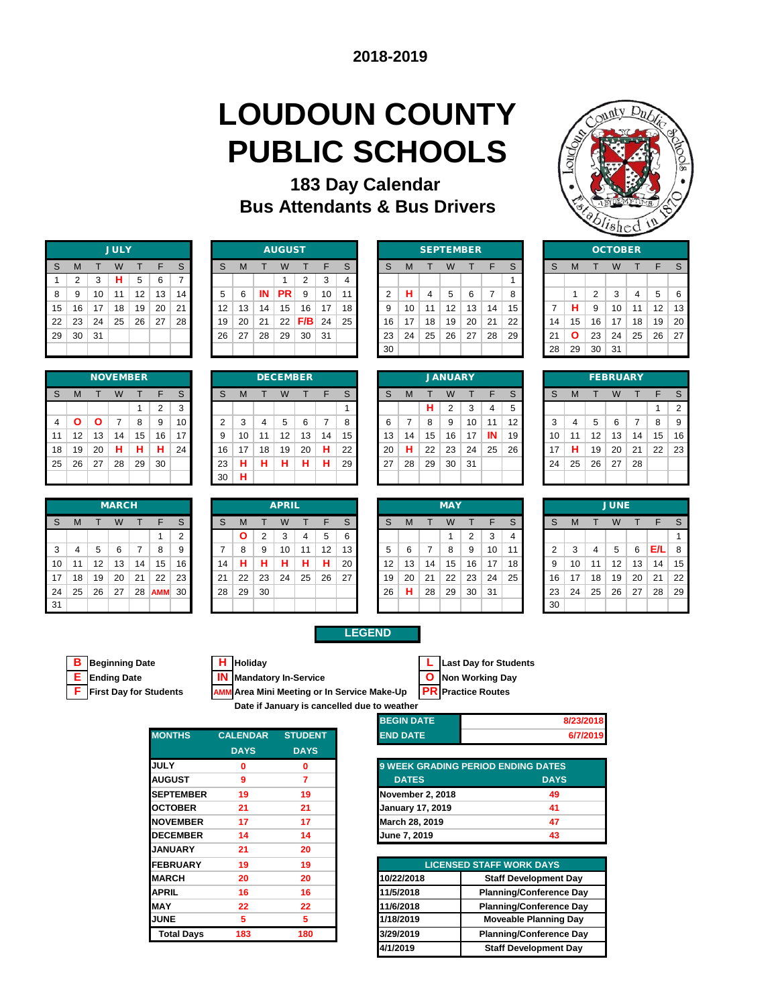# **LOUDOUN COUNTY PUBLIC SCHOOLS**

### **183 Day Calendar Bus Attendants & Bus Drivers**



|    | <b>JULY</b> |    |    |    |    |    |  |  |  |  |  |  |  |  |
|----|-------------|----|----|----|----|----|--|--|--|--|--|--|--|--|
| S  | M           | T  | W  | т  | F  | S  |  |  |  |  |  |  |  |  |
| 1  | 2           | 3  | н  | 5  | 6  | 7  |  |  |  |  |  |  |  |  |
| 8  | 9           | 10 | 11 | 12 | 13 | 14 |  |  |  |  |  |  |  |  |
| 15 | 16          | 17 | 18 | 19 | 20 | 21 |  |  |  |  |  |  |  |  |
| 22 | 23          | 24 | 25 | 26 | 27 | 28 |  |  |  |  |  |  |  |  |
| 29 | 30          | 31 |    |    |    |    |  |  |  |  |  |  |  |  |
|    |             |    |    |    |    |    |  |  |  |  |  |  |  |  |

|    | <b>NOVEMBER</b> |    |    |    |                |    |  |  |  |  |  |  |  |  |
|----|-----------------|----|----|----|----------------|----|--|--|--|--|--|--|--|--|
| S  | M               |    | W  |    | F              | S  |  |  |  |  |  |  |  |  |
|    |                 |    |    | 1  | $\overline{2}$ | 3  |  |  |  |  |  |  |  |  |
| 4  | Ο               | Ο  | 7  | 8  | 9              | 10 |  |  |  |  |  |  |  |  |
| 11 | 12              | 13 | 14 | 15 | 16             | 17 |  |  |  |  |  |  |  |  |
| 18 | 19              | 20 | н  | н  | н              | 24 |  |  |  |  |  |  |  |  |
| 25 | 26              | 27 | 28 | 29 | 30             |    |  |  |  |  |  |  |  |  |
|    |                 |    |    |    |                |    |  |  |  |  |  |  |  |  |

|    | <b>MARCH</b>   |    |    |    |            |                |  |  |  |  |  |  |  |  |
|----|----------------|----|----|----|------------|----------------|--|--|--|--|--|--|--|--|
| S  | M              | т  | W  |    | F          | S              |  |  |  |  |  |  |  |  |
|    |                |    |    |    | 1          | $\overline{2}$ |  |  |  |  |  |  |  |  |
| 3  | $\overline{4}$ | 5  | 6  | 7  | 8          | 9              |  |  |  |  |  |  |  |  |
| 10 | 11             | 12 | 13 | 14 | 15         | 16             |  |  |  |  |  |  |  |  |
| 17 | 18             | 19 | 20 | 21 | 22         | 23             |  |  |  |  |  |  |  |  |
| 24 | 25             | 26 | 27 | 28 | <b>AMM</b> | 30             |  |  |  |  |  |  |  |  |
| 31 |                |    |    |    |            |                |  |  |  |  |  |  |  |  |

|    |    |    | <b>JULY</b> |    |    |    |    |    |    | <b>AUGUST</b> |     |    |    |    |    | <b>SEPTEMBER</b> |    |    |    |    |    |    |        | <b>OCTOBER</b> |    |                   |    |
|----|----|----|-------------|----|----|----|----|----|----|---------------|-----|----|----|----|----|------------------|----|----|----|----|----|----|--------|----------------|----|-------------------|----|
| S  | M  |    | W           |    |    | S. | S  | м  |    | W             |     | ᄃ  | s  |    | M  |                  |    |    |    | S  | S  |    |        |                |    |                   |    |
|    | C  | 3  | н           | 5  | 6  |    |    |    |    |               | C   | 3  |    |    |    |                  |    |    |    |    |    |    |        |                |    |                   |    |
| 8  | 9  | 10 | 11          | 12 | 13 | 14 | 5  | 6  | ΙN | PR            | 9   | 10 | 11 |    | н  |                  | 5  | 6  |    | 8  |    |    | $\sim$ | 3              | 4  | 5                 | 6  |
| 15 | 16 | 17 | 18          | 19 | 20 | 21 | 12 | 13 | 14 | 15            | 16  | 17 | 18 |    | 10 | 11               | 12 | 13 | 14 | 15 |    | н  | 9      | 10             | 11 | $12 \overline{ }$ | 13 |
| 22 | 23 | 24 | 25          | 26 | 27 | 28 | 19 | 20 | 21 | 22            | F/B | 24 | 25 | 16 | 17 | 18               | 19 | 20 | 21 | 22 | 14 | 15 | 16     | 17             | 18 | 19                | 20 |
| 29 | 30 | 31 |             |    |    |    | 26 | 27 | 28 | 29            | 30  | 31 |    | 23 | 24 | 25               | 26 | 27 | 28 | 29 | 21 |    | 23     | 24             | 25 | 26                | 27 |
|    |    |    |             |    |    |    |    |    |    |               |     |    |    | 30 |    |                  |    |    |    |    | 28 | 29 | 30     | 31             |    |                   |    |

|              |    | <b>SEPTEMBER</b> |    |    |    |    | <b>OCTO</b> |    |    |    |
|--------------|----|------------------|----|----|----|----|-------------|----|----|----|
| <sub>S</sub> | M  | Æ                | W  |    | F  | S  | S           | M  |    | W  |
|              |    |                  |    |    |    |    |             |    |    |    |
| 2            | н  | 4                | 5  | 6  | 7  | 8  |             | 1  | 2  | 3  |
| 9            | 10 | 11               | 12 | 13 | 14 | 15 | 7           | н  | 9  | 10 |
| 16           | 17 | 18               | 19 | 20 | 21 | 22 | 14          | 15 | 16 | 17 |
| 23           | 24 | 25               | 26 | 27 | 28 | 29 | 21          | O  | 23 | 24 |
| 30           |    |                  |    |    |    |    | 28          | 29 | 30 | 31 |
|              |    |                  |    |    |    |    |             |    |    |    |

|                |                |    | -911 | تب ر |    |    |  |  |  |  |  |  |  |  |  |
|----------------|----------------|----|------|------|----|----|--|--|--|--|--|--|--|--|--|
|                | <b>OCTOBER</b> |    |      |      |    |    |  |  |  |  |  |  |  |  |  |
| S              | M              | т  | W    | T    | F  | S  |  |  |  |  |  |  |  |  |  |
|                |                |    |      |      |    |    |  |  |  |  |  |  |  |  |  |
|                | 1              | 2  | 3    | 4    | 5  | 6  |  |  |  |  |  |  |  |  |  |
| $\overline{7}$ | н              | 9  | 10   | 11   | 12 | 13 |  |  |  |  |  |  |  |  |  |
| 14             | 15             | 16 | 17   | 18   | 19 | 20 |  |  |  |  |  |  |  |  |  |
| 21             | Ο              | 23 | 24   | 25   | 26 | 27 |  |  |  |  |  |  |  |  |  |
| 28             | 29             | 30 | 31   |      |    |    |  |  |  |  |  |  |  |  |  |
|                |                |    |      |      |    |    |  |  |  |  |  |  |  |  |  |

|                |    |    |    | <b>NOVEMBER</b> |    |    |    |    |    | <b>DECEMBER</b> |         |    |                   |    |    |    | <b>JANUARY</b> |     |    |    |        |    |    | <b>FEBRUARY</b> |    |    |    |
|----------------|----|----|----|-----------------|----|----|----|----|----|-----------------|---------|----|-------------------|----|----|----|----------------|-----|----|----|--------|----|----|-----------------|----|----|----|
| S              | M  |    | W  |                 | ᄃ  | S  | S  | м  |    | W               |         | F  | $\sim$<br>$\circ$ |    | M  |    | W              |     |    | S  | S      | M  |    |                 |    |    |    |
|                |    |    |    |                 | ◠  | 3  |    |    |    |                 |         |    |                   |    |    | н  | 2              | 3   | 4  | 5  |        |    |    |                 |    |    | 2  |
| $\overline{4}$ |    |    |    | 8               | 9  | 10 | ◠  | 3  | 4  | 5               | 6       |    |                   |    |    | 8  | 9              | 10  | 44 | 12 | ◠<br>ъ | 4  | 5  | 6               |    | 8  | 9  |
| 11             | 12 | 13 | 14 | 15              | 16 | 17 | 9  | 10 | 11 | 12              | 13      | 14 | 15                | 13 | 14 | 15 | 16             | 17  | IN | 19 | 10     | 11 | 12 | 13              | 14 | 15 | 16 |
| 18             | 19 | 20 | н  | н               |    | 24 | 16 | 17 | 18 | 19              | 20      | н  | 22                | 20 | н  | 22 | 23             | 24  | 25 | 26 |        | н  | 19 | 20              | 21 | 22 | 23 |
| 25             | 26 | 27 | 28 | 29              | 30 |    | 23 | н  | н  | н               | л<br>п. | н  | 29                | 27 | 28 | 29 | 30             | -31 |    |    | 24     | 25 | 26 | 27              | 28 |    |    |
|                |    |    |    |                 |    |    | 30 | н  |    |                 |         |    |                   |    |    |    |                |     |    |    |        |    |    |                 |    |    |    |

| <b>CEMBER</b> |    |    |    |    |    |
|---------------|----|----|----|----|----|
| W             | т  | F  | S  | S  | M  |
|               |    |    |    |    |    |
| 5             | 6  | 7  | 8  | 6  | 7  |
| 12            | 13 | 14 | 15 | 13 | 14 |
| 19            | 20 | н  | 22 | 20 | н  |
| н             | н  | н  | 29 | 27 | 28 |
|               |    |    |    |    |    |

|    |    |    | <b>JANUARY</b> |    |    |    |
|----|----|----|----------------|----|----|----|
| S  | М  | т  | W              | T  | F  | S  |
|    |    | н  | $\overline{2}$ | 3  | 4  | 5  |
| 6  | 7  | 8  | 9              | 10 | 11 | 12 |
| 13 | 14 | 15 | 16             | 17 | IN | 19 |
| 20 | н  | 22 | 23             | 24 | 25 | 26 |
| 27 | 28 | 29 | 30             | 31 |    |    |
|    |    |    |                |    |    |    |

|    | <b>FEBRUARY</b> |    |    |    |    |                |  |  |  |  |  |  |  |  |
|----|-----------------|----|----|----|----|----------------|--|--|--|--|--|--|--|--|
| S  | M               | т  | W  | т  | F  | S              |  |  |  |  |  |  |  |  |
|    |                 |    |    |    | 1  | $\overline{2}$ |  |  |  |  |  |  |  |  |
| 3  | 4               | 5  | 6  | 7  | 8  | 9              |  |  |  |  |  |  |  |  |
| 10 | 11              | 12 | 13 | 14 | 15 | 16             |  |  |  |  |  |  |  |  |
| 17 | н               | 19 | 20 | 21 | 22 | 23             |  |  |  |  |  |  |  |  |
| 24 | 25              | 26 | 27 | 28 |    |                |  |  |  |  |  |  |  |  |
|    |                 |    |    |    |    |                |  |  |  |  |  |  |  |  |

|    |    |    | <b>MARCH</b> |    |            |    |    |              |                | <b>APRIL</b> |    |    |                 |                   |    |    | <b>MAY</b> |    |    |    |        |    |    | <b>JUNE</b>       |    |     |    |
|----|----|----|--------------|----|------------|----|----|--------------|----------------|--------------|----|----|-----------------|-------------------|----|----|------------|----|----|----|--------|----|----|-------------------|----|-----|----|
| S  | M  |    | W            |    | F          | S  | S  | м            |                | W            |    | F  | S               |                   | M  |    | W          |    |    | S  | S      | M  |    | w                 |    |     |    |
|    |    |    |              |    |            | C  |    | $\mathbf{o}$ | $\overline{2}$ | 3            | 4  | 5  | 6               |                   |    |    |            | ◠  | 3  |    |        |    |    |                   |    |     |    |
| 3  | 4  | 5  | 6            |    | 8          | 9  |    | 8            | 9              | 10           | 11 | 12 | 13 <sub>1</sub> |                   | 6  |    | 8          | 9  | 10 | 11 | $\sim$ | 3  | 4  | 5                 | 6  | E/L | 8  |
| 10 | 11 | 12 | 13           | 14 | 15         | 16 | 14 | н            | н              | н            | н  | н  | 20              | $12 \overline{ }$ | 13 | 14 | 15         | 16 | 17 | 18 | 9      | 10 | 11 | $12 \overline{ }$ | 13 | 14  | 15 |
| 17 | 18 | 19 | 20           | 21 | 22         | 23 | 21 | 22           | 23             | 24           | 25 | 26 | 27              | 19                | 20 | 21 | 22         | 23 | 24 | 25 | 16     | 17 | 18 | 19                | 20 | 21  | 22 |
| 24 | 25 | 26 | 27           | 28 | <b>AMM</b> | 30 | 28 | 29           | 30             |              |    |    |                 | 26                | н  | 28 | 29         | 30 | 31 |    | 23     | 24 | 25 | 26                | 27 | 28  | 29 |
| 31 |    |    |              |    |            |    |    |              |                |              |    |    |                 |                   |    |    |            |    |    |    | 30     |    |    |                   |    |     |    |

| <b>MAY</b> |    |    |    |    |    |  |  |  |  |  |
|------------|----|----|----|----|----|--|--|--|--|--|
| S          | М  | т  | W  | т  | F  |  |  |  |  |  |
|            |    |    | 1  | 2  | 3  |  |  |  |  |  |
| 5          | 6  | 7  | 8  | 9  | 10 |  |  |  |  |  |
| 12         | 13 | 14 | 15 | 16 | 17 |  |  |  |  |  |
| 19         | 20 | 21 | 22 | 23 | 24 |  |  |  |  |  |
| 26         | н  | 28 | 29 | 30 | 31 |  |  |  |  |  |
|            |    |    |    |    |    |  |  |  |  |  |

|                | <b>JUNE</b> |    |    |    |     |    |  |  |  |  |  |  |  |  |
|----------------|-------------|----|----|----|-----|----|--|--|--|--|--|--|--|--|
| S              | M           | т  | W  | т  | F   | S  |  |  |  |  |  |  |  |  |
|                |             |    |    |    |     | 1  |  |  |  |  |  |  |  |  |
| $\overline{2}$ | 3           | 4  | 5  | 6  | E/L | 8  |  |  |  |  |  |  |  |  |
| 9              | 10          | 11 | 12 | 13 | 14  | 15 |  |  |  |  |  |  |  |  |
| 16             | 17          | 18 | 19 | 20 | 21  | 22 |  |  |  |  |  |  |  |  |
| 23             | 24          | 25 | 26 | 27 | 28  | 29 |  |  |  |  |  |  |  |  |
| 30             |             |    |    |    |     |    |  |  |  |  |  |  |  |  |



### **LEGEND**

**Ending Date IN** Mandatory In-Service **CO** Non Working Day<br> **First Day for Students AMM** Area Mini Meeting or In Service Make-Up **PR** Practice Routes

| Date if January is cancelled due to weather |  |  |  |  |  |  |
|---------------------------------------------|--|--|--|--|--|--|

| weather כ         |           |
|-------------------|-----------|
| <b>BEGIN DATE</b> | 8/23/2018 |
|                   |           |

| <b>MONTHS</b>     | <b>CALENDAR</b> | <b>STUDENT</b> |
|-------------------|-----------------|----------------|
|                   | <b>DAYS</b>     | <b>DAYS</b>    |
| <b>JULY</b>       | 0               | 0              |
| <b>AUGUST</b>     | 9               | 7              |
| <b>SEPTEMBER</b>  | 19              | 19             |
| <b>OCTOBER</b>    | 21              | 21             |
| <b>NOVEMBER</b>   | 17              | 17             |
| <b>DECEMBER</b>   | 14              | 14             |
| <b>JANUARY</b>    | 21              | 20             |
| <b>FEBRUARY</b>   | 19              | 19             |
| <b>MARCH</b>      | 20              | 20             |
| <b>APRIL</b>      | 16              | 16             |
| <b>MAY</b>        | 22              | 22             |
| <b>JUNE</b>       | 5               | 5              |
| <b>Total Days</b> | 183             | 180            |
|                   |                 |                |

| <b>END DATE</b>  | 6/7/2019                                  |
|------------------|-------------------------------------------|
|                  |                                           |
|                  | <b>9 WEEK GRADING PERIOD ENDING DATES</b> |
| <b>DATES</b>     | <b>DAYS</b>                               |
| November 2, 2018 | 49                                        |
| $1 - 1 - 1 - 1$  |                                           |

| <b>November 2, 2018</b> | 49 |
|-------------------------|----|
| <b>January 17, 2019</b> | 41 |
| March 28, 2019          | 47 |
| June 7, 2019            | 43 |
|                         |    |

| <b>EBRUARY</b>    | 19  | 19  |            | <b>LICENSED STAFF WORK DAYS</b> |
|-------------------|-----|-----|------------|---------------------------------|
| <b>ARCH</b>       | 20  | 20  | 10/22/2018 | <b>Staff Development Day</b>    |
| PRIL              | 16  | 16  | 11/5/2018  | <b>Planning/Conference Day</b>  |
| AY                | 22  | 22  | 11/6/2018  | <b>Planning/Conference Day</b>  |
| JNE               | 5   | 5   | 1/18/2019  | <b>Moveable Planning Day</b>    |
| <b>Total Days</b> | 183 | 180 | 3/29/2019  | <b>Planning/Conference Day</b>  |
|                   |     |     | 4/1/2019   | <b>Staff Development Day</b>    |
|                   |     |     |            |                                 |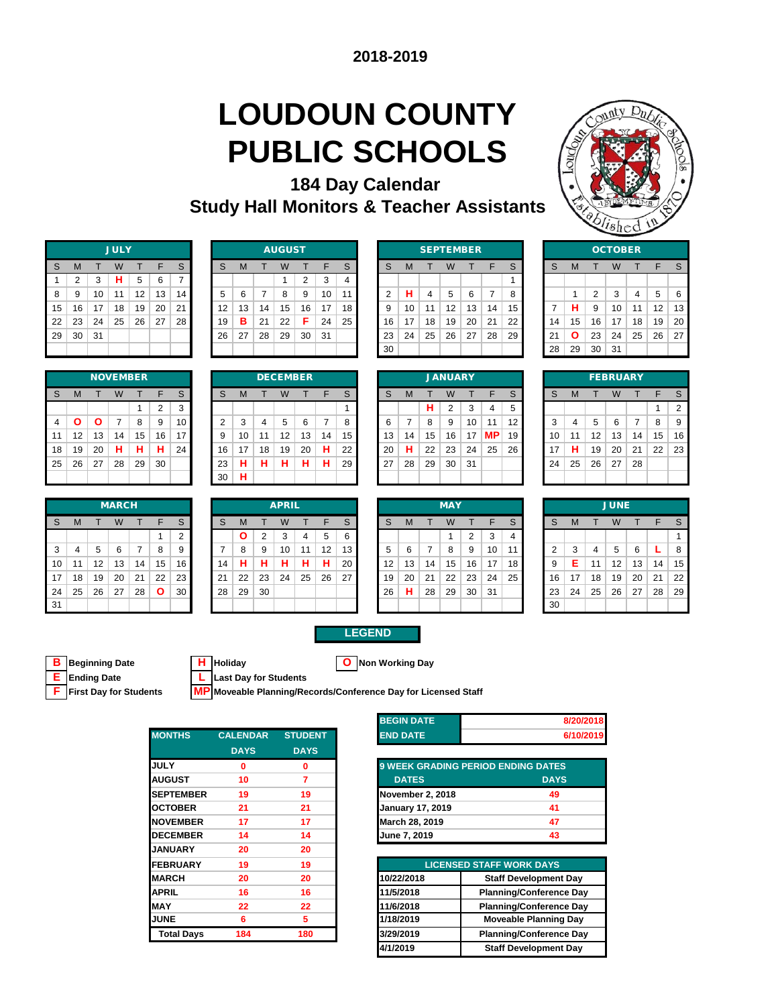# **LOUDOUN COUNTY PUBLIC SCHOOLS**

**184 Day Calendar Study Hall Monitors & Teacher Assistants**



|    | <b>JULY</b> |    |    |    |    |    |  |  |  |  |  |  |  |
|----|-------------|----|----|----|----|----|--|--|--|--|--|--|--|
| S  | M           |    | W  | т  | F  | S  |  |  |  |  |  |  |  |
| 1  | 2           | 3  | н  | 5  | 6  | 7  |  |  |  |  |  |  |  |
| 8  | 9           | 10 | 11 | 12 | 13 | 14 |  |  |  |  |  |  |  |
| 15 | 16          | 17 | 18 | 19 | 20 | 21 |  |  |  |  |  |  |  |
| 22 | 23          | 24 | 25 | 26 | 27 | 28 |  |  |  |  |  |  |  |
| 29 | 30          | 31 |    |    |    |    |  |  |  |  |  |  |  |
|    |             |    |    |    |    |    |  |  |  |  |  |  |  |

|    | <b>NOVEMBER</b> |    |                |    |    |    |  |  |  |  |  |  |  |
|----|-----------------|----|----------------|----|----|----|--|--|--|--|--|--|--|
| S  | M               | т  | W              | т  | F  | S  |  |  |  |  |  |  |  |
|    |                 |    |                | 1  | 2  | 3  |  |  |  |  |  |  |  |
| 4  | Ο               | Ο  | $\overline{7}$ | 8  | 9  | 10 |  |  |  |  |  |  |  |
| 11 | 12              | 13 | 14             | 15 | 16 | 17 |  |  |  |  |  |  |  |
| 18 | 19              | 20 | н              | н  | н  | 24 |  |  |  |  |  |  |  |
| 25 | 26              | 27 | 28             | 29 | 30 |    |  |  |  |  |  |  |  |
|    |                 |    |                |    |    |    |  |  |  |  |  |  |  |

|    |    |    | <b>JULY</b> |    |    |    |    |    |    | <b>AUGUST</b> |        |    |    |     |    | <b>SEPTEMBER</b> |    |    |    |    |    |    |    | <b>OCTOBER</b> |    |    |    |
|----|----|----|-------------|----|----|----|----|----|----|---------------|--------|----|----|-----|----|------------------|----|----|----|----|----|----|----|----------------|----|----|----|
| S  | м  |    | W           |    |    | S  | S  | M  |    | W             |        | ⊏  | ົ  |     | M  |                  | W  |    |    | S  | S  | M  |    |                |    |    |    |
|    |    | 3  | н           | 5  | 6  | ⇁  |    |    |    |               | $\sim$ | 3  |    |     |    |                  |    |    |    |    |    |    |    |                |    |    |    |
| 8  | 9  | 10 | 11          | 12 | 13 | 14 | 5  | 6  |    | 8             | 9      | 10 | 11 |     | н  |                  | 5  | 6  |    | 8  |    |    | ົ  | 3              |    | 5  | 6  |
| 15 | 16 | 17 | 18          | 19 | 20 | 21 | 12 | 13 | 14 | 15            | 16     | 17 | 18 |     | 10 | -11              | 12 | 13 | 14 | 15 |    | н  | 9  | 10             | 11 | 12 | 13 |
| 22 | 23 | 24 | 25          | 26 | 27 | 28 | 19 | в  | 21 | 22            | Е      | 24 | 25 | 16  | 17 | 18               | 19 | 20 | 21 | 22 | 14 | 15 | 16 | 17             | 18 | 19 | 20 |
| 29 | 30 | 31 |             |    |    |    | 26 | 27 | 28 | 29            | 30     | 31 |    | 23  | 24 | 25               | 26 | 27 | 28 | 29 | 21 | Ο  | 23 | 24             | 25 | 26 | 27 |
|    |    |    |             |    |    |    |    |    |    |               |        |    |    | -30 |    |                  |    |    |    |    | 28 | 29 | 30 | -31            |    |    |    |

|                |    | <b>SEPTEMBER</b> |    |    |    |    |    |    |    | OCTO |
|----------------|----|------------------|----|----|----|----|----|----|----|------|
| <sub>S</sub>   | M  |                  | W  |    | F  | S  | S  | M  |    | W    |
|                |    |                  |    |    |    |    |    |    |    |      |
| $\overline{2}$ | н  | 4                | 5  | 6  | 7  | 8  |    | 1  | 2  | 3    |
| 9              | 10 | 11               | 12 | 13 | 14 | 15 | 7  | н  | 9  | 10   |
| 16             | 17 | 18               | 19 | 20 | 21 | 22 | 14 | 15 | 16 | 17   |
| 23             | 24 | 25               | 26 | 27 | 28 | 29 | 21 | Ο  | 23 | 24   |
| 30             |    |                  |    |    |    |    | 28 | 29 | 30 | 31   |
|                |    |                  |    |    |    |    |    |    |    |      |

|    |    |                | ്⊗nea          |    | $\rightarrow$ |    |
|----|----|----------------|----------------|----|---------------|----|
|    |    |                | <b>OCTOBER</b> |    |               |    |
| S  | M  | T              | W              | T  | F             | S  |
|    |    |                |                |    |               |    |
|    | 1  | $\overline{2}$ | 3              | 4  | 5             | 6  |
| 7  | н  | 9              | 10             | 11 | 12            | 13 |
| 14 | 15 | 16             | 17             | 18 | 19            | 20 |
| 21 | Ο  | 23             | 24             | 25 | 26            | 27 |
| 28 | 29 | 30             | 31             |    |               |    |

|                |    |    |    | <b>NOVEMBER</b> |          |    |    |    |    | <b>DECEMBER</b> |    |    |    |    |    |    | <b>JANUARY</b> |     |           |    |        |    |    | <b>FEBRUARY</b> |    |    |                |
|----------------|----|----|----|-----------------|----------|----|----|----|----|-----------------|----|----|----|----|----|----|----------------|-----|-----------|----|--------|----|----|-----------------|----|----|----------------|
| S              | M  |    | W  |                 | F        | S  | S  | м  |    | W               |    | F  | S  |    | M  |    | W              |     | F         | S  | S      | M  |    |                 |    |    |                |
|                |    |    |    |                 | $\Omega$ | 3  |    |    |    |                 |    |    |    |    |    | н  | $\overline{2}$ | 3   | 4         | 5  |        |    |    |                 |    |    | $\overline{2}$ |
| $\overline{4}$ |    | О  |    | 8               | 9        | 10 | ◠  | 3  | 4  | 5               | 6  |    |    |    |    | 8  | 9              | 10  | 44        | 12 | ີ<br>ъ | 4  | 5  | 6               |    | 8  | 9              |
| 11             | 12 | 13 | 14 | 15              | 16       | 17 | 9  | 10 | 11 | 12              | 13 | 14 | 15 | 13 | 14 | 15 | 16             | 17  | <b>MP</b> | 19 | 10     | 11 | 12 | 13              | 14 | 15 | 16             |
| 18             | 19 | 20 | н  | н               | н        | 24 | 16 | 17 | 18 | 19              | 20 | н  | 22 | 20 | н  | 22 | 23             | 24  | 25        | 26 | 17     | н  | 19 | 20              | 21 | 22 | 23             |
| 25             | 26 | 27 | 28 | 29              | 30       |    | 23 | н  | н  | н               | н  | н  | 29 | 27 | 28 | 29 | 30             | -31 |           |    | 24     | 25 | 26 | 27              | 28 |    |                |
|                |    |    |    |                 |          |    | 30 | н  |    |                 |    |    |    |    |    |    |                |     |           |    |        |    |    |                 |    |    |                |

|    |    |    | <b>JANUARY</b> |    |                |  |
|----|----|----|----------------|----|----------------|--|
| S  | M  | т  | W              | т  | F              |  |
|    |    | н  | $\overline{2}$ | 3  | $\overline{4}$ |  |
| 6  | 7  | 8  | 9              | 10 | 11             |  |
| 13 | 14 | 15 | 16             | 17 | ΜP             |  |
| 20 | н  | 22 | 23             | 24 | 25             |  |
| 27 | 28 | 29 | 30             | 31 |                |  |
|    |    |    |                |    |                |  |

| 20 | ∠ສ | υc | ا ت             |    |    |                |
|----|----|----|-----------------|----|----|----------------|
|    |    |    |                 |    |    |                |
|    |    |    | <b>FEBRUARY</b> |    |    |                |
| S  | M  | т  | W               | т  | F  | S              |
|    |    |    |                 |    | 1  | $\overline{2}$ |
| 3  | 4  | 5  | 6               | 7  | 8  | 9              |
| 10 | 11 | 12 | 13              | 14 | 15 | 16             |
| 17 | н  | 19 | 20              | 21 | 22 | 23             |
| 24 | 25 | 26 | 27              | 28 |    |                |
|    |    |    |                 |    |    |                |

|              |    |    | <b>MARCH</b> |    |              |    |    |    |    | <b>APRIL</b> |    |    |    |    |    |    | <b>MAY</b> |    |    |    |
|--------------|----|----|--------------|----|--------------|----|----|----|----|--------------|----|----|----|----|----|----|------------|----|----|----|
| <sub>S</sub> | M  |    | W            |    | F            | S  | S  | M  |    | W            |    | E  | S  | S  | М  |    | W          |    | F  | S  |
|              |    |    |              |    |              | ◠  |    |    |    |              |    | 5  | 6  |    |    |    |            | っ  | 3  | 4  |
| 3            | 4  | 5  | 6            |    | 8            | 9  |    | 8  | 9  | 10           | 1  | 12 | 13 | 5  | 6  |    | 8          | 9  | 10 | 11 |
| 10           | 11 | 12 | 13           | 14 | 15           | 16 | 14 | н  |    |              |    | н  | 20 | 12 | 13 | 14 | 15         | 16 | 17 | 18 |
| 17           | 18 | 19 | 20           | 21 | 22           | 23 | 21 | 22 | 23 | 24           | 25 | 26 | 27 | 19 | 20 | 21 | 22         | 23 | 24 | 25 |
| 24           | 25 | 26 | 27           | 28 | $\mathbf{o}$ | 30 | 28 | 29 | 30 |              |    |    |    | 26 | н  | 28 | 29         | 30 | 31 |    |
| 31           |    |    |              |    |              |    |    |    |    |              |    |    |    |    |    |    |            |    |    |    |

|    |    |    | <b>MARCH</b> |    |              |    |    |          |    | <b>APRIL</b> |    |    |    |                   |    |    | <b>MAY</b> |    |     |    |    |    |    | <b>JUNE</b> |    |    |    |
|----|----|----|--------------|----|--------------|----|----|----------|----|--------------|----|----|----|-------------------|----|----|------------|----|-----|----|----|----|----|-------------|----|----|----|
| S  | M  |    | W            |    | F            | S  | S  | м        |    | W            |    | E  | S. | <sub>S</sub>      | M  |    | W          |    | F   | S  | S  | M  |    |             |    |    |    |
|    |    |    |              |    |              | C  |    | $\Omega$ | 2  | 3            | 4  | 5  | 6  |                   |    |    |            | 2  | 3   |    |    |    |    |             |    |    |    |
| 3  | 4  | 5  | 6            | 7  | 8            | 9  |    | 8        | 9  | 10           | 11 | 12 | 13 |                   | 6  |    | 8          | -9 | 10  | 11 | ◠  | 3  | 4  | 5           | 6  |    | -8 |
| 10 | 11 | 12 | 13           | 14 | 15           | 16 | 14 | н        | н  | н            | н  | н  | 20 | $12 \overline{ }$ | 13 | 14 | 15         | 16 | 17  | 18 | 9  | Е  | 11 | 12          | 13 | 14 | 15 |
| 17 | 18 | 19 | 20           | 21 | 22           | 23 | 21 | 22       | 23 | 24           | 25 | 26 | 27 | 19                | 20 | 21 | 22         | 23 | 24  | 25 | 16 | 17 | 18 | 19          | 20 | 21 | 22 |
| 24 | 25 | 26 | 27           | 28 | $\mathbf{o}$ | 30 | 28 | 29       | 30 |              |    |    |    | 26                | н. | 28 | 29         | 30 | -31 |    | 23 | 24 | 25 | 26          | 27 | 28 | 29 |
| 31 |    |    |              |    |              |    |    |          |    |              |    |    |    |                   |    |    |            |    |     |    | 30 |    |    |             |    |    |    |

|    |    |    | <b>MAY</b> |                |    |  |
|----|----|----|------------|----------------|----|--|
| S  | M  | т  | W          | т              | F  |  |
|    |    |    | 1          | $\overline{2}$ | 3  |  |
| 5  | 6  | 7  | 8          | 9              | 10 |  |
| 12 | 13 | 14 | 15         | 16             | 17 |  |
| 19 | 20 | 21 | 22         | 23             | 24 |  |
| 26 | н  | 28 | 29         | 30             | 31 |  |
|    |    |    |            |                |    |  |

|                |    |    | <b>JUNE</b> |    |    |    |
|----------------|----|----|-------------|----|----|----|
| S              | M  | т  | W           | т  | F  | S  |
|                |    |    |             |    |    | 1  |
| $\overline{2}$ | 3  | 4  | 5           | 6  | L  | 8  |
| 9              | E  | 11 | 12          | 13 | 14 | 15 |
| 16             | 17 | 18 | 19          | 20 | 21 | 22 |
| 23             | 24 | 25 | 26          | 27 | 28 | 29 |
| 30             |    |    |             |    |    |    |

### **B Beginning Date H Holiday O Non Working Day F First Day for Students MP Moveable Planning/Records/Conference Day for Licensed Staff**

**E Ending Date L Last Day for Students**

|                   |                 |                | בורש וושבט              |                                           |
|-------------------|-----------------|----------------|-------------------------|-------------------------------------------|
| <b>MONTHS</b>     | <b>CALENDAR</b> | <b>STUDENT</b> | <b>END DATE</b>         |                                           |
|                   | <b>DAYS</b>     | <b>DAYS</b>    |                         |                                           |
| <b>JULY</b>       | 0               | 0              |                         | <b>9 WEEK GRADING PERIOD ENDING DATES</b> |
| <b>AUGUST</b>     | 10              | 7              | <b>DATES</b>            | <b>DAYS</b>                               |
| <b>SEPTEMBER</b>  | 19              | 19             | November 2, 2018        | 49                                        |
| <b>OCTOBER</b>    | 21              | 21             | <b>January 17, 2019</b> | 41                                        |
| <b>INOVEMBER</b>  | 17              | 17             | March 28, 2019          | 47                                        |
| <b>DECEMBER</b>   | 14              | 14             | June 7, 2019            | 43                                        |
| <b>JANUARY</b>    | 20              | 20             |                         |                                           |
| <b>FEBRUARY</b>   | 19              | 19             |                         | <b>LICENSED STAFF WORK DAYS</b>           |
| <b>MARCH</b>      | 20              | 20             | 10/22/2018              | <b>Staff Development</b>                  |
| <b>APRIL</b>      | 16              | 16             | 11/5/2018               | <b>Planning/Conference</b>                |
| <b>MAY</b>        | 22              | 22             | 11/6/2018               | <b>Planning/Conference</b>                |
| <b>JUNE</b>       | 6               | 5              | 1/18/2019               | <b>Moveable Planning</b>                  |
| <b>Total Days</b> | 184             | 180            | 3/29/2019               | <b>Planning/Conference</b>                |
|                   |                 |                |                         |                                           |

| <b>BEGIN DATE</b> | 8/20/2018 |
|-------------------|-----------|
| <b>END DATE</b>   | 6/10/2019 |

| <b>9 WEEK GRADING PERIOD ENDING DATES</b> |             |
|-------------------------------------------|-------------|
| <b>DATES</b>                              | <b>DAYS</b> |
| November 2, 2018                          | 49          |
| <b>January 17, 2019</b>                   | 41          |
| March 28, 2019                            | 47          |
| June 7, 2019                              | 43          |

| <b>EBRUARY</b> | 19  | 19  |            | <b>LICENSED STAFF WORK DAYS</b> |
|----------------|-----|-----|------------|---------------------------------|
| <b>ARCH</b>    | 20  | 20  | 10/22/2018 | <b>Staff Development Day</b>    |
| PRIL           | 16  | 16  | 11/5/2018  | <b>Planning/Conference Day</b>  |
| AY             | 22  | 22  | 11/6/2018  | <b>Planning/Conference Day</b>  |
| JNE            | 6   | 5   | 1/18/2019  | <b>Moveable Planning Day</b>    |
| Total Days     | 184 | 180 | 3/29/2019  | <b>Planning/Conference Day</b>  |
|                |     |     | 4/1/2019   | <b>Staff Development Day</b>    |
|                |     |     |            |                                 |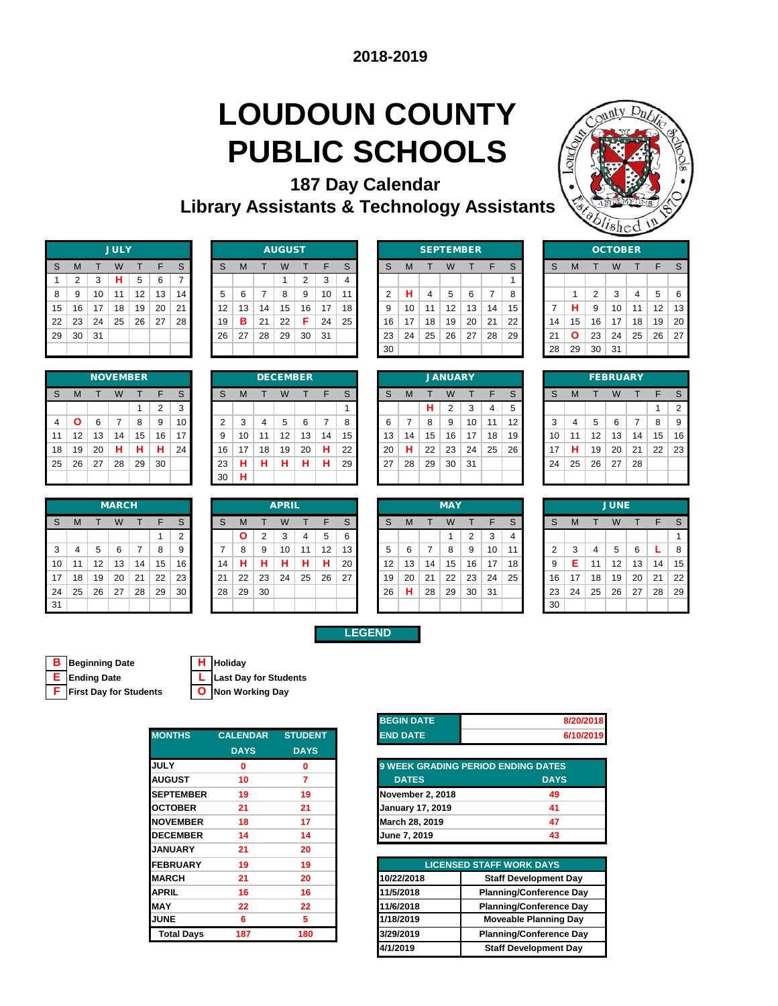### **LOUDOUN COUNTY PUBLIC SCHOOLS 187 Day Calendar**



|    |                                                                                               |    | <b>JULY</b> |    |    |    |  |  |  |  |  |  |  |  |  |
|----|-----------------------------------------------------------------------------------------------|----|-------------|----|----|----|--|--|--|--|--|--|--|--|--|
| S  | $\mathsf{s}$<br>F<br>M<br>W<br>т<br>т<br>н<br>$\overline{7}$<br>$\overline{2}$<br>5<br>3<br>6 |    |             |    |    |    |  |  |  |  |  |  |  |  |  |
| 1  |                                                                                               |    |             |    |    |    |  |  |  |  |  |  |  |  |  |
| 8  | 9                                                                                             | 10 | 11          | 12 | 13 | 14 |  |  |  |  |  |  |  |  |  |
| 15 | 16                                                                                            | 17 | 18          | 19 | 20 | 21 |  |  |  |  |  |  |  |  |  |
| 22 | 23                                                                                            | 24 | 25          | 26 | 27 | 28 |  |  |  |  |  |  |  |  |  |
| 29 | 30                                                                                            | 31 |             |    |    |    |  |  |  |  |  |  |  |  |  |
|    |                                                                                               |    |             |    |    |    |  |  |  |  |  |  |  |  |  |

|    |    |    | <b>NOVEMBER</b> |    |                |    |
|----|----|----|-----------------|----|----------------|----|
| S  | M  |    | W               |    | F              | S  |
|    |    |    |                 | 1  | $\overline{2}$ | 3  |
| 4  | O  | 6  | 7               | 8  | 9              | 10 |
| 11 | 12 | 13 | 14              | 15 | 16             | 17 |
| 18 | 19 | 20 | н               | н  | н              | 24 |
| 25 | 26 | 27 | 28              | 29 | 30             |    |
|    |    |    |                 |    |                |    |

|    |    |    | <b>MARCH</b> |    |    |        |    |    |          | <b>APRIL</b> |    |    |    |    |    |    | <b>MAY</b> |    |    |    |
|----|----|----|--------------|----|----|--------|----|----|----------|--------------|----|----|----|----|----|----|------------|----|----|----|
| S  | M  |    | W            |    | F  | S      | S  | M  |          | W            |    |    | S  | S  | M  |    | W          |    |    | S  |
|    |    |    |              |    |    | ◠<br>ے |    |    | っ        | ⌒            | 4  | 5  | 6  |    |    |    |            | 2  | 3  | 4  |
| 3  |    | 5  | 6            |    | 8  | 9      |    | 8  | 9        | 10           | 11 | 12 | 13 | 5  | 6  |    | 8          | 9  | 10 | 11 |
| 10 | 11 | 12 | 13           | 14 | 15 | 16     | 14 | н  | . .<br>п | ٠            | н  | н  | 20 | 12 | 13 | 14 | 15         | 16 | 17 | 18 |
| 17 | 18 | 19 | 20           | 21 | 22 | 23     | 21 | 22 | 23       | 24           | 25 | 26 | 27 | 19 | 20 | 21 | 22         | 23 | 24 | 25 |
| 24 | 25 | 26 | 27           | 28 | 29 | 30     | 28 | 29 | 30       |              |    |    |    | 26 | н  | 28 | 29         | 30 | 31 |    |
| 31 |    |    |              |    |    |        |    |    |          |              |    |    |    |    |    |    |            |    |    |    |

|    | <b>AUGUST</b> |    |             |    |    |    |  |    |    |    |    |    |    |                 |     |    |                  |    |    |    |    |    |    |    |                |    |    |    |
|----|---------------|----|-------------|----|----|----|--|----|----|----|----|----|----|-----------------|-----|----|------------------|----|----|----|----|----|----|----|----------------|----|----|----|
|    |               |    | <b>JULY</b> |    |    |    |  |    |    |    |    |    |    |                 |     |    | <b>SEPTEMBER</b> |    |    |    |    |    |    |    | <b>OCTOBER</b> |    |    |    |
| S  | M             |    | W           |    |    | S  |  | S  | м  |    | W  |    | F  | C               |     | M  |                  | W  |    |    | S  | S  | M  |    |                |    |    |    |
|    |               | 3  | н           | 5  | 6  |    |  |    |    |    |    | ົ  | 3  |                 |     |    |                  |    |    |    |    |    |    |    |                |    |    |    |
| 8  | 9             | 10 | 11          | 12 | 13 | 14 |  | 5  | 6  |    | 8  | 9  | 10 | 11              |     | н  | 4                | 5  | 6  |    | 8  |    |    | 2  | 3              | 4  | 5  | 6  |
| 15 | 16            | 17 | 18          | 19 | 20 | 21 |  | 12 | 13 | 14 | 15 | 16 | 17 | 18 <sub>1</sub> |     | 10 | 11               | 12 | 13 | 14 | 15 |    | н  | 9  | 10             | 11 | 12 | 13 |
| 22 | 23            | 24 | 25          | 26 | 27 | 28 |  | 19 | в  | 21 | 22 | F. | 24 | 25              | 16  | 17 | 18               | 19 | 20 | 21 | 22 | 14 | 15 | 16 | 17             | 18 | 19 | 20 |
| 29 | 30            | 31 |             |    |    |    |  | 26 | 27 | 28 | 29 | 30 | 31 |                 | 23  | 24 | 25               | 26 | 27 | 28 | 29 | 21 | Ο  | 23 | 24             | 25 | 26 | 27 |
|    |               |    |             |    |    |    |  |    |    |    |    |    |    |                 | -30 |    |                  |    |    |    |    | 28 | 29 | 30 | 31             |    |    |    |

|    |    | <b>SEPTEMBER</b> |    |    |    |    |    |    |    | OCTO |
|----|----|------------------|----|----|----|----|----|----|----|------|
| S  | M  |                  | W  |    | F  | S  | S  | M  |    | W    |
|    |    |                  |    |    |    | 1  |    |    |    |      |
| 2  | н  | 4                | 5  | 6  | 7  | 8  |    | 1  | 2  | 3    |
| 9  | 10 | 11               | 12 | 13 | 14 | 15 | 7  | н  | 9  | 10   |
| 16 | 17 | 18               | 19 | 20 | 21 | 22 | 14 | 15 | 16 | 17   |
| 23 | 24 | 25               | 26 | 27 | 28 | 29 | 21 | Ο  | 23 | 24   |
| 30 |    |                  |    |    |    |    | 28 | 29 | 30 | 31   |
|    |    |                  |    |    |    |    |    |    |    |      |

|    |                            |                | sushed         |    | νs |    |  |  |  |  |  |  |  |  |  |
|----|----------------------------|----------------|----------------|----|----|----|--|--|--|--|--|--|--|--|--|
|    |                            |                | <b>OCTOBER</b> |    |    |    |  |  |  |  |  |  |  |  |  |
| S  | S<br>F<br>M<br>W<br>T<br>т |                |                |    |    |    |  |  |  |  |  |  |  |  |  |
|    |                            |                |                |    |    |    |  |  |  |  |  |  |  |  |  |
|    | 1                          | $\overline{2}$ | 3              | 4  | 5  | 6  |  |  |  |  |  |  |  |  |  |
| 7  | н                          | 9              | 10             | 11 | 12 | 13 |  |  |  |  |  |  |  |  |  |
| 14 | 15                         | 16             | 17             | 18 | 19 | 20 |  |  |  |  |  |  |  |  |  |
| 21 | Ο                          | 23             | 24             | 25 | 26 | 27 |  |  |  |  |  |  |  |  |  |
| 28 | 29                         | 30             | 31             |    |    |    |  |  |  |  |  |  |  |  |  |
|    |                            |                |                |    |    |    |  |  |  |  |  |  |  |  |  |

|                |     |    |    | <b>NOVEMBER</b> |          |    |    |    |    | <b>DECEMBER</b> |    |    |    |    |    |    | <b>JANUARY</b> |     |    |    |    |    |    | <b>FEBRUARY</b> |    |    |                |
|----------------|-----|----|----|-----------------|----------|----|----|----|----|-----------------|----|----|----|----|----|----|----------------|-----|----|----|----|----|----|-----------------|----|----|----------------|
| S              | M   |    | W  |                 | E        | S  | S  | м  |    | W               |    | F  | C  | S  | M  |    | W              |     | ┕  | S  | S  |    |    |                 |    |    |                |
|                |     |    |    |                 | $\Omega$ | 3  |    |    |    |                 |    |    |    |    |    | н  | 2              | 3   | 4  | 5  |    |    |    |                 |    |    | $\overline{2}$ |
| $\overline{4}$ |     | 6  |    | 8               | 9        | 10 | ◠  | 3  | 4  | 5               | 6  |    | 8  |    |    | 8  | 9              | 10  | 11 | 12 | 3  | 4  | 5  | 6               |    | 8  | 9              |
| 11             | 12  | 13 | 14 | 15              | 16       | 17 | 9  | 10 | 11 | 12              | 13 | 14 | 15 | 13 | 14 | 15 | 16             | 17  | 18 | 19 | 10 | 11 | 12 | 13              | 14 | 15 | 16             |
| 18             | 19  | 20 | н  | н               | н        | 24 | 16 | 17 | 18 | 19              | 20 | н  | 22 | 20 | н  | 22 | 23             | 24  | 25 | 26 | 17 | н  | 19 | 20              | 21 | 22 | -23            |
| 25             | -26 | 27 | 28 | 29              | 30       |    | 23 | н  | н  | н               | н  | н  | 29 | 27 | 28 | 29 | 30             | -31 |    |    | 24 | 25 | 26 | 27              | 28 |    |                |
|                |     |    |    |                 |          |    | 30 | н  |    |                 |    |    |    |    |    |    |                |     |    |    |    |    |    |                 |    |    |                |
|                |     |    |    |                 |          |    |    |    |    |                 |    |    |    |    |    |    |                |     |    |    |    |    |    |                 |    |    |                |

|    |    |    | <b>JANUARY</b> |    |    |    |
|----|----|----|----------------|----|----|----|
| S  | М  | т  | W              | т  | F  | S  |
|    |    | н  | $\overline{2}$ | 3  | 4  | 5  |
| 6  | 7  | 8  | 9              | 10 | 11 | 12 |
| 13 | 14 | 15 | 16             | 17 | 18 | 19 |
| 20 | н  | 22 | 23             | 24 | 25 | 26 |
| 27 | 28 | 29 | 30             | 31 |    |    |
|    |    |    |                |    |    |    |

|    |                |    | <b>FEBRUARY</b> |    |    |                |
|----|----------------|----|-----------------|----|----|----------------|
| S  | M              | S  |                 |    |    |                |
|    |                |    |                 |    | 1  | $\overline{2}$ |
| 3  | $\overline{4}$ | 5  | 6               | 7  | 8  | 9              |
| 10 | 11             | 12 | 13              | 14 | 15 | 16             |
| 17 | н              | 19 | 20              | 21 | 22 | 23             |
| 24 | 25             | 26 | 27              | 28 |    |                |
|    |                |    |                 |    |    |                |

|    |    |    | <b>MARCH</b> |                |    |    |    |              |    | <b>APRIL</b> |    |    |    |                   |    |    | <b>MAY</b> |    |     |    |    |    |    | <b>JUNE</b>       |    |    |    |
|----|----|----|--------------|----------------|----|----|----|--------------|----|--------------|----|----|----|-------------------|----|----|------------|----|-----|----|----|----|----|-------------------|----|----|----|
| S. | M  |    | W            |                | F  | S  | S  | м            |    | W            |    | F  | S  | S                 | M  |    | W          |    |     | S  | S  | M  |    | W                 |    | ᄃ  |    |
|    |    |    |              |                |    | ◠  |    | $\mathbf{o}$ | 2  | 3            | 4  | 5  | 6  |                   |    |    |            | ◠  | 3   |    |    |    |    |                   |    |    |    |
| 3  | 4  | 5  | 6            | $\overline{7}$ | 8  | 9  |    | 8            | 9  | 10           | 11 | 12 | 13 | 5                 | 6  |    | 8          | 9  | 10  | 11 | ◠  | 3  | 4  | 5                 | 6  |    | 8  |
| 10 | 11 | 12 | 13           | 14             | 15 | 16 | 14 | н            | н  | н            | н  | н  | 20 | $12 \overline{ }$ | 13 | 14 | 15         | 16 | 17  | 18 | 9  | Е  | 11 | $12 \overline{ }$ | 13 | 14 | 15 |
| 17 | 18 | 19 | 20           | 21             | 22 | 23 | 21 | 22           | 23 | 24           | 25 | 26 | 27 | 19                | 20 | 21 | 22         | 23 | 24  | 25 | 16 | 17 | 18 | 19                | 20 | 21 | 22 |
| 24 | 25 | 26 | 27           | 28             | 29 | 30 | 28 | 29           | 30 |              |    |    |    | 26                | н  | 28 | 29         | 30 | -31 |    | 23 | 24 | 25 | 26                | 27 | 28 | 29 |
| 31 |    |    |              |                |    |    |    |              |    |              |    |    |    |                   |    |    |            |    |     |    | 30 |    |    |                   |    |    |    |

|    |    |    | <b>MAY</b> |                |    |  |
|----|----|----|------------|----------------|----|--|
| S  | M  | т  | W          | т              | F  |  |
|    |    |    | 1          | $\overline{2}$ | 3  |  |
| 5  | 6  | 7  | 8          | 9              | 10 |  |
| 12 | 13 | 14 | 15         | 16             | 17 |  |
| 19 | 20 | 21 | 22         | 23             | 24 |  |
| 26 | н  | 28 | 29         | 30             | 31 |  |
|    |    |    |            |                |    |  |

**LEGEND**

|                |    |    | <b>JUNE</b> |    |    |    |
|----------------|----|----|-------------|----|----|----|
| S              | M  | т  | W           | т  | F  | S  |
|                |    |    |             |    |    | 1  |
| $\overline{2}$ | 3  | 4  | 5           | 6  | L  | 8  |
| 9              | E  | 11 | 12          | 13 | 14 | 15 |
| 16             | 17 | 18 | 19          | 20 | 21 | 22 |
| 23             | 24 | 25 | 26          | 27 | 28 | 29 |
| 30             |    |    |             |    |    |    |

**B Beginning Date H Holiday**

**E Ending Date L Last Day for Students**

**F First Day for Students O Non Working Day**

| <b>MONTHS</b>     | <b>CALENDAR</b> | <b>STUDENT</b> |
|-------------------|-----------------|----------------|
|                   | <b>DAYS</b>     | <b>DAYS</b>    |
| <b>JULY</b>       | $\Omega$        | 0              |
| <b>AUGUST</b>     | 10              | 7              |
| <b>SEPTEMBER</b>  | 19              | 19             |
| <b>OCTOBER</b>    | 21              | 21             |
| <b>NOVEMBER</b>   | 18              | 17             |
| <b>DECEMBER</b>   | 14              | 14             |
| <b>JANUARY</b>    | 21              | 20             |
| <b>FEBRUARY</b>   | 19              | 19             |
| <b>MARCH</b>      | 21              | 20             |
| <b>APRIL</b>      | 16              | 16             |
| <b>MAY</b>        | 22              | 22             |
| <b>JUNE</b>       | 6               | 5.             |
| <b>Total Days</b> | 187             | 180            |
|                   |                 |                |

| <b>BEGIN DATE</b> | 8/20/2018 |
|-------------------|-----------|
| <b>END DATE</b>   | 6/10/2019 |

| 9 WEEK GRADING PERIOD ENDING DATES |             |
|------------------------------------|-------------|
| <b>DATES</b>                       | <b>DAYS</b> |
| November 2, 2018                   | 49          |
| <b>January 17, 2019</b>            | 41          |
| March 28, 2019                     | 47          |
| June 7, 2019                       | 43          |

| <b>EBRUARY</b>    | 19  | 19  |            | <b>LICENSED STAFF WORK DAYS</b> |
|-------------------|-----|-----|------------|---------------------------------|
| <b>ARCH</b>       | 21  | 20  | 10/22/2018 | <b>Staff Development Day</b>    |
| PRIL              | 16  | 16  | 11/5/2018  | <b>Planning/Conference Day</b>  |
| AY                | 22  | 22  | 11/6/2018  | <b>Planning/Conference Day</b>  |
| JNE               | 6   | 5   | 1/18/2019  | <b>Moveable Planning Day</b>    |
| <b>Total Days</b> | 187 | 180 | 3/29/2019  | <b>Planning/Conference Day</b>  |
|                   |     |     | 4/1/2019   | <b>Staff Development Day</b>    |
|                   |     |     |            |                                 |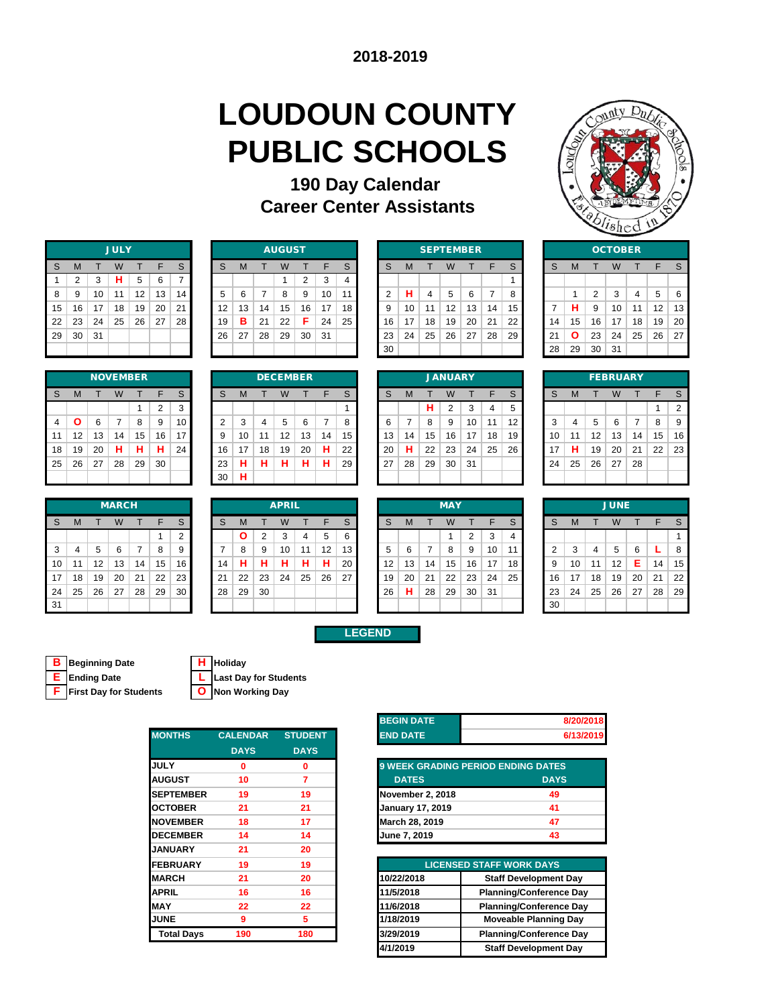# **LOUDOUN COUNTY PUBLIC SCHOOLS**

### **190 Day Calendar Career Center Assistants**

**LEGEND**



|    |                |    | <b>JULY</b> |    |    |                |
|----|----------------|----|-------------|----|----|----------------|
| S  | M              | T  | W           | т  | F  | $\mathsf S$    |
| 1  | $\overline{2}$ | 3  | н           | 5  | 6  | $\overline{7}$ |
| 8  | 9              | 10 | 11          | 12 | 13 | 14             |
| 15 | 16             | 17 | 18          | 19 | 20 | 21             |
| 22 | 23             | 24 | 25          | 26 | 27 | 28             |
| 29 | 30             | 31 |             |    |    |                |
|    |                |    |             |    |    |                |

|     |    |    |    | <b>NOVEMBER</b> |        |        |    |   |    | <b>DECEMBER</b> |    |    |    |    |    |    | <b>JANUARY</b> |    |    |    |    |    |    | <b>FEBRUARY</b> |    |
|-----|----|----|----|-----------------|--------|--------|----|---|----|-----------------|----|----|----|----|----|----|----------------|----|----|----|----|----|----|-----------------|----|
| - S | M  |    | W  |                 | F      | S      | S  | M |    | W               |    | ᆮ  | S  | S  | м  |    | W              |    | F  | S  |    | M  |    | W               |    |
|     |    |    |    |                 | ◠<br>∠ | ົ<br>د |    |   |    |                 |    |    |    |    |    | н  |                | 3  | 4  |    |    |    |    |                 |    |
| 4   | Ο  | 6  |    |                 | 9      | 10     | 2  |   | 4  | 5               | 6  |    | 8  |    |    | 8  | 9              | 10 | 11 | 12 |    | 4  | 5  | 6               |    |
| 11  | 12 | 13 | 14 | 15              | 16     | 17     | 9  | 0 | 11 | 12              | 13 | 14 | 15 | 13 | 14 | 15 | 16             | 17 | 18 | 19 | 10 | 11 | 12 | 13              | 14 |
| -18 | 19 | 20 | н  | н               | н      | 24     | 16 | 7 | 18 | 19              | 20 | н  | 22 | 20 | н  | 22 | 23             | 24 | 25 | 26 | 7  | н  | 19 | 20              | 21 |
| 25  | 26 | 27 | 28 | 29              | 30     |        | 23 |   |    | н               | н  | н  | 29 | 27 | 28 | 29 | 30             | 31 |    |    | 24 | 25 | 26 | 27              | 28 |
|     |    |    |    |                 |        |        | 30 | п |    |                 |    |    |    |    |    |    |                |    |    |    |    |    |    |                 |    |

|    |    |    | <b>MARCH</b> |    |    |        |    |    |    | <b>APRIL</b> |    |    |    |    |    |    | <b>MAY</b> |    |    |    |
|----|----|----|--------------|----|----|--------|----|----|----|--------------|----|----|----|----|----|----|------------|----|----|----|
| S  | M  |    | W            |    | F  | S      | S  | М  |    | W            |    | F  | S  | S  | M  |    | W          |    |    | S  |
|    |    |    |              |    |    | っ<br>∠ |    |    | c  | ⌒            | 4  | 5  | 6  |    |    |    |            | 2  | 3  | 4  |
| 3  | 4  | 5  | 6            |    | 8  | 9      |    | 8  | 9  | 10           | 11 | 12 | 13 | 5  | 6  |    | 8          | 9  | 10 | 11 |
| 10 | 11 | 12 | 13           | 14 | 15 | 16     | 14 | н  |    |              | н  | н  | 20 | 12 | 13 | 14 | 15         | 16 | 17 | 18 |
| 17 | 18 | 19 | 20           | 21 | 22 | 23     | 21 | 22 | 23 | 24           | 25 | 26 | 27 | 19 | 20 | 21 | 22         | 23 | 24 | 25 |
| 24 | 25 | 26 | 27           | 28 | 29 | 30     | 28 | 29 | 30 |              |    |    |    | 26 | н  | 28 | 29         | 30 | 31 |    |
| 31 |    |    |              |    |    |        |    |    |    |              |    |    |    |    |    |    |            |    |    |    |

|    | <b>JULY</b><br>S<br>W<br>м |    |    |    |    |    |  |    |    |    | <b>AUGUST</b> |    |    |    |    |    | <b>SEPTEMBER</b> |    |    |    |    |    |    |    | <b>OCTOBER</b> |    |    |    |
|----|----------------------------|----|----|----|----|----|--|----|----|----|---------------|----|----|----|----|----|------------------|----|----|----|----|----|----|----|----------------|----|----|----|
| S  |                            |    |    |    |    |    |  | S  | м  |    | W             |    | F  | C  | S  | M  |                  | W  |    |    | S  | S  | M  |    |                |    |    |    |
|    |                            | 3  | н  | 5  | 6  |    |  |    |    |    |               | 2  | 3  | 4  |    |    |                  |    |    |    |    |    |    |    |                |    |    |    |
| 8  | 9                          | 10 | 11 | 12 | 13 | 14 |  | 5  | 6  |    | 8             | 9  | 10 | 11 |    | н  | 4                | 5  | 6  |    | 8  |    |    | 2  | 3              | 4  | 5  | 6  |
| 15 | 16                         | 17 | 18 | 19 | 20 | 21 |  | 12 | 13 | 14 | 15            | 16 | 17 | 18 |    | 10 | 11               | 12 | 13 | 14 | 15 |    | н  | 9  | 10             | 11 | 12 | 13 |
| 22 | -23                        | 24 | 25 | 26 | 27 | 28 |  | 19 | в  | 21 | 22            | Е  | 24 | 25 | 16 | 17 | 18               | 19 | 20 | 21 | 22 | 14 | 15 | 16 | 17             | 18 | 19 | 20 |
| 29 | 30                         | 31 |    |    |    |    |  | 26 | 27 | 28 | 29            | 30 | 31 |    | 23 | 24 | 25               | 26 | 27 | 28 | 29 | 21 | Ο  | 23 | 24             | 25 | 26 | 27 |
|    |                            |    |    |    |    |    |  |    |    |    |               |    |    |    | 30 |    |                  |    |    |    |    | 28 | 29 | 30 | $\vert$ 31     |    |    |    |

|    |    |    |    | <b>SEPTEMBER</b> |    |    |
|----|----|----|----|------------------|----|----|
| S  | M  | т  | W  | т                | F  | S  |
|    |    |    |    |                  |    | 1  |
| 2  | н  | 4  | 5  | 6                | 7  | 8  |
| 9  | 10 | 11 | 12 | 13               | 14 | 15 |
| 16 | 17 | 18 | 19 | 20               | 21 | 22 |
| 23 | 24 | 25 | 26 | 27               | 28 | 29 |
| 30 |    |    |    |                  |    |    |
|    |    |    |    |                  |    |    |

| 22             | 23 | 24 | 25 | 26              | 27             | 28 | 19             | в  | 21 | 22              | F  | 24                       | 25              | 16 | 17 | 18 | 19             | 20 | 21 | 22 | 14 | 15 | 16 | 17              | 18 | 19 | 20             |
|----------------|----|----|----|-----------------|----------------|----|----------------|----|----|-----------------|----|--------------------------|-----------------|----|----|----|----------------|----|----|----|----|----|----|-----------------|----|----|----------------|
| 29             | 30 | 31 |    |                 |                |    | 26             | 27 | 28 | 29              | 30 | 31                       |                 | 23 | 24 | 25 | 26             | 27 | 28 | 29 | 21 | O  | 23 | 24              | 25 | 26 | -27            |
|                |    |    |    |                 |                |    |                |    |    |                 |    |                          |                 | 30 |    |    |                |    |    |    | 28 | 29 | 30 | -31             |    |    |                |
|                |    |    |    |                 |                |    |                |    |    |                 |    |                          |                 |    |    |    |                |    |    |    |    |    |    |                 |    |    |                |
|                |    |    |    | <b>NOVEMBER</b> |                |    |                |    |    | <b>DECEMBER</b> |    |                          |                 |    |    |    | <b>JANUARY</b> |    |    |    |    |    |    | <b>FEBRUARY</b> |    |    |                |
|                |    |    |    |                 |                |    |                |    |    |                 |    | F                        | S.              | S  |    |    | W              |    | F. |    |    |    |    |                 |    | F  |                |
| S              | M  |    | W  |                 | F              | S  | S              | м  |    | W               |    |                          |                 |    | M  |    |                |    |    | S  | S  | M  |    | W               |    |    | S              |
|                |    |    |    |                 | $\overline{2}$ | 3  |                |    |    |                 |    |                          |                 |    |    | н  | 2              | 3  | 4  | 5  |    |    |    |                 |    |    | $\overline{2}$ |
| $\overline{4}$ |    | 6  |    | 8               | 9              | 10 | $\overline{2}$ | 3  | 4  | 5               | 6  | $\overline{\phantom{a}}$ | 8               | 6  | 7  | 8  | 9              | 10 | 11 | 12 | 3  | 4  | 5  | 6               | 7  | 8  | 9              |
| 11             | 12 | 13 | 14 | 15              | 16             | 17 | 9              | 10 | 11 | 12              | 13 | 14                       | 15 <sup>1</sup> | 13 | 14 | 15 | 16             | 17 | 18 | 19 | 10 | 11 | 12 | 13              | 14 | 15 | 16             |
| 18             | 19 | 20 | н  | н               | н              | 24 | 16             | 17 | 18 | 19              | 20 | н                        | 22              | 20 | н  | 22 | 23             | 24 | 25 | 26 | 17 | н  | 19 | 20              | 21 | 22 | 23             |

| 21 | Ο  | 23 | 24              | 25 | 26 | 27             |
|----|----|----|-----------------|----|----|----------------|
| 28 | 29 | 30 | 31              |    |    |                |
|    |    |    |                 |    |    |                |
|    |    |    | <b>FEBRUARY</b> |    |    |                |
| S  | M  | т  | W               | T  | F  | S              |
|    |    |    |                 |    | 1  | $\overline{2}$ |
| 3  | 4  | 5  | 6               | 7  | 8  | 9              |
| 10 | 11 | 12 | 13              | 14 | 15 | 16             |
| 17 | н  | 19 | 20              | 21 | 22 | 23             |
| 24 | 25 | 26 | 27              | 28 |    |                |

|    |    |    | <b>MARCH</b> |    |    |    |     |    |    | <b>APRIL</b> |    |    |              | <b>MAY</b>   |    |                 | <b>JUNE</b> |    |    |    |    |    |    |    |    |    |    |
|----|----|----|--------------|----|----|----|-----|----|----|--------------|----|----|--------------|--------------|----|-----------------|-------------|----|----|----|----|----|----|----|----|----|----|
| S  | M  |    | W            |    | E  | S  | S   | м  |    | W            |    | F  | <sub>S</sub> | <sub>S</sub> | M  |                 | W           |    |    | S  | S  |    |    |    |    |    |    |
|    |    |    |              |    |    | 2  |     | O  | 2  | 3            | 4  | 5  | 6            |              |    |                 |             |    | 3  |    |    |    |    |    |    |    |    |
| 3  |    | 5  | 6            | 7  | 8  | 9  |     | 8  | 9  | 10           | 11 | 12 | 13           |              | 6  |                 | 8           | 9  | 10 | 11 | 2  | 3  | 4  | 5  | 6  |    | 8  |
| 10 | 11 | 12 | 13           | 14 | 15 | 16 | 14  | н  | н  | н            | н  | н  | 20           | 12           | 13 | 14              | 15          | 16 | 17 | 18 | 9  | 10 | 11 | 12 | Е. | 14 | 15 |
| 17 | 18 | 19 | 20           | 21 | 22 | 23 | -21 | 22 | 23 | 24           | 25 | 26 | 27           | 19           | 20 | 21              | 22          | 23 | 24 | 25 | 16 | 17 | 18 | 19 | 20 | 21 | 22 |
| 24 | 25 | 26 | 27           | 28 | 29 | 30 | 28  | 29 | 30 |              |    |    |              | 26           | н  | 28 <sub>1</sub> | 29          | 30 | 31 |    | 23 | 24 | 25 | 26 | 27 | 28 | 29 |
| 31 |    |    |              |    |    |    |     |    |    |              |    |    |              |              |    |                 |             |    |    |    | 30 |    |    |    |    |    |    |

|    |    |    | <b>MAY</b> |    |    |  |
|----|----|----|------------|----|----|--|
| S  | M  | т  | W          | T  | F  |  |
|    |    |    | 1          | 2  | 3  |  |
| 5  | 6  | 7  | 8          | 9  | 10 |  |
| 12 | 13 | 14 | 15         | 16 | 17 |  |
| 19 | 20 | 21 | 22         | 23 | 24 |  |
| 26 | н  | 28 | 29         | 30 | 31 |  |
|    |    |    |            |    |    |  |

| <b>JUNE</b>    |    |    |    |    |    |    |  |  |  |
|----------------|----|----|----|----|----|----|--|--|--|
| S              | M  | T  | W  | T  | F  | S  |  |  |  |
|                |    |    |    |    |    | 1  |  |  |  |
| $\overline{2}$ | 3  | 4  | 5  | 6  | L  | 8  |  |  |  |
| 9              | 10 | 11 | 12 | E  | 14 | 15 |  |  |  |
| 16             | 17 | 18 | 19 | 20 | 21 | 22 |  |  |  |
| 23             | 24 | 25 | 26 | 27 | 28 | 29 |  |  |  |
| 30             |    |    |    |    |    |    |  |  |  |

**B Beginning Date H Holiday**

| <b>E</b> Ending Date | L Last Day for Students |
|----------------------|-------------------------|
|                      |                         |

**F First Day for Students O Non Working Day**

| Holiday |  |
|---------|--|
|         |  |

| <b>MONTHS</b>     | <b>CALENDAR</b> | <b>STUDENT</b> |
|-------------------|-----------------|----------------|
|                   | <b>DAYS</b>     | <b>DAYS</b>    |
| <b>JULY</b>       | 0               | 0              |
| <b>AUGUST</b>     | 10              | 7              |
| <b>SEPTEMBER</b>  | 19              | 19             |
| <b>OCTOBER</b>    | 21              | 21             |
| <b>NOVEMBER</b>   | 18              | 17             |
| <b>DECEMBER</b>   | 14              | 14             |
| <b>JANUARY</b>    | 21              | 20             |
| <b>FEBRUARY</b>   | 19              | 19             |
| <b>MARCH</b>      | 21              | 20             |
| <b>APRIL</b>      | 16              | 16             |
| <b>MAY</b>        | 22              | 22             |
| <b>JUNE</b>       | 9               | 5              |
| <b>Total Days</b> | 190             | 180            |
|                   |                 |                |

| <b>BEGIN DATE</b> | 8/20/2018 |
|-------------------|-----------|
| <b>END DATE</b>   | 6/13/2019 |

| <b>9 WEEK GRADING PERIOD ENDING DATES</b> |             |  |  |  |  |  |  |  |
|-------------------------------------------|-------------|--|--|--|--|--|--|--|
| <b>DATES</b>                              | <b>DAYS</b> |  |  |  |  |  |  |  |
| <b>November 2, 2018</b>                   | 49          |  |  |  |  |  |  |  |
| <b>January 17, 2019</b>                   | 41          |  |  |  |  |  |  |  |
| March 28, 2019                            | 47          |  |  |  |  |  |  |  |
| June 7, 2019                              | 43          |  |  |  |  |  |  |  |

| <b>EBRUARY</b>    | 19  | 19  |            | <b>LICENSED STAFF WORK DAYS</b> |
|-------------------|-----|-----|------------|---------------------------------|
| <b>ARCH</b>       | 21  | 20  | 10/22/2018 | <b>Staff Development Day</b>    |
| PRIL              | 16  | 16  | 11/5/2018  | <b>Planning/Conference Day</b>  |
| AY                | 22  | 22  | 11/6/2018  | <b>Planning/Conference Day</b>  |
| JNE               | 9   | 5   | 1/18/2019  | <b>Moveable Planning Day</b>    |
| <b>Total Days</b> | 190 | 180 | 3/29/2019  | <b>Planning/Conference Day</b>  |
|                   |     |     | 4/1/2019   | <b>Staff Development Day</b>    |
|                   |     |     |            |                                 |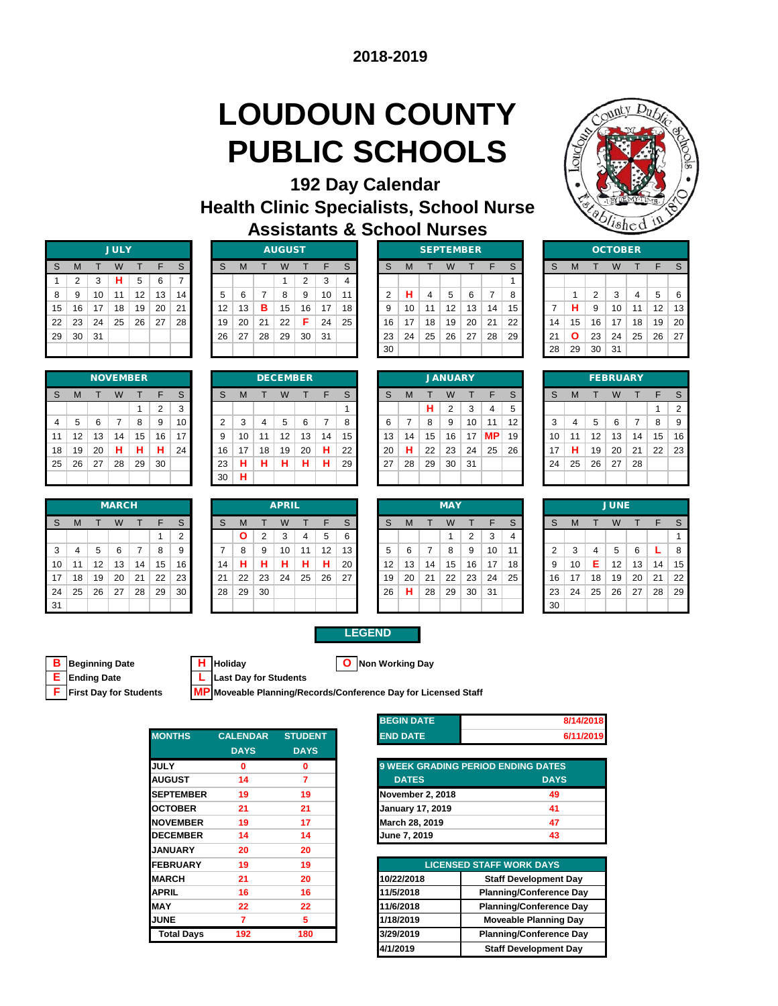# **LOUDOUN COUNTY PUBLIC SCHOOLS**



| <b>192 Day Calendar</b>                        |  |  |  |  |  |  |  |  |
|------------------------------------------------|--|--|--|--|--|--|--|--|
| <b>Health Clinic Specialists, School Nurse</b> |  |  |  |  |  |  |  |  |
| <b>Assistants &amp; School Nurses</b>          |  |  |  |  |  |  |  |  |

| <b>JULY</b> |                |    |    |    |    |    |  |  |
|-------------|----------------|----|----|----|----|----|--|--|
| S           | M              | т  | W  | т  | F  | S  |  |  |
| 1           | $\overline{2}$ | 3  | н  | 5  | 6  | 7  |  |  |
| 8           | 9              | 10 | 11 | 12 | 13 | 14 |  |  |
| 15          | 16             | 17 | 18 | 19 | 20 | 21 |  |  |
| 22          | 23             | 24 | 25 | 26 | 27 | 28 |  |  |
| 29          | 30             | 31 |    |    |    |    |  |  |
|             |                |    |    |    |    |    |  |  |

|    | ◠<br>ے | 3  | н  | 5               | 6  |    |    |    |    |                 | 2  | 3  |    |    |    |    |                |    |    |                 |    |    |    |                 |    |    |    |
|----|--------|----|----|-----------------|----|----|----|----|----|-----------------|----|----|----|----|----|----|----------------|----|----|-----------------|----|----|----|-----------------|----|----|----|
| 8  |        | 10 | 11 | 12              | 13 | 14 | 5  | 6  |    | 8               | 9  | 10 | 11 |    | н  | 4  | 5              | 6  |    | 8               |    |    | 2  | 3               | 4  | 5  | -6 |
| 15 | 16     | 17 | 18 | 19              | 20 | 21 | 12 | 13 | в  | 15              | 16 | 17 | 18 |    | 10 | 11 | 12             | 13 | 14 | 15 <sub>1</sub> |    | н  | 9  | 10              | 11 | 12 | 13 |
| 22 | 23     | 24 | 25 | 26              | 27 | 28 | 19 | 20 | 21 | 22              | Е  | 24 | 25 | 16 | 17 | 18 | 19             | 20 | 21 | 22              | 14 | 15 | 16 | 17              | 18 | 19 | 20 |
| 29 | 30     | 31 |    |                 |    |    | 26 | 27 | 28 | 29              | 30 | 31 |    | 23 | 24 | 25 | 26             | 27 | 28 | 29              | 21 | O  | 23 | 24              | 25 | 26 | 27 |
|    |        |    |    |                 |    |    |    |    |    |                 |    |    |    | 30 |    |    |                |    |    |                 | 28 | 29 | 30 | ∣ 31            |    |    |    |
|    |        |    |    |                 |    |    |    |    |    |                 |    |    |    |    |    |    |                |    |    |                 |    |    |    |                 |    |    |    |
|    |        |    |    | <b>NOVEMBER</b> |    |    |    |    |    | <b>DECEMBER</b> |    |    |    |    |    |    | <b>JANUARY</b> |    |    |                 |    |    |    | <b>FEBRUARY</b> |    |    |    |
|    |        |    |    |                 |    |    |    |    |    |                 |    |    |    |    |    |    |                |    |    |                 |    |    |    |                 |    |    |    |

|      |                 |     | JULY |    |    |    |    |    |    | <b>AUGUST</b> |    |    |                 |    |    |    | <b>SEPIEMBER</b> |    |    |    |    |              |         | <b>OCTOBER</b> |    |                   |                |
|------|-----------------|-----|------|----|----|----|----|----|----|---------------|----|----|-----------------|----|----|----|------------------|----|----|----|----|--------------|---------|----------------|----|-------------------|----------------|
| S.   | M               |     | W    |    | F  | S  | S  | М  |    | W             |    |    | S.              |    | M  |    | W                |    |    | S  | S  | М            |         | W              |    |                   |                |
|      | 2               | 3   | н    | 5  | 6  |    |    |    |    |               | 2  | 3  | 4               |    |    |    |                  |    |    |    |    |              |         |                |    |                   |                |
| 8    | -9              | 10  | 11   | 12 | 13 | 14 | 5  | 6  |    | 8             | 9  | 10 | 11              |    | н  | 4  | 5                | 6  |    | 8  |    |              | 2       | 3              | 4  | 5                 | 6              |
| 15 I | 16              | 17  | 18   | 19 | 20 | 21 | 12 | 13 | в  | 15            | 16 | 17 | 18 <sup>1</sup> | 9  | 10 | 11 | 12               | 13 | 14 | 15 |    | н            | 9       | 10             | 11 | $12 \overline{ }$ | $\overline{1}$ |
| 22   | 23              | 24  | 25   | 26 | 27 | 28 | 19 | 20 | 21 | 22            | F  | 24 | 25              | 16 | 17 | 18 | 19               | 20 | 21 | 22 | 14 | 15           | 16      | 17             | 18 | 19                | $\overline{2}$ |
| 29   | 30 <sup>1</sup> | -31 |      |    |    |    | 26 | 27 | 28 | 29            | 30 | 31 |                 | 23 | 24 | 25 | 26               | 27 | 28 | 29 | 21 | $\mathbf{o}$ | 23      | 24             | 25 | 26                | $\overline{2}$ |
|      |                 |     |      |    |    |    |    |    |    |               |    |    |                 | 30 |    |    |                  |    |    |    | 28 | 29           | 30   31 |                |    |                   |                |
|      |                 |     |      |    |    |    |    |    |    |               |    |    |                 |    |    |    |                  |    |    |    |    |              |         |                |    |                   |                |

|    | <b>JULY</b> |    |    |    |                 |    |    | <b>AUGUST</b> |    |    |    |    |    |    |    | <b>SEPTEMBER</b> |    |    |    |    |    | <b>OCTOBER</b> |    |
|----|-------------|----|----|----|-----------------|----|----|---------------|----|----|----|----|----|----|----|------------------|----|----|----|----|----|----------------|----|
| W  |             |    | F  | S  | S               | М  |    | W             |    |    | S  | S  | M  |    | W  |                  |    | S  | S  | M  |    | W              |    |
|    | н           | 5  | 6  |    |                 |    |    |               | ⌒  | 3  | 4  |    |    |    |    |                  |    |    |    |    |    |                |    |
| 11 |             | 12 | 13 | 14 | 5               | 6  |    | 8             | 9  | 10 | 11 | ົ  | н  |    | 5  | 6                | 7  | 8  |    |    | っ  | 3              | 4  |
|    | 18          | 19 | 20 | 21 | 12 <sup>2</sup> | 13 | в  | 15            | 16 | 17 | 18 | 9  | 10 |    | 12 | 13               | 14 | 15 |    | н  | 9  | 10             | 11 |
|    | 25          | 26 | 27 | 28 | 19              | 20 | 21 | 22            | F  | 24 | 25 | 16 | 17 | 18 | 19 | 20               | 21 | 22 | 14 | 15 | 16 | 17             | 18 |
|    |             |    |    |    | 26              | 27 | 28 | 29            | 30 | 31 |    | 23 | 24 | 25 | 26 | 27               | 28 | 29 | 21 | Ο  | 23 | 24             | 25 |
|    |             |    |    |    |                 |    |    |               |    |    |    | 30 |    |    |    |                  |    |    | 28 | 29 | 30 | 31             |    |
|    |             |    |    |    |                 |    |    |               |    |    |    |    |    |    |    |                  |    |    |    |    |    |                |    |

|                |    |    | <b>OCTOBER</b> |    |    |    |
|----------------|----|----|----------------|----|----|----|
| S              | M  | T  | W              | T  | F  | S  |
|                |    |    |                |    |    |    |
|                | 1  | 2  | 3              | 4  | 5  | 6  |
| $\overline{7}$ | н  | 9  | 10             | 11 | 12 | 13 |
| 14             | 15 | 16 | 17             | 18 | 19 | 20 |
| 21             | Ο  | 23 | 24             | 25 | 26 | 27 |
| 28             | 29 | 30 | 31             |    |    |    |

|    |    |    | <b>NOVEMBER</b> |    |                |    |
|----|----|----|-----------------|----|----------------|----|
| S  | M  | т  | W               |    | F              | S  |
|    |    |    |                 | 1  | $\overline{2}$ | 3  |
| 4  | 5  | 6  | 7               | 8  | 9              | 10 |
| 11 | 12 | 13 | 14              | 15 | 16             | 17 |
| 18 | 19 | 20 | н               | н  | н              | 24 |
| 25 | 26 | 27 | 28              | 29 | 30             |    |
|    |    |    |                 |    |                |    |

|     |    |    | <b>MARCH</b> |     |    |    |    |    |    | <b>APRIL</b> |    |    |    |    |    |    | <b>MAY</b> |    |    |    |
|-----|----|----|--------------|-----|----|----|----|----|----|--------------|----|----|----|----|----|----|------------|----|----|----|
| i S | M  |    | W            |     | F  | S  | S  | м  |    | W            |    | F  | S  | S  | M  |    | W          |    | E  |    |
|     |    |    |              |     |    | っ  |    |    | っ  | 3            | 4  | 5  | 6  |    |    |    |            | 2  | 3  | 4  |
| 3   | 4  | 5  | 6            |     | 8  | 9  |    | 8  | 9  | 10           | 11 | 12 | 13 | 5  | 6  | -  | 8          | 9  | 10 | 11 |
| 10  |    | 12 | 13           | 14. | 15 | 16 | 14 | н  | н  | н            | н  | н  | 20 | 12 | 13 | 14 | 15         | 16 | 17 | 18 |
| 17  | 18 | 19 | 20           | 21  | 22 | 23 | 21 | 22 | 23 | 24           | 25 | 26 | 27 | 19 | 20 | 21 | 22         | 23 | 24 | 25 |
| 24  | 25 | 26 | 27           | 28  | 29 | 30 | 28 | 29 | 30 |              |    |    |    | 26 | н  | 28 | 29         | 30 | 31 |    |
| 31  |    |    |              |     |    |    |    |    |    |              |    |    |    |    |    |    |            |    |    |    |

| 11 | 12 | 13 | 14           | 15 | 16 | 17             | 9  | 10           | 11 | 12           | 13 | 14 | 15 | 13 | 14 | 15 | 16         | 17 | <b>MP</b> | 19 | 10 | 11 | 12 | 13          | 14 |
|----|----|----|--------------|----|----|----------------|----|--------------|----|--------------|----|----|----|----|----|----|------------|----|-----------|----|----|----|----|-------------|----|
| 18 | 19 | 20 | н            | н  | н  | 24             | 16 | 17           | 18 | 19           | 20 | н  | 22 | 20 | н  | 22 | 23         | 24 | 25        | 26 | 17 | н  | 19 | 20          | 21 |
| 25 | 26 | 27 | 28           | 29 | 30 |                | 23 | н            | н  | н            | н  | н  | 29 | 27 | 28 | 29 | 30         | 31 |           |    | 24 | 25 | 26 | 27          | 28 |
|    |    |    |              |    |    |                | 30 | н            |    |              |    |    |    |    |    |    |            |    |           |    |    |    |    |             |    |
|    |    |    |              |    |    |                |    |              |    |              |    |    |    |    |    |    |            |    |           |    |    |    |    |             |    |
|    |    |    |              |    |    |                |    |              |    |              |    |    |    |    |    |    |            |    |           |    |    |    |    |             |    |
|    |    |    | <b>MARCH</b> |    |    |                |    |              |    | <b>APRIL</b> |    |    |    |    |    |    | <b>MAY</b> |    |           |    |    |    |    | <b>JUNE</b> |    |
| S  | м  |    | W            |    | F  | S              | S  | M            |    | W            |    | F  | S  | S  | M  |    | W          |    | F         | S  | S  | M  |    | W           |    |
|    |    |    |              |    |    | $\overline{2}$ |    | $\mathbf{o}$ | 2  | 3            | 4  | 5  | 6  |    |    |    |            | 2  | 3         | 4  |    |    |    |             |    |
| 3  | 4  | 5  | 6            |    | 8  | 9              |    | 8            | 9  | 10           | 11 | 12 | 13 | 5  | 6  | 7  | 8          | 9  | 10        | 11 | 2  | 3  | 4  | 5           | 6  |
| 10 | 11 | 12 | 13           | 14 | 15 | 16             | 14 | н            | н  | н            | н  | н  | 20 | 12 | 13 | 14 | 15         | 16 | 17        | 18 | 9  | 10 | Е  | 12          | 13 |

|                |    |    |    | <b>NOVEMBER</b> |    |    |    |    |    | <b>DECEMBER</b> |         |    |    |    |    |    | <b>JANUARY</b> |     |           |    |    |    |    | <b>FEBRUARY</b> |    |    |                |
|----------------|----|----|----|-----------------|----|----|----|----|----|-----------------|---------|----|----|----|----|----|----------------|-----|-----------|----|----|----|----|-----------------|----|----|----------------|
| <sub>S</sub>   | M  |    | W  |                 | E  | S  | S  | м  |    | W               |         | F  | S  | S  | M  |    | W              |     |           | S  | S  | M  |    |                 |    | Ε. |                |
|                |    |    |    |                 | ◠  | 3  |    |    |    |                 |         |    |    |    |    | н  | 2              | 3   | 4         | 5  |    |    |    |                 |    |    | $\overline{2}$ |
| $\overline{4}$ | 5  | 6  |    | 8               | 9  | 10 | ◠  | 3  | 4  | 5               | 6       |    | 8  |    |    | 8  | 9              | 10  | 11        | 12 | 3  | 4  | 5  | 6               |    | 8  | 9              |
| 11             | 12 | 13 | 14 | 15              | 16 | 17 | 9  | 10 | 11 | 12              | 13      | 14 | 15 | 13 | 14 | 15 | 16             | 17  | <b>MP</b> | 19 | 10 | 11 | 12 | 13              | 14 | 15 | 16             |
| 18             | 19 | 20 | н  | н               | н  | 24 | 16 | 17 | 18 | 19              | 20      | н  | 22 | 20 | н  | 22 | 23             | 24  | 25        | 26 | 17 | н  | 19 | 20              | 21 | 22 | 23             |
| 25             | 26 | 27 | 28 | 29              | 30 |    | 23 | н  | н  | н               | л<br>п. | н  | 29 | 27 | 28 | 29 | 30             | -31 |           |    | 24 | 25 | 26 | 27              | 28 |    |                |
|                |    |    |    |                 |    |    | 30 | н  |    |                 |         |    |    |    |    |    |                |     |           |    |    |    |    |                 |    |    |                |
|                |    |    |    |                 |    |    |    |    |    |                 |         |    |    |    |    |    |                |     |           |    |    |    |    |                 |    |    |                |

|    |    |    | <b>FEBRUARY</b> |    |    |                |
|----|----|----|-----------------|----|----|----------------|
| S  | M  | т  | W               | т  | F  | S              |
|    |    |    |                 |    | 1  | $\overline{2}$ |
| 3  | 4  | 5  | 6               | 7  | 8  | 9              |
| 10 | 11 | 12 | 13              | 14 | 15 | 16             |
| 17 | н  | 19 | 20              | 21 | 22 | 23             |
| 24 | 25 | 26 | 27              | 28 |    |                |
|    |    |    |                 |    |    |                |

|    |    |    | <b>MARCH</b> |    |    |          |    |              |                | <b>APRIL</b> |    |    |    |                   |    |    | <b>MAY</b> |                 |     |    |        |    |    | <b>JUNE</b>       |    |    |    |
|----|----|----|--------------|----|----|----------|----|--------------|----------------|--------------|----|----|----|-------------------|----|----|------------|-----------------|-----|----|--------|----|----|-------------------|----|----|----|
| S  | M  |    | W            |    | Е  | S        | S  | м            |                | W            |    | F  | S. | S.                | M  |    | W          |                 |     | S  | S      | м  |    |                   |    |    |    |
|    |    |    |              |    |    | $\Omega$ |    | $\mathbf{o}$ | $\overline{2}$ | 3            | 4  | 5  | 6  |                   |    |    |            | ◠               | 3   |    |        |    |    |                   |    |    |    |
| 3  | 4  | 5  | 6            | 7  | 8  | 9        |    | 8            | 9              | 10           | 11 | 12 | 13 |                   | 6  |    | 8          | 9               | 10  | 11 | $\sim$ | 3  | 4  | 5                 | 6  |    | 8  |
| 10 | 11 | 12 | 13           | 14 | 15 | 16       | 14 | н            | н              | н            | н  | н  | 20 | $12 \overline{ }$ | 13 | 14 | 15         | 16              | 17  | 18 | 9      | 10 | Е  | $12 \overline{ }$ | 13 | 14 | 15 |
| 17 | 18 | 19 | 20           | 21 | 22 | 23       | 21 | 22           | 23             | 24           | 25 | 26 | 27 | 19                | 20 | 21 | 22         | 23 <sub>1</sub> | 24  | 25 | 16     | 17 | 18 | 19                | 20 | 21 | 22 |
| 24 | 25 | 26 | 27           | 28 | 29 | 30       | 28 | 29           | 30             |              |    |    |    | 26                | н  | 28 | 29         | 30              | -31 |    | 23     | 24 | 25 | 26                | 27 | 28 | 29 |
| 31 |    |    |              |    |    |          |    |              |                |              |    |    |    |                   |    |    |            |                 |     |    | 30     |    |    |                   |    |    |    |

|    |    |    | <b>MAY</b> |                |    |   |
|----|----|----|------------|----------------|----|---|
| S  | М  | т  | W          | т              | F  |   |
|    |    |    | 1          | $\overline{2}$ | 3  |   |
| 5  | 6  | 7  | 8          | 9              | 10 |   |
| 12 | 13 | 14 | 15         | 16             | 17 | ł |
| 19 | 20 | 21 | 22         | 23             | 24 | í |
| 26 | н  | 28 | 29         | 30             | 31 |   |
|    |    |    |            |                |    |   |

|                |    |    | <b>JUNE</b> |    |    |    |
|----------------|----|----|-------------|----|----|----|
| S              | M  | т  | W           | T  | F  | S  |
|                |    |    |             |    |    | 1  |
| $\overline{2}$ | 3  | 4  | 5           | 6  | L  | 8  |
| 9              | 10 | E  | 12          | 13 | 14 | 15 |
| 16             | 17 | 18 | 19          | 20 | 21 | 22 |
| 23             | 24 | 25 | 26          | 27 | 28 | 29 |
| 30             |    |    |             |    |    |    |

**B Beginning Date H Holiday O Non Working Day E Ending Date L** Last Day for Students<br> **F** First Day for Students **MP** Moveable Planning/Re **F First Day for Students MP Moveable Planning/Records/Conference Day for Licensed Staff**

|                   |                 |                | שומש ווטש               |                                           |
|-------------------|-----------------|----------------|-------------------------|-------------------------------------------|
| <b>MONTHS</b>     | <b>CALENDAR</b> | <b>STUDENT</b> | <b>END DATE</b>         |                                           |
|                   | <b>DAYS</b>     | <b>DAYS</b>    |                         |                                           |
| <b>JULY</b>       | 0               | 0              |                         | <b>9 WEEK GRADING PERIOD ENDING DATES</b> |
| <b>AUGUST</b>     | 14              | $\overline{7}$ | <b>DATES</b>            | <b>DAYS</b>                               |
| <b>SEPTEMBER</b>  | 19              | 19             | November 2, 2018        | 49                                        |
| <b>OCTOBER</b>    | 21              | 21             | <b>January 17, 2019</b> | 41                                        |
| <b>NOVEMBER</b>   | 19              | 17             | March 28, 2019          | 47                                        |
| <b>DECEMBER</b>   | 14              | 14             | June 7, 2019            | 43                                        |
| <b>JANUARY</b>    | 20              | 20             |                         |                                           |
| <b>FEBRUARY</b>   | 19              | 19             |                         | <b>LICENSED STAFF WORK DAYS</b>           |
| <b>MARCH</b>      | 21              | 20             | 10/22/2018              | <b>Staff Development</b>                  |
| <b>APRIL</b>      | 16              | 16             | 11/5/2018               | Planning/Conference                       |
| <b>MAY</b>        | 22              | 22             | 11/6/2018               | <b>Planning/Conference</b>                |
| <b>JUNE</b>       | 7               | 5              | 1/18/2019               | <b>Moveable Planning</b>                  |
| <b>Total Days</b> | 192             | 180            | 3/29/2019               | Planning/Conference                       |
|                   |                 |                | 4/1/2019                | <b>Staff Development</b>                  |

| <b>BEGIN DATE</b> | 8/14/2018 |
|-------------------|-----------|
| <b>END DATE</b>   | 6/11/2019 |

| <b>9 WEEK GRADING PERIOD ENDING DATES</b> |             |
|-------------------------------------------|-------------|
| <b>DATES</b>                              | <b>DAYS</b> |
| November 2, 2018                          | 49          |
| <b>January 17, 2019</b>                   | 41          |
| March 28, 2019                            | 47          |
| June 7, 2019                              | 43          |

| <b>EBRUARY</b>    | 19  | 19  |            | <b>LICENSED STAFF WORK DAYS</b> |
|-------------------|-----|-----|------------|---------------------------------|
| <b>ARCH</b>       | 21  | 20  | 10/22/2018 | <b>Staff Development Day</b>    |
| PRIL              | 16  | 16  | 11/5/2018  | <b>Planning/Conference Day</b>  |
| AY                | 22  | 22  | 11/6/2018  | <b>Planning/Conference Day</b>  |
| JNE               |     | 5   | 1/18/2019  | <b>Moveable Planning Day</b>    |
| <b>Total Days</b> | 192 | 180 | 3/29/2019  | <b>Planning/Conference Day</b>  |
|                   |     |     | 4/1/2019   | <b>Staff Development Day</b>    |
|                   |     |     |            |                                 |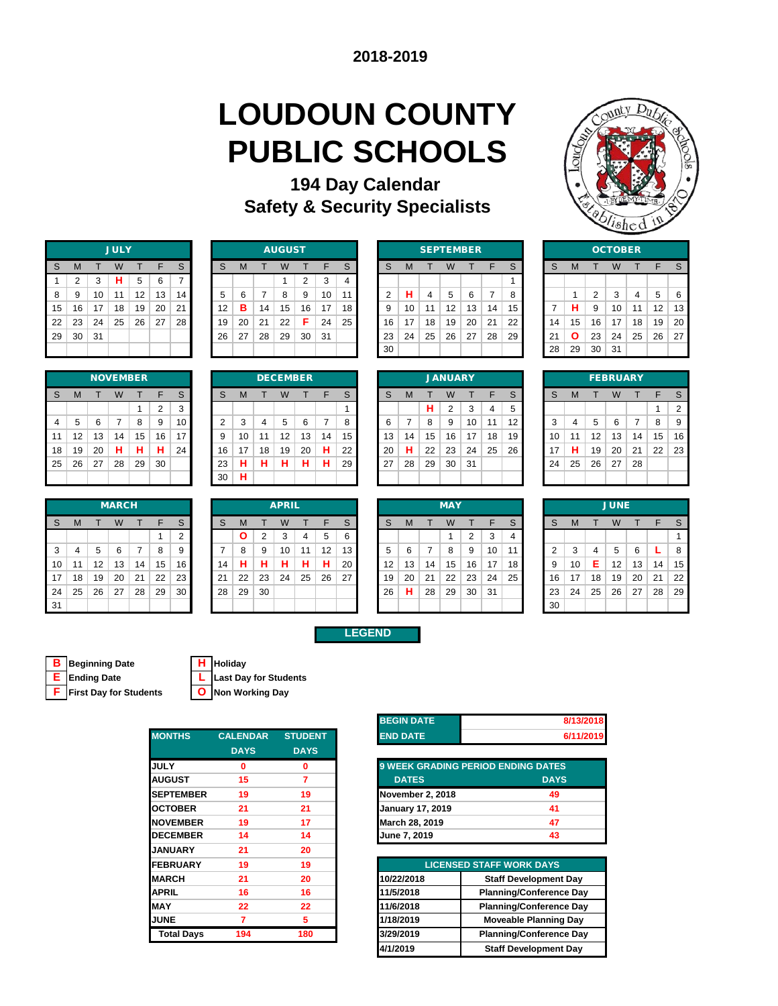# **LOUDOUN COUNTY PUBLIC SCHOOLS**

### **Safety & Security Specialists 194 Day Calendar**



|    | <b>JULY</b>    |    |    |    |    |    |  |  |  |  |  |  |  |  |  |
|----|----------------|----|----|----|----|----|--|--|--|--|--|--|--|--|--|
| S  | M              | т  | W  | т  | F  | S  |  |  |  |  |  |  |  |  |  |
| 1  | $\overline{2}$ | 3  | н  | 5  | 6  | 7  |  |  |  |  |  |  |  |  |  |
| 8  | 9              | 10 | 11 | 12 | 13 | 14 |  |  |  |  |  |  |  |  |  |
| 15 | 16             | 17 | 18 | 19 | 20 | 21 |  |  |  |  |  |  |  |  |  |
| 22 | 23             | 24 | 25 | 26 | 27 | 28 |  |  |  |  |  |  |  |  |  |
| 29 | 30             | 31 |    |    |    |    |  |  |  |  |  |  |  |  |  |
|    |                |    |    |    |    |    |  |  |  |  |  |  |  |  |  |

|                         | <b>NOVEMBER</b> |    |    |    |                |    |  |  |  |  |  |  |  |  |  |
|-------------------------|-----------------|----|----|----|----------------|----|--|--|--|--|--|--|--|--|--|
| S                       | M               | т  | W  | т  | F              | S  |  |  |  |  |  |  |  |  |  |
|                         |                 |    |    | 1  | $\overline{2}$ | 3  |  |  |  |  |  |  |  |  |  |
| $\overline{\mathbf{4}}$ | 5               | 6  | 7  | 8  | 9              | 10 |  |  |  |  |  |  |  |  |  |
| 11                      | 12              | 13 | 14 | 15 | 16             | 17 |  |  |  |  |  |  |  |  |  |
| 18                      | 19              | 20 | н  | н  | н              | 24 |  |  |  |  |  |  |  |  |  |
| 25                      | 26              | 27 | 28 | 29 | 30             |    |  |  |  |  |  |  |  |  |  |
|                         |                 |    |    |    |                |    |  |  |  |  |  |  |  |  |  |

|              |    |    | <b>MARCH</b> |    |    |    |  |  |  |  |
|--------------|----|----|--------------|----|----|----|--|--|--|--|
| <sub>S</sub> | M  |    | W            |    | ⊏  | S  |  |  |  |  |
|              |    |    |              |    |    | ◠  |  |  |  |  |
| 3            |    | 5  | 6            |    | 8  | 9  |  |  |  |  |
| 10           | 11 | 12 | 13           | 14 | 15 | 16 |  |  |  |  |
| 17           | 18 | 19 | 20           | 21 | 22 | 23 |  |  |  |  |
| 24           | 25 | 26 | 27           | 28 | 29 | 30 |  |  |  |  |
| 31           |    |    |              |    |    |    |  |  |  |  |

|    |    |    | <b>JULY</b> |    |    |    |    |    |    | <b>AUGUST</b> |    |    |        |    |    | <b>SEPTEMBER</b> |    |    |    |     |    | <b>OCTOBER</b> |    |     |    |    |    |  |  |
|----|----|----|-------------|----|----|----|----|----|----|---------------|----|----|--------|----|----|------------------|----|----|----|-----|----|----------------|----|-----|----|----|----|--|--|
| S  | м  |    | W           |    | F  | S  | S  | M  |    | W             |    | F  | $\sim$ |    | M  |                  |    |    |    | S   | S  | M              |    |     |    |    |    |  |  |
|    |    | 3  | н           | 5  | 6  |    |    |    |    |               | ົ  | 3  |        |    |    |                  |    |    |    |     |    |                |    |     |    |    |    |  |  |
| 8  | 9  | 10 | 11          | 12 | 13 | 14 | 5  | 6  | ⇁  | 8             | 9  | 10 | 11     |    | н  | 4                | 5  | 6  |    |     |    |                | 2  | 3   | 4  | 5  | 6  |  |  |
| 15 | 16 | 17 | 18          | 19 | 20 | 21 | 12 | в  | 14 | 15            | 16 | 17 | 18     | 9  | 10 | 11               | 12 | 13 | 14 | 15  |    | н              | 9  | 10  | 11 | 12 | 13 |  |  |
| 22 | 23 | 24 | 25          | 26 | 27 | 28 | 19 | 20 | 21 | 22            | Е  | 24 | 25     | 16 | 17 | 18               | 19 | 20 | 21 | 22  | 14 | 15             | 16 | 17  | 18 | 19 | 20 |  |  |
| 29 | 30 | 31 |             |    |    |    | 26 | 27 | 28 | 29            | 30 | 31 |        | 23 | 24 | 25               | 26 | 27 | 28 | -29 | 21 | Ο              | 23 | 24  | 25 | 26 | 27 |  |  |
|    |    |    |             |    |    |    |    |    |    |               |    |    |        | 30 |    |                  |    |    |    |     | 28 | 29             | 30 | -31 |    |    |    |  |  |

|    |    | <b>SEPTEMBER</b> |    |    |    | <b>OCTO</b> |    |    |    |    |
|----|----|------------------|----|----|----|-------------|----|----|----|----|
| S  | M  | т                | W  | т  | S  |             | W  |    |    |    |
|    |    |                  |    |    |    |             |    |    |    |    |
| 2  | н  | 4                | 5  | 6  |    | 8           |    | 1  | 2  | 3  |
| 9  | 10 | 11               | 12 | 13 | 14 | 15          | 7  | н  | 9  | 10 |
| 16 | 17 | 18               | 19 | 20 | 21 | 22          | 14 | 15 | 16 | 17 |
| 23 | 24 | 25               | 26 | 27 | 28 | 29          | 21 | Ο  | 23 | 24 |
| 30 |    |                  |    |    |    |             | 28 | 29 | 30 | 31 |
|    |    |                  |    |    |    |             |    |    |    |    |

|                |    |    | <b>OCTOBER</b> |    |    |    |
|----------------|----|----|----------------|----|----|----|
| S              | M  | т  | W              | т  | F  | S  |
|                |    |    |                |    |    |    |
|                | 1  | 2  | 3              | 4  | 5  | 6  |
| $\overline{7}$ | н  | 9  | 10             | 11 | 12 | 13 |
| 14             | 15 | 16 | 17             | 18 | 19 | 20 |
| 21             | Ο  | 23 | 24             | 25 | 26 | 27 |
| 28             | 29 | 30 | 31             |    |    |    |
|                |    |    |                |    |    |    |

|                | <b>NOVEMBER</b> |    |    |    |          |    |  | <b>DECEMBER</b> |    |    |    |        |        |    |  | <b>JANUARY</b> |    |    |    |    |    |    | <b>FEBRUARY</b> |    |    |    |    |    |                |
|----------------|-----------------|----|----|----|----------|----|--|-----------------|----|----|----|--------|--------|----|--|----------------|----|----|----|----|----|----|-----------------|----|----|----|----|----|----------------|
| S              | м               |    | w  |    | E        | S  |  | S               | м  |    | W  |        | F      | ົ  |  |                | M  |    | W  |    |    | S  | S               | M  |    |    |    | F  |                |
|                |                 |    |    |    | $\Omega$ | 3  |  |                 |    |    |    |        |        |    |  |                |    | н  | 2  | 3  | 4  | 5  |                 |    |    |    |    |    | $\overline{2}$ |
| $\overline{4}$ | 5               | 6  |    | 8  | 9        | 10 |  | ◠               | 3  | 4  | 5  | 6      |        |    |  |                |    | 8  | 9  | 10 |    | 12 | ີ<br>ъ          | 4  | 5  | 6  |    | 8  | 9              |
| 11             | 12              | 13 | 14 | 15 | 16       | 17 |  | 9               | 10 | 11 | 12 | 13     | 14     | 15 |  | 13             | 14 | 15 | 16 | 17 | 18 | 19 | 10              | 1  | 12 | 13 | 14 | 15 | 16             |
| 18             | 19              | 20 | н  | н  | п        | 24 |  | 16              | 17 | 18 | 19 | 20     | н      | 22 |  | 20             | н  | 22 | 23 | 24 | 25 | 26 | 17              | н  | 19 | 20 | 21 | 22 | 23             |
| 25             | 26              | 27 | 28 | 29 | 30       |    |  | 23              | н  | н  | н  | п<br>ы | ш<br>п | 29 |  | 27             | 28 | 29 | 30 | 31 |    |    | 24              | 25 | 26 | 27 | 28 |    |                |
|                |                 |    |    |    |          |    |  | 30              | н  |    |    |        |        |    |  |                |    |    |    |    |    |    |                 |    |    |    |    |    |                |

|    | <b>JANUARY</b> |    |                |    |    |    |  |  |  |  |  |  |  |  |  |
|----|----------------|----|----------------|----|----|----|--|--|--|--|--|--|--|--|--|
| S  | M              | т  | W              | т  | F  | S  |  |  |  |  |  |  |  |  |  |
|    |                | н  | $\overline{2}$ | 3  | 4  | 5  |  |  |  |  |  |  |  |  |  |
| 6  | 7              | 8  | 9              | 10 | 11 | 12 |  |  |  |  |  |  |  |  |  |
| 13 | 14             | 15 | 16             | 17 | 18 | 19 |  |  |  |  |  |  |  |  |  |
| 20 | н              | 22 | 23             | 24 | 25 | 26 |  |  |  |  |  |  |  |  |  |
| 27 | 28             | 29 | 30             | 31 |    |    |  |  |  |  |  |  |  |  |  |
|    |                |    |                |    |    |    |  |  |  |  |  |  |  |  |  |

|    | <b>FEBRUARY</b> |    |    |    |    |                |  |  |  |  |  |  |  |  |  |
|----|-----------------|----|----|----|----|----------------|--|--|--|--|--|--|--|--|--|
| S  | M               | т  | W  | F  | S  |                |  |  |  |  |  |  |  |  |  |
|    |                 |    |    |    | 1  | $\overline{2}$ |  |  |  |  |  |  |  |  |  |
| 3  | $\overline{4}$  | 5  | 6  | 7  | 8  | 9              |  |  |  |  |  |  |  |  |  |
| 10 | 11              | 12 | 13 | 14 | 15 | 16             |  |  |  |  |  |  |  |  |  |
| 17 | н               | 19 | 20 | 21 | 22 | 23             |  |  |  |  |  |  |  |  |  |
| 24 | 25              | 26 | 27 | 28 |    |                |  |  |  |  |  |  |  |  |  |
|    |                 |    |    |    |    |                |  |  |  |  |  |  |  |  |  |

| <b>MARCH</b> |    |    |    |    |    |    |    |              |    | <b>APRIL</b> |    |    |    | <b>MAY</b>        |    |    |    |    |     |    |  | <b>JUNE</b> |    |    |                   |    |    |    |  |
|--------------|----|----|----|----|----|----|----|--------------|----|--------------|----|----|----|-------------------|----|----|----|----|-----|----|--|-------------|----|----|-------------------|----|----|----|--|
| S            | M  |    | W  |    | Е  | S  | S  | м            |    | W            |    | F  | S. | S                 | M  |    | W  |    |     | S  |  | S           | M  |    |                   |    |    |    |  |
|              |    |    |    |    |    | ◠  |    | $\mathbf{o}$ | 2  | 3            | 4  | 5  | 6  |                   |    |    |    | ◠  | 3   |    |  |             |    |    |                   |    |    |    |  |
| 3            | 4  | 5  | 6  | 7  | 8  | 9  |    | 8            | 9  | 10           | 11 | 12 | 13 |                   | 6  |    | 8  | 9  | 10  | 11 |  | $\sim$      | 3  | 4  | 5                 | 6  |    | 8  |  |
| 10           | 11 | 12 | 13 | 14 | 15 | 16 | 14 | н            | н  | н            | н  | н  | 20 | $12 \overline{ }$ | 13 | 14 | 15 | 16 | 17  | 18 |  | 9           | 10 | Е  | $12 \overline{ }$ | 13 | 14 | 15 |  |
| 17           | 18 | 19 | 20 | 21 | 22 | 23 | 21 | 22           | 23 | 24           | 25 | 26 | 27 | 19                | 20 | 21 | 22 | 23 | 24  | 25 |  | 16          | 17 | 18 | 19                | 20 | 21 | 22 |  |
| 24           | 25 | 26 | 27 | 28 | 29 | 30 | 28 | 29           | 30 |              |    |    |    | 26                | н  | 28 | 29 | 30 | -31 |    |  | 23          | 24 | 25 | 26                | 27 | 28 | 29 |  |
| 31           |    |    |    |    |    |    |    |              |    |              |    |    |    |                   |    |    |    |    |     |    |  | 30          |    |    |                   |    |    |    |  |

|    |    |    | <b>MAY</b> |                |    |   |
|----|----|----|------------|----------------|----|---|
| S  | M  | т  | W          | т              | F  |   |
|    |    |    | 1          | $\overline{2}$ | 3  |   |
| 5  | 6  | 7  | 8          | 9              | 10 | í |
| 12 | 13 | 14 | 15         | 16             | 17 | í |
| 19 | 20 | 21 | 22         | 23             | 24 | ź |
| 26 | н  | 28 | 29         | 30             | 31 |   |
|    |    |    |            |                |    |   |

| <b>JUNE</b>    |    |    |    |    |    |    |  |  |  |  |  |  |  |  |
|----------------|----|----|----|----|----|----|--|--|--|--|--|--|--|--|
| S              | M  | т  | W  | т  | F  | S  |  |  |  |  |  |  |  |  |
|                |    |    |    |    |    | 1  |  |  |  |  |  |  |  |  |
| $\overline{2}$ | 3  | 4  | 5  | 6  | L  | 8  |  |  |  |  |  |  |  |  |
| 9              | 10 | E  | 12 | 13 | 14 | 15 |  |  |  |  |  |  |  |  |
| 16             | 17 | 18 | 19 | 20 | 21 | 22 |  |  |  |  |  |  |  |  |
| 23             | 24 | 25 | 26 | 27 | 28 | 29 |  |  |  |  |  |  |  |  |
| 30             |    |    |    |    |    |    |  |  |  |  |  |  |  |  |

### **LEGEND**

**B** Beginning Date

| <b>B</b> Beginning Date         | <b>H</b> Holiday               |
|---------------------------------|--------------------------------|
| <b>E</b> Ending Date            | <b>L</b> Last Day for Students |
| <b>F</b> First Day for Students | <b>O</b> Non Working Day       |

**F First Day for Students O Non Working Day**

| <b>MONTHS</b>     | <b>CALENDAR</b> | <b>STUDENT</b> | <b>END DATE</b>         |                                           |
|-------------------|-----------------|----------------|-------------------------|-------------------------------------------|
|                   | <b>DAYS</b>     | <b>DAYS</b>    |                         |                                           |
| <b>JULY</b>       | n               | Ω              |                         | <b>9 WEEK GRADING PERIOD ENDING DATES</b> |
| <b>AUGUST</b>     | 15              | 7              | <b>DATES</b>            | <b>DAYS</b>                               |
| <b>SEPTEMBER</b>  | 19              | 19             | November 2, 2018        |                                           |
| <b>OCTOBER</b>    | 21              | 21             | <b>January 17, 2019</b> |                                           |
| <b>NOVEMBER</b>   | 19              | 17             | March 28, 2019          |                                           |
| <b>DECEMBER</b>   | 14              | 14             | June 7, 2019            |                                           |
| <b>JANUARY</b>    | 21              | 20             |                         |                                           |
| <b>FEBRUARY</b>   | 19              | 19             |                         | <b>LICENSED STAFF WORK DAYS</b>           |
| <b>MARCH</b>      | 21              | 20             | 10/22/2018              | <b>Staff Development</b>                  |
| <b>APRIL</b>      | 16              | 16             | 11/5/2018               | <b>Planning/Conference</b>                |
| <b>MAY</b>        | 22              | 22             | 11/6/2018               | <b>Planning/Conference</b>                |
| <b>JUNE</b>       | 7               | 5.             | 1/18/2019               | <b>Moveable Planning</b>                  |
| <b>Total Days</b> | 194             | 180            | 3/29/2019               | <b>Planning/Conference</b>                |
|                   |                 |                |                         |                                           |

| <b>BEGIN DATE</b> | 8/13/2018 |
|-------------------|-----------|
| <b>END DATE</b>   | 6/11/2019 |

| <b>9 WEEK GRADING PERIOD ENDING DATES</b> |             |  |  |  |  |  |  |  |  |  |  |  |
|-------------------------------------------|-------------|--|--|--|--|--|--|--|--|--|--|--|
| <b>DATES</b>                              | <b>DAYS</b> |  |  |  |  |  |  |  |  |  |  |  |
| <b>November 2, 2018</b>                   | 49          |  |  |  |  |  |  |  |  |  |  |  |
| <b>January 17, 2019</b>                   | 41          |  |  |  |  |  |  |  |  |  |  |  |
| March 28, 2019                            | 47          |  |  |  |  |  |  |  |  |  |  |  |
| June 7, 2019                              | 43          |  |  |  |  |  |  |  |  |  |  |  |

| <b>EBRUARY</b> | 19  | 19  |            | <b>LICENSED STAFF WORK DAYS.</b> |
|----------------|-----|-----|------------|----------------------------------|
| <b>ARCH</b>    | 21  | 20  | 10/22/2018 | <b>Staff Development Day</b>     |
| PRIL           | 16  | 16  | 11/5/2018  | <b>Planning/Conference Day</b>   |
| AY             | 22  | 22  | 11/6/2018  | <b>Planning/Conference Day</b>   |
| JNE            |     | 5   | 1/18/2019  | <b>Moveable Planning Day</b>     |
| Total Days     | 194 | 180 | 3/29/2019  | <b>Planning/Conference Day</b>   |
|                |     |     | 4/1/2019   | <b>Staff Development Day</b>     |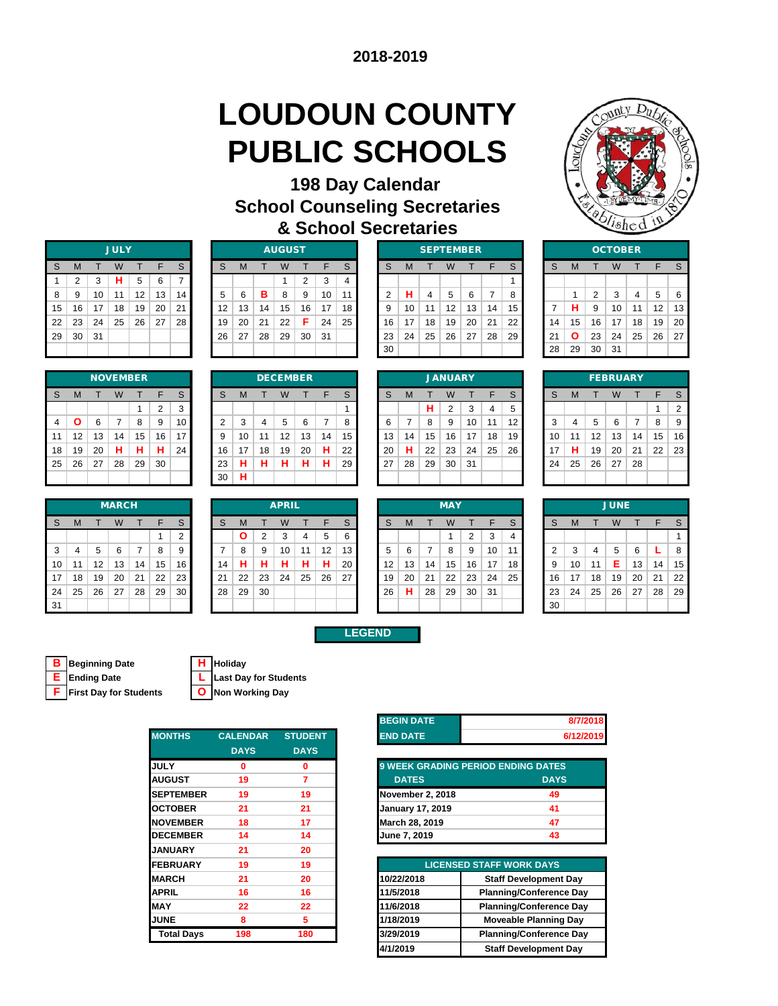# **LOUDOUN COUNTY PUBLIC SCHOOLS**



| 198 Day Calendar                     |
|--------------------------------------|
| <b>School Counseling Secretaries</b> |
| & School Secretaries                 |

|    | <b>JULY</b>    |    |    |    |    |    |  |  |  |  |  |  |  |  |  |
|----|----------------|----|----|----|----|----|--|--|--|--|--|--|--|--|--|
| S  | M              | т  | W  | т  | F  | S  |  |  |  |  |  |  |  |  |  |
| 1  | $\overline{2}$ | 3  | н  | 5  | 6  | 7  |  |  |  |  |  |  |  |  |  |
| 8  | 9              | 10 | 11 | 12 | 13 | 14 |  |  |  |  |  |  |  |  |  |
| 15 | 16             | 17 | 18 | 19 | 20 | 21 |  |  |  |  |  |  |  |  |  |
| 22 | 23             | 24 | 25 | 26 | 27 | 28 |  |  |  |  |  |  |  |  |  |
| 29 | 30             | 31 |    |    |    |    |  |  |  |  |  |  |  |  |  |
|    |                |    |    |    |    |    |  |  |  |  |  |  |  |  |  |

| <b>JULY</b> |    |    |    |    |    |    |    |    |    | <b>AUGUST</b> |    |    |    |    | <b>SEPTEMBER</b> |    |    |    |    |    |  |    | <b>OCTOBER</b> |    |     |    |    |    |
|-------------|----|----|----|----|----|----|----|----|----|---------------|----|----|----|----|------------------|----|----|----|----|----|--|----|----------------|----|-----|----|----|----|
| S           | м  |    | W  |    | F  | S  | S  | м  |    | W             |    | F  | C  | S  | M                |    |    |    |    | S  |  | S  | M              |    |     |    |    |    |
|             |    | 3  | н  | 5  | 6  |    |    |    |    |               | ົ  | 3  |    |    |                  |    |    |    |    |    |  |    |                |    |     |    |    |    |
| 8           | 9  | 10 | 11 | 12 | 13 | 14 | 5  | 6  | в  | 8             | 9  | 10 | 11 |    | н                | 4  | 5  | 6  |    | 8  |  |    |                | ≘  | 3   | 4  | 5  | 6  |
| 15          | 16 | 17 | 18 | 19 | 20 | 21 | 12 | 13 | 14 | 15            | 16 | 17 | 18 |    | 10               | 11 | 12 | 13 | 14 | 15 |  |    | н              | 9  | 10  | 11 | 12 | 13 |
| 22          | 23 | 24 | 25 | 26 | 27 | 28 | 19 | 20 | 21 | 22            | F  | 24 | 25 | 16 | 17               | 18 | 19 | 20 | 21 | 22 |  | 14 | 15             | 16 | 17  | 18 | 19 | 20 |
| 29          | 30 | 31 |    |    |    |    | 26 | 27 | 28 | 29            | 30 | 31 |    | 23 | 24               | 25 | 26 | 27 | 28 | 29 |  | 21 | Ο              | 23 | 24  | 25 | 26 | 27 |
|             |    |    |    |    |    |    |    |    |    |               |    |    |    | 30 |                  |    |    |    |    |    |  | 28 | 29             | 30 | -31 |    |    |    |

|              |    | <b>SEPTEMBER</b> |    |    |    |    |    | OCTO |    |    |
|--------------|----|------------------|----|----|----|----|----|------|----|----|
| <sub>S</sub> | M  |                  | W  |    | F  | S  | S  | M    |    | W  |
|              |    |                  |    |    |    |    |    |      |    |    |
| 2            | н  | 4                | 5  | 6  | 7  | 8  |    | 1    | 2  | 3  |
| 9            | 10 | 11               | 12 | 13 | 14 | 15 | 7  | н    | 9  | 10 |
| 16           | 17 | 18               | 19 | 20 | 21 | 22 | 14 | 15   | 16 | 17 |
| 23           | 24 | 25               | 26 | 27 | 28 | 29 | 21 | О    | 23 | 24 |
| 30           |    |                  |    |    |    |    | 28 | 29   | 30 | 31 |
|              |    |                  |    |    |    |    |    |      |    |    |

|    | <b>OCTOBER</b> |                |    |    |    |    |  |  |  |  |  |  |  |
|----|----------------|----------------|----|----|----|----|--|--|--|--|--|--|--|
| S  | M              | T              | W  | т  | F  | S  |  |  |  |  |  |  |  |
|    |                |                |    |    |    |    |  |  |  |  |  |  |  |
|    | 1              | $\overline{2}$ | 3  | 4  | 5  | 6  |  |  |  |  |  |  |  |
| 7  | н              | 9              | 10 | 11 | 12 | 13 |  |  |  |  |  |  |  |
| 14 | 15             | 16             | 17 | 18 | 19 | 20 |  |  |  |  |  |  |  |
| 21 | Ο              | 23             | 24 | 25 | 26 | 27 |  |  |  |  |  |  |  |
| 28 | 29             | 30             | 31 |    |    |    |  |  |  |  |  |  |  |

| <b>NOVEMBER</b> |    |    |    |    |                |             |  |  |  |
|-----------------|----|----|----|----|----------------|-------------|--|--|--|
| S               | M  | т  | W  | т  | F              | $\mathbb S$ |  |  |  |
|                 |    |    |    |    | $\overline{2}$ | 3           |  |  |  |
| $\overline{4}$  | Ο  | 6  | 7  | 8  | 9              | 10          |  |  |  |
| 11              | 12 | 13 | 14 | 15 | 16             | 17          |  |  |  |
| 18              | 19 | 20 | н  | н  | н              | 24          |  |  |  |
| 25              | 26 | 27 | 28 | 29 | 30             |             |  |  |  |
|                 |    |    |    |    |                |             |  |  |  |

|     |    |    | <b>MARCH</b> |    |    |    |    |    |    | <b>APRIL</b> |    |    |    |    |    |    | <b>MAY</b> |    |    |    |
|-----|----|----|--------------|----|----|----|----|----|----|--------------|----|----|----|----|----|----|------------|----|----|----|
| S   | M  |    | W            |    | F  | S  | S  | M  |    | W            |    |    | S  | S  | М  |    | W          |    |    | S  |
|     |    |    |              |    |    | ◠  |    |    | ົ  |              |    | 5  | 6  |    |    |    |            | 2  | 3  | 4  |
| 3   | 4  | 5  | 6            |    | 8  | 9  |    |    | 9  | 10           | 11 | 12 | 13 | 5  | 6  |    | 8          | 9  | 10 | 11 |
| 10  | 11 | 12 | 13           | 14 | 15 | 16 | 4  |    |    |              | н  | н  | 20 | 12 | 13 | 14 | 15         | 16 | 17 | 18 |
| 17  | 18 | 19 | 20           | 21 | 22 | 23 | 21 | 22 | 23 | 24           | 25 | 26 | 27 | 19 | 20 | 21 | 22         | 23 | 24 | 25 |
| 24  | 25 | 26 | 27           | 28 | 29 | 30 | 28 | 29 | 30 |              |    |    |    | 26 | н  | 28 | 29         | 30 | 31 |    |
| -31 |    |    |              |    |    |    |    |    |    |              |    |    |    |    |    |    |            |    |    |    |

|                |    |    | DECEMBER |    |    |    |
|----------------|----|----|----------|----|----|----|
| S              | M  | т  | W        | т  | F  | S  |
|                |    |    |          |    |    | 1  |
| $\overline{2}$ | 3  | 4  | 5        | 6  | 7  | 8  |
| 9              | 10 | 11 | 12       | 13 | 14 | 15 |
| 16             | 17 | 18 | 19       | 20 | н  | 22 |
| 23             | н  | н  | н        | н  | н  | 29 |
| 30             | н  |    |          |    |    |    |
|                |    |    |          |    |    |    |

|                |    |    |    | <b>NOVEMBER</b> |    |    |    |    |    | <b>DECEMBER</b> |    |    |    |    |    |    | <b>JANUARY</b> |    |    |    |         |    |    | <b>FEBRUARY</b> |    |    |    |
|----------------|----|----|----|-----------------|----|----|----|----|----|-----------------|----|----|----|----|----|----|----------------|----|----|----|---------|----|----|-----------------|----|----|----|
| S              | M  |    | W  |                 | F  | S  | S  | M  |    | W               |    | F  | C  |    | M  |    | W              |    | F  | S  | S       | M  |    |                 |    |    |    |
|                |    |    |    |                 | ◠  | 3  |    |    |    |                 |    |    |    |    |    | н  | 2              | 3  | 4  | 5  |         |    |    |                 |    |    | 2  |
| $\overline{4}$ |    | 6  |    | 8               | 9  | 10 | ◠  | 3  | 4  | 5               | 6  |    |    |    |    | 8  | 9              | 10 | 11 | 12 | ີ<br>J. | 4  | 5  | 6               |    | 8  | 9  |
| 11             | 12 | 13 | 14 | 15              | 16 | 17 | 9  | 10 | 11 | 12              | 13 | 14 | 15 | 13 | 14 | 15 | 16             | 17 | 18 | 19 | 10      | 11 | 12 | 13              | 14 | 15 | 16 |
| 18             | 19 | 20 | н  | н               | н  | 24 | 16 | 17 | 18 | 19              | 20 | н  | 22 | 20 | н  | 22 | 23             | 24 | 25 | 26 | 17      | н  | 19 | 20              | 21 | 22 | 23 |
| 25             | 26 | 27 | 28 | 29              | 30 |    | 23 | н  | н  | н               | н  | н  | 29 | 27 | 28 | 29 | 30             | 31 |    |    | 24      | 25 | 26 | 27              | 28 |    |    |
|                |    |    |    |                 |    |    | 30 | н  |    |                 |    |    |    |    |    |    |                |    |    |    |         |    |    |                 |    |    |    |

| <b>FEBRUARY</b> |                       |    |    |    |    |                |  |  |  |  |  |
|-----------------|-----------------------|----|----|----|----|----------------|--|--|--|--|--|
| S               | M<br>W<br>F<br>S<br>т |    |    |    |    |                |  |  |  |  |  |
|                 |                       |    |    |    | 1  | $\overline{2}$ |  |  |  |  |  |
| 3               | 4                     | 5  | 6  | 7  | 8  | 9              |  |  |  |  |  |
| 10              | 11                    | 12 | 13 | 14 | 15 | 16             |  |  |  |  |  |
| 17              | н                     | 19 | 20 | 21 | 22 | 23             |  |  |  |  |  |
| 24              | 25                    | 26 | 27 | 28 |    |                |  |  |  |  |  |
|                 |                       |    |    |    |    |                |  |  |  |  |  |

|    |    |    | <b>MARCH</b> |    |    |    |    |              |    | <b>APRIL</b> |    |    |    |                   |    |    | <b>MAY</b> |    |     |    |        |    |    | <b>JUNE</b> |    |    |    |
|----|----|----|--------------|----|----|----|----|--------------|----|--------------|----|----|----|-------------------|----|----|------------|----|-----|----|--------|----|----|-------------|----|----|----|
| S  | M  |    | W            |    | Е  | S  | S  | м            |    | W            |    | F  | S. | S                 | M  |    | W          |    |     | S  | S      | M  |    |             |    |    |    |
|    |    |    |              |    |    | ◠  |    | $\mathbf{o}$ | 2  | 3            | 4  | 5  | 6  |                   |    |    |            | ◠  | 3   |    |        |    |    |             |    |    |    |
| 3  | 4  | 5  | 6            | 7  | 8  | 9  |    | 8            | 9  | 10           | 11 | 12 | 13 |                   | 6  |    | 8          | 9  | 10  | 11 | $\sim$ | 3  | 4  | 5           | 6  |    | 8  |
| 10 | 11 | 12 | 13           | 14 | 15 | 16 | 14 | н            | н  | н            | н  | н  | 20 | $12 \overline{ }$ | 13 | 14 | 15         | 16 | 17  | 18 | 9      | 10 | 11 | Е           | 13 | 14 | 15 |
| 17 | 18 | 19 | 20           | 21 | 22 | 23 | 21 | 22           | 23 | 24           | 25 | 26 | 27 | 19                | 20 | 21 | 22         | 23 | 24  | 25 | 16     | 17 | 18 | 19          | 20 | 21 | 22 |
| 24 | 25 | 26 | 27           | 28 | 29 | 30 | 28 | 29           | 30 |              |    |    |    | 26                | н  | 28 | 29         | 30 | -31 |    | 23     | 24 | 25 | 26          | 27 | 28 | 29 |
| 31 |    |    |              |    |    |    |    |              |    |              |    |    |    |                   |    |    |            |    |     |    | 30     |    |    |             |    |    |    |

|    |    |    | <b>MAY</b> |                |    |   |
|----|----|----|------------|----------------|----|---|
| S  | M  | т  | W          | т              | F  |   |
|    |    |    | 1          | $\overline{2}$ | 3  |   |
| 5  | 6  | 7  | 8          | 9              | 10 | , |
| 12 | 13 | 14 | 15         | 16             | 17 | í |
| 19 | 20 | 21 | 22         | 23             | 24 | í |
| 26 | н  | 28 | 29         | 30             | 31 |   |
|    |    |    |            |                |    |   |

|                | <b>JUNE</b> |                |    |    |    |    |  |  |  |  |
|----------------|-------------|----------------|----|----|----|----|--|--|--|--|
| S              | M           | т              | W  | т  | F  | S  |  |  |  |  |
|                |             |                |    |    |    | 1  |  |  |  |  |
| $\overline{2}$ | 3           | $\overline{4}$ | 5  | 6  | L  | 8  |  |  |  |  |
| 9              | 10          | 11             | E  | 13 | 14 | 15 |  |  |  |  |
| 16             | 17          | 18             | 19 | 20 | 21 | 22 |  |  |  |  |
| 23             | 24          | 25             | 26 | 27 | 28 | 29 |  |  |  |  |
| 30             |             |                |    |    |    |    |  |  |  |  |

### **LEGEND**

|  | <b>B</b> Beginning Date                                                                                                                                                                                                               | <b>H</b> Holiday                           |
|--|---------------------------------------------------------------------------------------------------------------------------------------------------------------------------------------------------------------------------------------|--------------------------------------------|
|  | <b>E</b> Ending Date                                                                                                                                                                                                                  | L Last Day for Students                    |
|  | $\blacksquare$ . The state is a state of the state of the state of the state of the state of the state of the state of the state of the state of the state of the state of the state of the state of the state of the state of the st | $\bigcap$ becomes a subsequently $\bigcap$ |

| <b>H</b> IHolidav |
|-------------------|
| Last Day for Stu  |

**F First Day for Students O Non Working Day**

| <b>MONTHS</b>     | <b>CALENDAR</b> | <b>STUDENT</b> |
|-------------------|-----------------|----------------|
|                   | <b>DAYS</b>     | <b>DAYS</b>    |
| <b>JULY</b>       | 0               | 0              |
| <b>AUGUST</b>     | 19              | 7              |
| <b>SEPTEMBER</b>  | 19              | 19             |
| <b>OCTOBER</b>    | 21              | 21             |
| <b>NOVEMBER</b>   | 18              | 17             |
| <b>DECEMBER</b>   | 14              | 14             |
| <b>JANUARY</b>    | 21              | 20             |
| <b>FEBRUARY</b>   | 19              | 19             |
| <b>MARCH</b>      | 21              | 20             |
| <b>APRIL</b>      | 16              | 16             |
| <b>MAY</b>        | 22              | 22             |
| <b>JUNE</b>       | 8               | 5              |
| <b>Total Days</b> | 198             | 180            |
|                   |                 |                |

| <b>BEGIN DATE</b> | 8/7/2018  |
|-------------------|-----------|
| <b>END DATE</b>   | 6/12/2019 |
|                   |           |

| <b>9 WEEK GRADING PERIOD ENDING DATES</b> |             |
|-------------------------------------------|-------------|
| <b>DATES</b>                              | <b>DAYS</b> |
| <b>November 2, 2018</b>                   | 49          |
| <b>January 17, 2019</b>                   | 41          |
| March 28, 2019                            | 47          |
| June 7, 2019                              | 43          |

| <b>EBRUARY</b>    | 19  | 19  |            | <b>LICENSED STAFF WORK DAYS</b> |
|-------------------|-----|-----|------------|---------------------------------|
| <b>ARCH</b>       | 21  | 20  | 10/22/2018 | <b>Staff Development Day</b>    |
| PRIL              | 16  | 16  | 11/5/2018  | <b>Planning/Conference Day</b>  |
| AY                | 22  | 22  | 11/6/2018  | <b>Planning/Conference Day</b>  |
| JNE               | 8   | 5   | 1/18/2019  | <b>Moveable Planning Day</b>    |
| <b>Total Days</b> | 198 | 180 | 3/29/2019  | <b>Planning/Conference Day</b>  |
|                   |     |     | 4/1/2019   | <b>Staff Development Day</b>    |
|                   |     |     |            |                                 |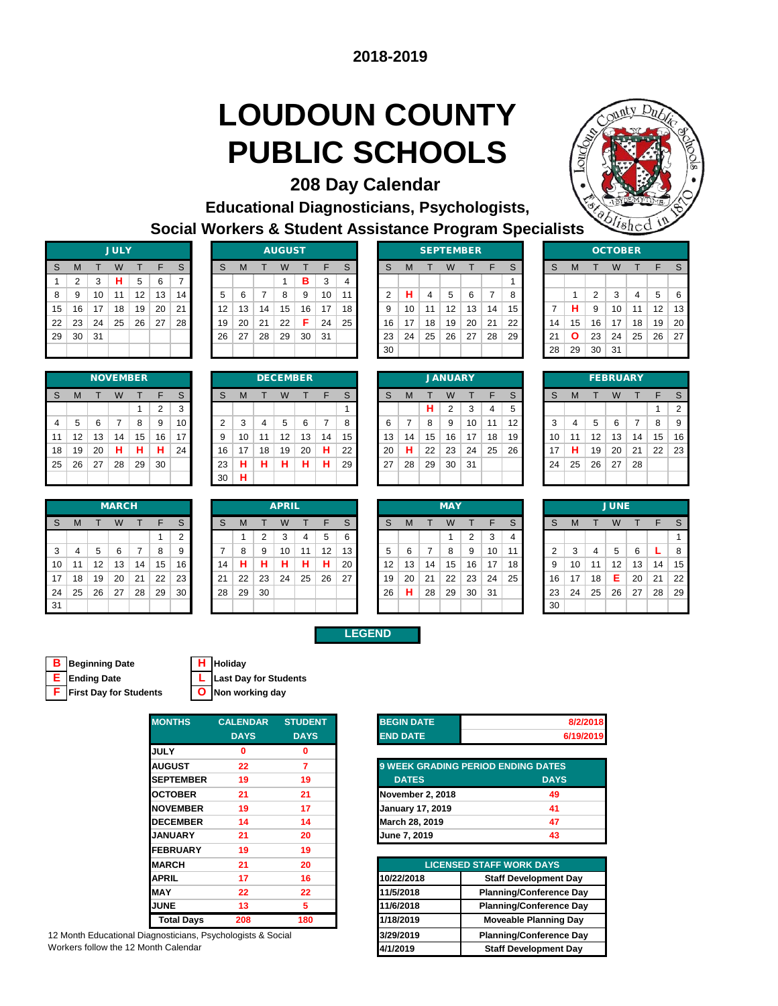# **LOUDOUN COUNTY PUBLIC SCHOOLS**

**208 Day Calendar** 



**Educational Diagnosticians, Psychologists, Social Workers & Student Assistance Program Specialists**

|    |                |    | <b>JULY</b> |    |    |    |
|----|----------------|----|-------------|----|----|----|
| S  | M              | т  | W           | т  | F  | S  |
| 1  | $\overline{2}$ | 3  | н           | 5  | 6  | 7  |
| 8  | 9              | 10 | 11          | 12 | 13 | 14 |
| 15 | 16             | 17 | 18          | 19 | 20 | 21 |
| 22 | 23             | 24 | 25          | 26 | 27 | 28 |
| 29 | 30             | 31 |             |    |    |    |
|    |                |    |             |    |    |    |

| S  | M  |    | W           |    | F  | S  | S  | M  |    | W               |    | F  | S. | <sub>S</sub> | M  |    | W                 |    | F  | S  | S  | M            |    | W        |    |    |    |
|----|----|----|-------------|----|----|----|----|----|----|-----------------|----|----|----|--------------|----|----|-------------------|----|----|----|----|--------------|----|----------|----|----|----|
|    | 2  | 3  | н.          | 5  | 6  |    |    |    |    |                 | в  | 3  |    |              |    |    |                   |    |    |    |    |              |    |          |    |    |    |
| 8  | 9  | 10 | 11          | 12 | 13 | 14 | 5  | 6  |    | 8               | 9  | 10 | 11 |              | н  | 4  | 5                 | 6  | 7  | 8  |    |              | 2  | 3        | 4  | 5  | -6 |
| 15 | 16 | 17 | 18          | 19 | 20 | 21 | 12 | 13 | 14 | 15              | 16 | 17 | 18 | 9            | 10 | 11 | 12                | 13 | 14 | 15 |    | н            | 9  | 10       | 11 | 12 | 13 |
| 22 | 23 | 24 | 25          | 26 | 27 | 28 | 19 | 20 | 21 | 22              | F. | 24 | 25 | 16           | 17 | 18 | 19                | 20 | 21 | 22 | 14 | 15           | 16 | 17       | 18 | 19 | 20 |
| 29 | 30 | 31 |             |    |    |    | 26 | 27 | 28 | 29              | 30 | 31 |    | 23           | 24 | 25 | 26                | 27 | 28 | 29 | 21 | $\mathbf{o}$ | 23 | 24       | 25 | 26 | 27 |
|    |    |    |             |    |    |    |    |    |    |                 |    |    |    | 30           |    |    |                   |    |    |    | 28 | 29           | 30 | -31      |    |    |    |
|    |    |    |             |    |    |    |    |    |    |                 |    |    |    |              |    |    |                   |    |    |    |    |              |    |          |    |    |    |
|    |    |    | ___________ |    |    |    |    |    |    | _ _ _ _ _ _ _ _ |    |    |    |              |    |    | _ _ _ _ _ _ _ _ _ |    |    |    |    |              |    | ________ |    |    |    |

| <b>JULY</b> |    |    |     |    |    |    | <b>AUGUST</b> |    |    |                 |    |    | <b>SEPTEMBER</b> |    |    |    |    |          |    |    | <b>OCTOBER</b> |    |
|-------------|----|----|-----|----|----|----|---------------|----|----|-----------------|----|----|------------------|----|----|----|----|----------|----|----|----------------|----|
| W           |    | F  | S   | S  | М  |    | W             |    |    | S               | S  | M  |                  | W  |    |    | S  | <b>S</b> | M  |    | W              |    |
| н           | 5  | 6  | ⇁   |    |    |    |               | в  | 3  | 4               |    |    |                  |    |    |    |    |          |    |    |                |    |
| 11          | 12 | 13 | 14. | 5  | 6  |    | 8             | 9  | 10 | 11 <sup>1</sup> | っ  | н  |                  | 5  | 6  | 7  | 8  |          |    | 2  | 3              | 4  |
| 18          | 19 | 20 | 21  | 12 | 13 | 14 | 15            | 16 | 17 | 18              | 9  | 10 | 11               | 12 | 13 | 14 | 15 |          | н  | 9  | 10             | 11 |
| 25          | 26 | 27 | 28  | 19 | 20 | 21 | 22            | F  | 24 | 25 <sub>1</sub> | 16 | 17 | 18               | 19 | 20 | 21 | 22 | 14       | 15 | 16 | 17             | 18 |
|             |    |    |     | 26 | 27 | 28 | 29            | 30 | 31 |                 | 23 | 24 | 25               | 26 | 27 | 28 | 29 | 21       | Ο  | 23 | 24             | 25 |
|             |    |    |     |    |    |    |               |    |    |                 | 30 |    |                  |    |    |    |    | 28       | 29 | 30 | 31             |    |
|             |    |    |     |    |    |    |               |    |    |                 |    |    |                  |    |    |    |    |          |    |    |                |    |

|                |    |    | <b>OCTOBER</b> |    |    |    |
|----------------|----|----|----------------|----|----|----|
| S              | M  | т  | т              | F  | S  |    |
|                |    |    |                |    |    |    |
|                | 1  | 2  | 3              | 4  | 5  | 6  |
| $\overline{7}$ | н  | 9  | 10             | 11 | 12 | 13 |
| 14             | 15 | 16 | 17             | 18 | 19 | 20 |
| 21             | Ο  | 23 | 24             | 25 | 26 | 27 |
| 28             | 29 | 30 | 31             |    |    |    |
|                |    |    |                |    |    |    |

|    |    |    | <b>NOVEMBER</b> |    |    |             |
|----|----|----|-----------------|----|----|-------------|
| S  | M  | т  | W               | т  | F  | $\mathbb S$ |
|    |    |    |                 |    | 2  | 3           |
| 4  | 5  | 6  | 7               | 8  | 9  | 10          |
| 11 | 12 | 13 | 14              | 15 | 16 | 17          |
| 18 | 19 | 20 | н               | н  | н  | 24          |
| 25 | 26 | 27 | 28              | 29 | 30 |             |
|    |    |    |                 |    |    |             |

|     |    |    | <b>MARCH</b> |    |    |        |    |    |    | <b>APRIL</b> |    |    |    |    |    |    | <b>MAY</b> |    |    |    |
|-----|----|----|--------------|----|----|--------|----|----|----|--------------|----|----|----|----|----|----|------------|----|----|----|
| S   | M  |    | W            |    | F  | S      | S  | М  |    | W            |    | F  | S  | S  | M  |    | W          |    |    | S  |
|     |    |    |              |    |    | っ<br>∠ |    |    | ◠  | 3            | 4  | 5  | 6  |    |    |    |            | 2  | 3  | 4  |
| 3   |    | 5  | 6            |    | 8  | 9      |    | 8  | 9  | 10           | 11 | 12 | 13 | 5  | 6  | -  | 8          | 9  | 10 | 11 |
| 10  | 11 | 12 | 13           | 14 | 15 | 16     | 14 | н  | н  | н            | н  | н  | 20 | 12 | 13 | 14 | 15         | 16 | 17 | 18 |
| 17  | 18 | 19 | 20           | 21 | 22 | 23     | 21 | 22 | 23 | 24           | 25 | 26 | 27 | 19 | 20 | 21 | 22         | 23 | 24 | 25 |
| 24  | 25 | 26 | 27           | 28 | 29 | 30     | 28 | 29 | 30 |              |    |    |    | 26 | н  | 28 | 29         | 30 | 31 |    |
| -31 |    |    |              |    |    |        |    |    |    |              |    |    |    |    |    |    |            |    |    |    |

|                |    |    |              |    | _  | ັ  |    |    |    |              |    |    |    |    |    | .  | <u>_</u>   | ັ  |    | ັ               |    |                |    |             |    |    |              |
|----------------|----|----|--------------|----|----|----|----|----|----|--------------|----|----|----|----|----|----|------------|----|----|-----------------|----|----------------|----|-------------|----|----|--------------|
| $\overline{4}$ | 5  | 6  |              | 8  | 9  | 10 | 2  | 3  | 4  | 5            | 6  | 7  | 8  | 6  | 7  | 8  | 9          | 10 | 11 | 12              | 3  | $\overline{4}$ | 5  | 6           |    | 8  | -9           |
| 11             | 12 | 13 | 14           | 15 | 16 | 17 | 9  | 10 | 11 | 12           | 13 | 14 | 15 | 13 | 14 | 15 | 16         | 17 | 18 | 19 <sup>1</sup> | 10 | 11             | 12 | 13          | 14 | 15 | 16           |
| 18             | 19 | 20 | н            | н  | н  | 24 | 16 | 17 | 18 | 19           | 20 | н  | 22 | 20 | н  | 22 | 23         | 24 | 25 | 26              | 17 | н              | 19 | 20          | 21 | 22 | 23           |
| 25             | 26 | 27 | 28           | 29 | 30 |    | 23 | н  | н  | н            | н  | н  | 29 | 27 | 28 | 29 | 30         | 31 |    |                 | 24 | 25             | 26 | 27          | 28 |    |              |
|                |    |    |              |    |    |    | 30 | н  |    |              |    |    |    |    |    |    |            |    |    |                 |    |                |    |             |    |    |              |
|                |    |    |              |    |    |    |    |    |    |              |    |    |    |    |    |    |            |    |    |                 |    |                |    |             |    |    |              |
|                |    |    | <b>MARCH</b> |    |    |    |    |    |    | <b>APRIL</b> |    |    |    |    |    |    | <b>MAY</b> |    |    |                 |    |                |    | <b>JUNE</b> |    |    |              |
| <sub>S</sub>   | M  |    | W            |    | F  | S  | S  | м  |    | W            |    | F  | S. | S  | M  |    | W          |    | F  | S               | S  | M              |    | W           |    | E  | <sub>S</sub> |
|                |    |    |              |    |    |    |    |    |    |              |    |    |    |    |    |    |            |    |    |                 |    |                |    |             |    |    |              |

|              |    |    |    | <b>NOVEMBER</b> |                |    |    |    |         | <b>DECEMBER</b> |    |    |    |    |    |    | <b>JANUARY</b> |    |    |    |    |    |    | <b>FEBRUARY</b> |    |    |                |
|--------------|----|----|----|-----------------|----------------|----|----|----|---------|-----------------|----|----|----|----|----|----|----------------|----|----|----|----|----|----|-----------------|----|----|----------------|
| s            | M  |    | W  |                 | F              | S  | S  | M  |         |                 |    | ᄃ  | c  | S  | м  |    | W              |    |    | S  | S  | м  |    | W               |    |    |                |
|              |    |    |    |                 | $\overline{2}$ | 3  |    |    |         |                 |    |    |    |    |    | н. | 2              | 3  | 4  | 5  |    |    |    |                 |    |    | $\overline{ }$ |
| 4            | 5  | 6  |    | 8               | 9              | 10 | 2  | 3  | 4       | 5               | 6  |    | 8  | 6  |    | 8  | 9              | 10 | 11 | 12 | 3  | 4  | 5  | 6               |    | 8  | g              |
| $\mathbf{1}$ | 12 | 13 | 14 | 15              | 16             | 17 | 9  | 10 | 11      | 12              | 13 | 14 | 15 | 13 | 14 | 15 | 16             | 17 | 18 | 19 | 10 | 11 | 12 | 13              | 14 | 15 | 1 <sup>i</sup> |
| 18           | 19 | 20 | н  | н               | н              | 24 | 16 | 17 | 18      | 19              | 20 | н  | 22 | 20 | н  | 22 | 23             | 24 | 25 | 26 | 17 | н  | 19 | 20              | 21 | 22 | 2              |
| 25.          | 26 | 27 | 28 | 29              | 30             |    | 23 | н  | u<br>п. | н               | н. | н  | 29 | 27 | 28 | 29 | 30             | 31 |    |    | 24 | 25 | 26 | 27              | 28 |    |                |
|              |    |    |    |                 |                |    | 30 | н  |         |                 |    |    |    |    |    |    |                |    |    |    |    |    |    |                 |    |    |                |
|              |    |    |    |                 |                |    |    |    |         |                 |    |    |    |    |    |    |                |    |    |    |    |    |    |                 |    |    |                |

| <b>JANUARY</b> |    |                |    |    |    |  |  |  |
|----------------|----|----------------|----|----|----|--|--|--|
| M              | т  | W              | т  | F  | S  |  |  |  |
|                | н  | $\overline{2}$ | 3  | 4  | 5  |  |  |  |
| 7              | 8  | 9              | 10 | 11 | 12 |  |  |  |
| 14             | 15 | 16             | 17 | 18 | 19 |  |  |  |
| н              | 22 | 23             | 24 | 25 | 26 |  |  |  |
| 28             | 29 | 30             | 31 |    |    |  |  |  |
|                |    |                |    |    |    |  |  |  |
|                |    |                |    |    |    |  |  |  |

| <b>FEBRUARY</b> |                |    |    |    |    |                |  |
|-----------------|----------------|----|----|----|----|----------------|--|
| S               | M              | т  | W  | т  | F  | S              |  |
|                 |                |    |    |    | 1  | $\overline{2}$ |  |
| 3               | $\overline{4}$ | 5  | 6  | 7  | 8  | 9              |  |
| 10              | 11             | 12 | 13 | 14 | 15 | 16             |  |
| 17              | н              | 19 | 20 | 21 | 22 | 23             |  |
| 24              | 25             | 26 | 27 | 28 |    |                |  |
|                 |                |    |    |    |    |                |  |

|    |    |    | <b>MARCH</b> |    |    |    |     |    |                | <b>APRIL</b> |    |    |    |                   |    |    | <b>MAY</b> |    |     |    |    |    |    | <b>JUNE</b>       |    |    |    |
|----|----|----|--------------|----|----|----|-----|----|----------------|--------------|----|----|----|-------------------|----|----|------------|----|-----|----|----|----|----|-------------------|----|----|----|
| S  | M  |    | W            |    | F  | S  | S   | м  |                | W            |    | F  | S. | S                 | M  |    | W          |    |     | S  | S  | M  |    |                   |    |    |    |
|    |    |    |              |    |    | C  |     |    | $\overline{2}$ | 3            | 4  | 5  | 6  |                   |    |    |            | ↷  | 3   |    |    |    |    |                   |    |    |    |
| 3  | 4  | 5  | 6            |    | 8  | 9  |     | 8  | 9              | 10           | 11 | 12 | 13 |                   | 6  |    | 8          | 9  | 10  | 11 |    | 3  | 4  | 5                 | 6  |    | 8  |
| 10 | 11 | 12 | 13           | 14 | 15 | 16 | 14  | н  | н              | н            | н  | н  | 20 | $12 \overline{ }$ | 13 | 14 | 15         | 16 | 17  | 18 | 9  | 10 | 11 | $12 \overline{ }$ | 13 | 14 | 15 |
| 17 | 18 | 19 | 20           | 21 | 22 | 23 | 21  | 22 | 23             | 24           | 25 | 26 | 27 | 19                | 20 | 21 | 22         | 23 | 24  | 25 | 16 | 17 | 18 | Е                 | 20 | 21 | 22 |
| 24 | 25 | 26 | 27           | 28 | 29 | 30 | -28 | 29 | 30             |              |    |    |    | 26                | н  | 28 | 29         | 30 | -31 |    | 23 | 24 | 25 | 26                | 27 | 28 | 29 |
| 31 |    |    |              |    |    |    |     |    |                |              |    |    |    |                   |    |    |            |    |     |    | 30 |    |    |                   |    |    |    |

|    |    |    | <b>MAY</b> |                |    |   |
|----|----|----|------------|----------------|----|---|
| S  | M  | т  | W          | т              | F  |   |
|    |    |    | 1          | $\overline{2}$ | 3  | í |
| 5  | 6  | 7  | 8          | 9              | 10 | 1 |
| 12 | 13 | 14 | 15         | 16             | 17 | 1 |
| 19 | 20 | 21 | 22         | 23             | 24 | 2 |
| 26 | н  | 28 | 29         | 30             | 31 |   |
|    |    |    |            |                |    |   |

| <b>JUNE</b>    |    |                |    |    |    |    |  |  |
|----------------|----|----------------|----|----|----|----|--|--|
| S              | M  | T              | W  | т  | F  | S  |  |  |
|                |    |                |    |    |    | 1  |  |  |
| $\overline{2}$ | 3  | $\overline{4}$ | 5  | 6  | L  | 8  |  |  |
| 9              | 10 | 11             | 12 | 13 | 14 | 15 |  |  |
| 16             | 17 | 18             | E  | 20 | 21 | 22 |  |  |
| 23             | 24 | 25             | 26 | 27 | 28 | 29 |  |  |
| 30             |    |                |    |    |    |    |  |  |

| <b>B</b> Beginning Date  | H Holiday |
|--------------------------|-----------|
| <b>E</b> Ending Date     | L Last Da |
| F First Day for Students | O Non wo  |

| <b>B</b> Beginning Date         | H Holiday                               |
|---------------------------------|-----------------------------------------|
| <b>E</b> Ending Date            | L Last Day for Students                 |
| <b>F</b> Firet Day for Students | $\overline{\mathsf{O}}$ Non working day |

|  | Non working day |  |
|--|-----------------|--|

| <b>MONTHS</b>     | <b>CALENDAR</b> | <b>STUDENT</b> |
|-------------------|-----------------|----------------|
|                   | <b>DAYS</b>     | <b>DAYS</b>    |
| <b>JULY</b>       | 0               | 0              |
| <b>AUGUST</b>     | 22              | 7              |
| <b>SEPTEMBER</b>  | 19              | 19             |
| <b>OCTOBER</b>    | 21              | 21             |
| <b>NOVEMBER</b>   | 19              | 17             |
| <b>DECEMBER</b>   | 14              | 14             |
| <b>JANUARY</b>    | 21              | 20             |
| <b>FEBRUARY</b>   | 19              | 19             |
| <b>MARCH</b>      | 21              | 20             |
| <b>APRIL</b>      | 17              | 16             |
| <b>MAY</b>        | 22              | 22             |
| <b>JUNE</b>       | 13              | 5              |
| <b>Total Days</b> | 208             | 180            |

12 Month Educational Diagnosticians, Psychologists & Social Workers follow the 12 Month Calendar

| <b>BEGIN DATE</b> | 8/2/2018                                  |
|-------------------|-------------------------------------------|
| <b>END DATE</b>   | 6/19/2019                                 |
|                   |                                           |
|                   | <b>9 WEEK GRADING PERIOD ENDING DATES</b> |

| <b>DATES</b>            | <b>DAYS</b> |
|-------------------------|-------------|
| November 2, 2018        | 49          |
| <b>January 17, 2019</b> | 41          |
| March 28, 2019          | 47          |
| June 7, 2019            | 43          |

| <b>MARCH</b>                        | 21  | 20                |            | <b>LICENSED STAFF WORK DAYS</b> |
|-------------------------------------|-----|-------------------|------------|---------------------------------|
| APRIL                               | 17  | 16                | 10/22/2018 | <b>Staff Development Day</b>    |
| MAY                                 | 22  | $22 \overline{ }$ | 11/5/2018  | <b>Planning/Conference Day</b>  |
| <b>JUNE</b>                         | 13  |                   | 11/6/2018  | <b>Planning/Conference Day</b>  |
| <b>Total Days</b>                   | 208 | 180               | 1/18/2019  | <b>Moveable Planning Day</b>    |
| gnosticians, Psychologists & Social |     |                   | 3/29/2019  | <b>Planning/Conference Day</b>  |
| nth Calendar                        |     |                   | 4/1/2019   | <b>Staff Development Day</b>    |
|                                     |     |                   |            |                                 |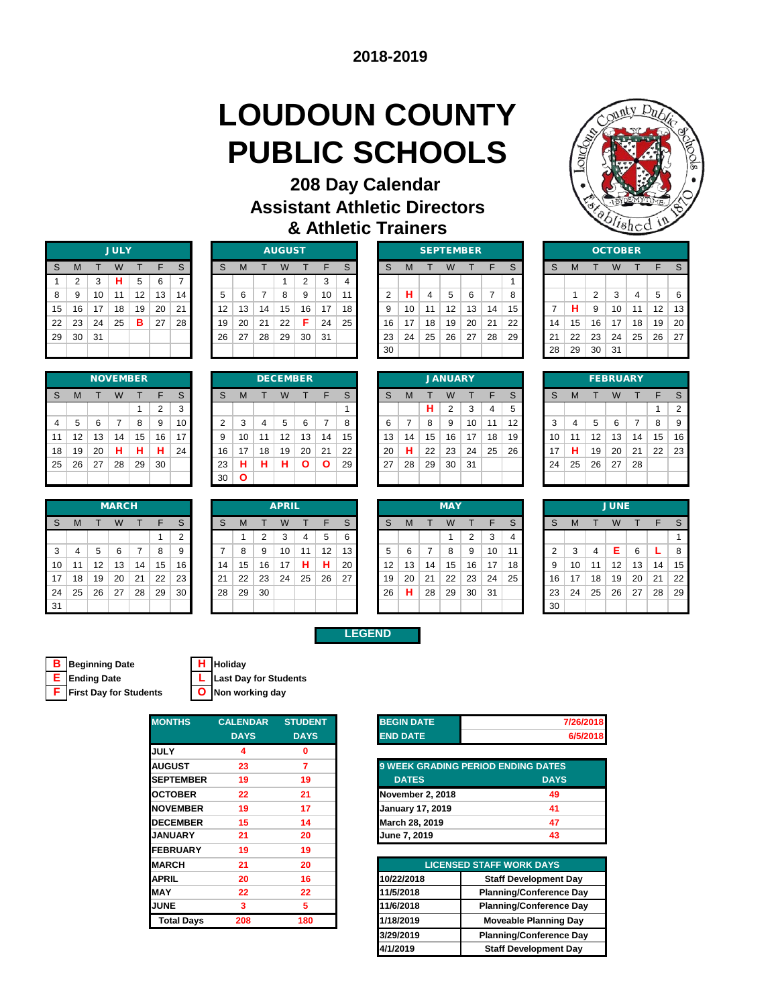# **LOUDOUN COUNTY PUBLIC SCHOOLS**

### **208 Day Calendar Assistant Athletic Directors & Athletic Trainers**



|    |                |    | <b>JULY</b> |    |    |    |
|----|----------------|----|-------------|----|----|----|
| S  | M              | T  | W           | т  | F  | S  |
| 1  | $\overline{2}$ | 3  | н           | 5  | 6  | 7  |
| 8  | 9              | 10 | 11          | 12 | 13 | 14 |
| 15 | 16             | 17 | 18          | 19 | 20 | 21 |
| 22 | 23             | 24 | 25          | в  | 27 | 28 |
| 29 | 30             | 31 |             |    |    |    |
|    |                |    |             |    |    |    |

|    |    |    | <b>JULY</b> |    |    |    |    |    |     | <b>AUGUST</b> |    |    |    |    |    | <b>SEPTEMBER</b> |    |    |    |    |    |    |    | <b>OCTOBER</b> |    |    |    |
|----|----|----|-------------|----|----|----|----|----|-----|---------------|----|----|----|----|----|------------------|----|----|----|----|----|----|----|----------------|----|----|----|
| S  | M  |    | W           |    | F  | S  | S  | м  |     | W             |    | F  | S  |    | M  |                  | W  |    |    | S  | S  | M  |    |                |    |    |    |
|    |    | 3  | н           | 5  | 6  |    |    |    |     |               | ົ  | 3  |    |    |    |                  |    |    |    |    |    |    |    |                |    |    |    |
| 8  | 9  | 10 | 11          | 12 | 13 | 14 | 5  | 6  |     | 8             | 9  | 10 | 11 |    | н  | 4                | 5  | 6  |    | 8  |    |    | 2  | 3              | 4  | 5  | -6 |
| 15 | 16 | 17 | 18          | 19 | 20 | 21 | 12 | 13 | 14  | 15            | 16 | 17 | 18 |    | 10 | 11               | 12 | 13 | 14 | 15 |    | н  | 9  | 10             | 11 | 12 | 13 |
| 22 | 23 | 24 | 25          | в  | 27 | 28 | 19 | 20 | -21 | 22            | Е  | 24 | 25 | 16 | 17 | 18               | 19 | 20 | 21 | 22 | 14 | 15 | 16 | 17             | 18 | 19 | 20 |
| 29 | 30 | 31 |             |    |    |    | 26 | 27 | 28  | 29            | 30 | 31 |    | 23 | 24 | 25               | 26 | 27 | 28 | 29 | 21 | 22 | 23 | 24             | 25 | 26 | 27 |
|    |    |    |             |    |    |    |    |    |     |               |    |    |    | 30 |    |                  |    |    |    |    | 28 | 29 | 30 | -31            |    |    |    |

|              |    |    |    | <b>SEPTEMBER</b> |    |    |    |    | осто |                |
|--------------|----|----|----|------------------|----|----|----|----|------|----------------|
| <sub>S</sub> | M  | т  | W  |                  | F  | S  | S  | M  |      | W              |
|              |    |    |    |                  |    |    |    |    |      |                |
| 2            | н  | 4  | 5  | 6                | 7  | 8  |    | 1  | 2    | 3              |
| 9            | 10 | 11 | 12 | 13               | 14 | 15 | 7  | н  | 9    | 1 <sup>C</sup> |
| 16           | 17 | 18 | 19 | 20               | 21 | 22 | 14 | 15 | 16   | 17             |
| 23           | 24 | 25 | 26 | 27               | 28 | 29 | 21 | 22 | 23   | 24             |
| 30           |    |    |    |                  |    |    | 28 | 29 | 30   | 31             |
|              |    |    |    |                  |    |    |    |    |      |                |

|                |    |                | <b>OCTOBER</b> |    |    |    |
|----------------|----|----------------|----------------|----|----|----|
| S              | M  |                | W              | т  | F  | S  |
|                |    |                |                |    |    |    |
|                | 1  | $\overline{2}$ | 3              | 4  | 5  | 6  |
| $\overline{7}$ | н  | 9              | 10             | 11 | 12 | 13 |
| 14             | 15 | 16             | 17             | 18 | 19 | 20 |
| 21             | 22 | 23             | 24             | 25 | 26 | 27 |
| 28             | 29 | 30             | 31             |    |    |    |

|    |    |    | <b>NOVEMBER</b> |    |                |    |
|----|----|----|-----------------|----|----------------|----|
| S  | M  | т  | W               | т  | F              | S  |
|    |    |    |                 | 1  | $\overline{2}$ | 3  |
| 4  | 5  | 6  | 7               | 8  | 9              | 10 |
| 11 | 12 | 13 | 14              | 15 | 16             | 17 |
| 18 | 19 | 20 | н               | н  | н              | 24 |
| 25 | 26 | 27 | 28              | 29 | 30             |    |
|    |    |    |                 |    |                |    |

|     |        |    | <b>MARCH</b> |    |    |        |    |    |    | <b>APRIL</b> |    |    |    |    |    |    | <b>MAY</b> |    |    |    |
|-----|--------|----|--------------|----|----|--------|----|----|----|--------------|----|----|----|----|----|----|------------|----|----|----|
| S   | M      |    | W            |    | E  | S      | S  | M  |    | W            |    | E  | S  | S  | M  |    | W          |    | ⊢  | S  |
|     |        |    |              |    |    | າ<br>∠ |    |    | ◠  | ົ<br>C.      | 4  | 5  | 6  |    |    |    |            | 2  | 3  | 4  |
| 3   | 4      | 5  | 6            |    | 8  | 9      |    | 8  | 9  | 10           | 11 | 12 | 13 | 5  | 6  |    | 8          | 9  | 10 | 11 |
| 10  | 1<br>1 | 12 | 13           | 14 | 15 | 16     | 14 | 15 | 16 | 17           | н  | н  | 20 | 12 | 13 | 14 | 15         | 16 | 17 | 18 |
| 17  | 18     | 19 | 20           | 21 | 22 | 23     | 21 | 22 | 23 | 24           | 25 | 26 | 27 | 19 | 20 | 21 | 22         | 23 | 24 | 25 |
| -24 | 25     | 26 | 27           | 28 | 29 | 30     | 28 | 29 | 30 |              |    |    |    | 26 | н  | 28 | 29         | 30 | 31 |    |
| 31  |        |    |              |    |    |        |    |    |    |              |    |    |    |    |    |    |            |    |    |    |

|                |    |                | <b>DECEMBER</b> |    |    |    |
|----------------|----|----------------|-----------------|----|----|----|
| S              | M  | т              | W               | т  | F  | S  |
|                |    |                |                 |    |    | 1  |
| $\overline{2}$ | 3  | $\overline{4}$ | 5               | 6  | 7  | 8  |
| 9              | 10 | 11             | 12              | 13 | 14 | 15 |
| 16             | 17 | 18             | 19              | 20 | 21 | 22 |
| 23             | н  | н              | н               | Ο  | Ο  | 29 |
| 30             | Ο  |                |                 |    |    |    |
|                |    |                |                 |    |    |    |

|                |    |    |    | <b>NOVEMBER</b> |    |    |    |              |    | <b>DECEMBER</b> |    |    |    |    |    |    | <b>JANUARY</b> |    |    |    |         |    |    | <b>FEBRUARY</b> |    |    |                |
|----------------|----|----|----|-----------------|----|----|----|--------------|----|-----------------|----|----|----|----|----|----|----------------|----|----|----|---------|----|----|-----------------|----|----|----------------|
| S              | M  |    | W  |                 | E  | S  | S  | м            |    | W               |    | ᄃ  | S  | S  | M  |    | W              |    | F  | S  | S       | M  |    |                 |    | Е  |                |
|                |    |    |    |                 | ◠  | 3  |    |              |    |                 |    |    |    |    |    | н  | 2              | 3  | 4  | 5  |         |    |    |                 |    |    | $\overline{2}$ |
| $\overline{4}$ | 5  | 6  |    | 8               | 9  | 10 | ◠  | 3            | 4  | 5               | 6  |    |    |    |    | 8  | 9              | 10 |    | 12 | ◠<br>۰J | 4  | 5  | 6               |    | 8  | 9              |
| 11             | 12 | 13 | 14 | 15              | 16 | 17 | 9  | 10           | 11 | 12              | 13 | 14 | 15 | 13 | 14 | 15 | 16             | 17 | 18 | 19 | 10      | 1  | 12 | 13              | 14 | 15 | 16             |
| 18             | 19 | 20 | н  | н               | н  | 24 | 16 | 17           | 18 | 19              | 20 | 21 | 22 | 20 | н  | 22 | 23             | 24 | 25 | 26 | 17      | н  | 19 | 20              | 21 | 22 | 23             |
| 25             | 26 | 27 | 28 | 29              | 30 |    | 23 | н            | н  | н               | n  | O  | 29 | 27 | 28 | 29 | 30             | 31 |    |    | 24      | 25 | 26 | 27              | 28 |    |                |
|                |    |    |    |                 |    |    | 30 | $\mathbf{o}$ |    |                 |    |    |    |    |    |    |                |    |    |    |         |    |    |                 |    |    |                |

|    |                |    | <b>FEBRUARY</b> |    |    |   |
|----|----------------|----|-----------------|----|----|---|
| S  | M              |    | W               | т  | F  |   |
|    |                |    |                 |    | 1  |   |
| 3  | $\overline{4}$ | 5  | 6               | 7  | 8  |   |
| 10 | 11             | 12 | 13              | 14 | 15 |   |
| 17 | н              | 19 | 20              | 21 | 22 | j |
| 24 | 25             | 26 | 27              | 28 |    |   |
|    |                |    |                 |    |    |   |

|              |    |    | <b>MARCH</b> |    |    |    |     |    |    | <b>APRIL</b> |    |    |    |    |    |    | <b>MAY</b> |           |    |    |    |    |    | <b>JUNE</b> |    |    |    |
|--------------|----|----|--------------|----|----|----|-----|----|----|--------------|----|----|----|----|----|----|------------|-----------|----|----|----|----|----|-------------|----|----|----|
| <sub>S</sub> | M  |    | W            |    | F  | S  | S   | м  |    | W            |    | F  | S  | S  | M  |    | W          |           |    | S  | S  | M  |    | W           |    |    |    |
|              |    |    |              |    |    | 2  |     |    | 2  | 3            | 4  | 5  | 6  |    |    |    |            | 2         | 3  | 4  |    |    |    |             |    |    |    |
| 3            | 4  | 5  | 6            | 7  | 8  | 9  |     | 8  | 9  | 10           | 11 | 12 | 13 |    | 6  |    | 8          | 9         | 10 | 11 | 2  | 3  | 4  | Е           | 6  |    | 8  |
| 10           | 11 | 12 | 13           | 14 | 15 | 16 | 14  | 15 | 16 | 17           | н  | н  | 20 | 12 | 13 | 14 | 15         | 16        | 17 | 18 | 9  | 10 | 11 | 12          | 13 | 14 | 15 |
| 17           | 18 | 19 | 20           | 21 | 22 | 23 | 21  | 22 | 23 | 24           | 25 | 26 | 27 | 19 | 20 | 21 | 22         | $23 \mid$ | 24 | 25 | 16 | 17 | 18 | 19          | 20 | 21 | 22 |
| 24           | 25 | 26 | 27           | 28 | 29 | 30 | -28 | 29 | 30 |              |    |    |    | 26 | н  | 28 | 29         | 30        | 31 |    | 23 | 24 | 25 | 26          | 27 | 28 | 29 |
| 31           |    |    |              |    |    |    |     |    |    |              |    |    |    |    |    |    |            |           |    |    | 30 |    |    |             |    |    |    |

| <b>MARCH</b> |    |    |    |    |    |    | <b>APRIL</b> |    |    |    |    |    |    | <b>MAY</b> |    |    |    |    |    |    | <b>JUNE</b> |  |
|--------------|----|----|----|----|----|----|--------------|----|----|----|----|----|----|------------|----|----|----|----|----|----|-------------|--|
| W            |    |    | S  | c  | М  |    | W            |    |    | S  | S  | M  |    | W          |    |    | S  | S  | M  |    | W           |  |
|              |    |    | 2  |    |    | າ  | 3            |    | 5  | 6  |    |    |    |            | 2  | 3  | 4  |    |    |    |             |  |
| 6            |    | 8  | 9  |    | 8  | 9  | 10           | 11 | 12 | 13 | 5  | 6  |    | 8          | 9  | 10 | 11 | っ  | 3  | 4  | Е           |  |
| 13           | 14 | 15 | 16 | 14 | 15 | 16 | 17           | Н  |    | 20 | 12 | 13 | 14 | 15         | 16 | 17 | 18 | 9  | 10 | 11 | 12          |  |
| 20           | 21 | 22 | 23 | 21 | 22 | 23 | 24           | 25 | 26 | 27 | 19 | 20 | 21 | 22         | 23 | 24 | 25 | 16 | 17 | 18 | 19          |  |
| 27           | 28 | 29 | 30 | 28 | 29 | 30 |              |    |    |    | 26 | н  | 28 | 29         | 30 | 31 |    | 23 | 24 | 25 | 26          |  |
|              |    |    |    |    |    |    |              |    |    |    |    |    |    |            |    |    |    | 30 |    |    |             |  |

|--|

| <b>B</b> Beginning Date |
|-------------------------|
| <b>E</b> Ending Date    |
|                         |

**B Beginning Date H Holiday L** Last Day for Students **F First Day for Students O Non working day**

| <b>MONTHS</b>     | <b>CALENDAR</b> | <b>STUDENT</b> | <b>BEGIN DATE</b>                         |                                 |
|-------------------|-----------------|----------------|-------------------------------------------|---------------------------------|
|                   | <b>DAYS</b>     | <b>DAYS</b>    | <b>END DATE</b>                           |                                 |
| <b>JULY</b>       | 4               | 0              |                                           |                                 |
| <b>AUGUST</b>     | 23              | 7              | <b>9 WEEK GRADING PERIOD ENDING DATES</b> |                                 |
| <b>SEPTEMBER</b>  | 19              | 19             | <b>DATES</b>                              |                                 |
| <b>OCTOBER</b>    | 22              | 21             | November 2, 2018                          |                                 |
| <b>NOVEMBER</b>   | 19              | 17             | <b>January 17, 2019</b>                   |                                 |
| <b>DECEMBER</b>   | 15              | 14             | March 28, 2019                            |                                 |
| <b>JANUARY</b>    | 21              | 20             | June 7, 2019                              |                                 |
| <b>FEBRUARY</b>   | 19              | 19             |                                           |                                 |
| <b>MARCH</b>      | 21              | 20             |                                           | <b>LICENSED STAFF WORK DAYS</b> |
| <b>APRIL</b>      | 20              | 16             | 10/22/2018                                | <b>Staff Development</b>        |
| <b>MAY</b>        | 22              | 22             | 11/5/2018                                 | <b>Planning/Conference</b>      |
| <b>JUNE</b>       | 3               | 5.             | 11/6/2018                                 | <b>Planning/Conference</b>      |
| <b>Total Days</b> | 208             | 180            | 1/18/2019                                 | <b>Moveable Planning</b>        |
|                   |                 |                |                                           |                                 |

| <b>BEGIN DATE</b> | 7/26/2018 |
|-------------------|-----------|
| <b>END DATE</b>   | 6/5/2018  |
|                   |           |

| <b>9 WEEK GRADING PERIOD ENDING DATES</b> |             |
|-------------------------------------------|-------------|
| <b>DATES</b>                              | <b>DAYS</b> |
| <b>November 2, 2018</b>                   | 49          |
| <b>January 17, 2019</b>                   | 41          |
| March 28, 2019                            | 47          |
| June 7, 2019                              | 43          |

| <b>LICENSED STAFF WORK DAYS</b> |                                |  |  |  |  |  |  |  |  |  |  |
|---------------------------------|--------------------------------|--|--|--|--|--|--|--|--|--|--|
| 10/22/2018                      | <b>Staff Development Day</b>   |  |  |  |  |  |  |  |  |  |  |
| 11/5/2018                       | <b>Planning/Conference Day</b> |  |  |  |  |  |  |  |  |  |  |
| 11/6/2018                       | <b>Planning/Conference Day</b> |  |  |  |  |  |  |  |  |  |  |
| 1/18/2019                       | <b>Moveable Planning Day</b>   |  |  |  |  |  |  |  |  |  |  |
| 3/29/2019                       | <b>Planning/Conference Day</b> |  |  |  |  |  |  |  |  |  |  |
| 4/1/2019                        | <b>Staff Development Day</b>   |  |  |  |  |  |  |  |  |  |  |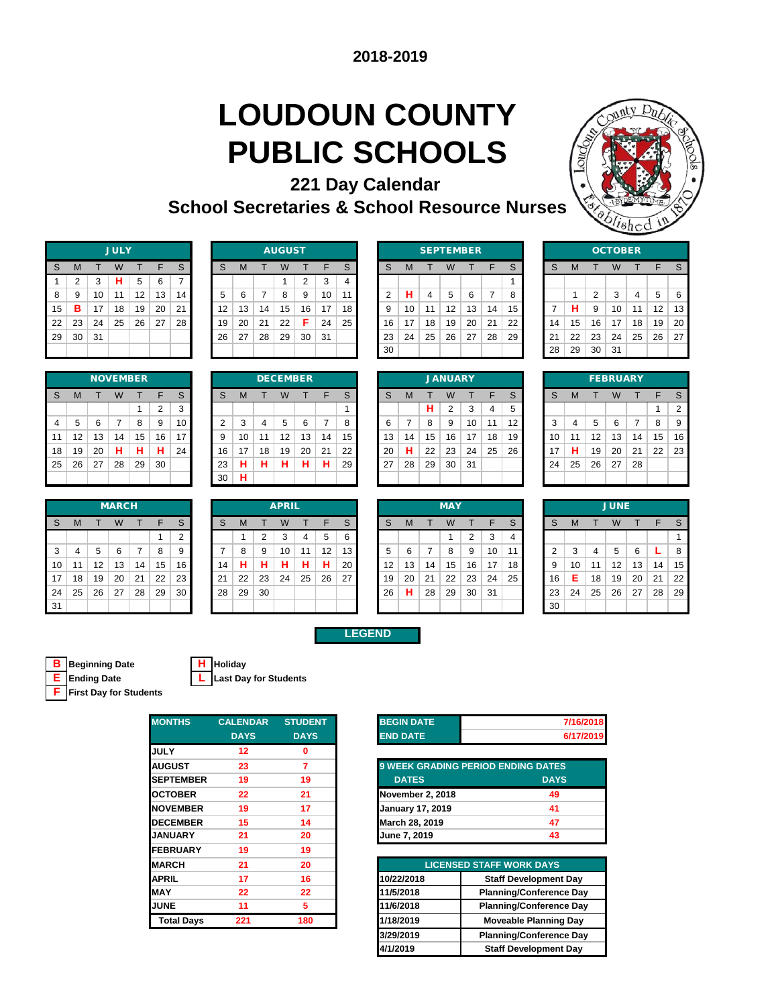# **LOUDOUN COUNTY PUBLIC SCHOOLS**



| 221 Day Calendar                                       |  |
|--------------------------------------------------------|--|
| <b>School Secretaries &amp; School Resource Nurses</b> |  |

| <b>JULY</b> |                |    |    |    |    |    |  |  |  |  |  |  |
|-------------|----------------|----|----|----|----|----|--|--|--|--|--|--|
| S           | M              | T  | W  | т  | F  | S  |  |  |  |  |  |  |
| 1           | $\overline{2}$ | 3  | н  | 5  | 6  | 7  |  |  |  |  |  |  |
| 8           | 9              | 10 | 11 | 12 | 13 | 14 |  |  |  |  |  |  |
| 15          | в              | 17 | 18 | 19 | 20 | 21 |  |  |  |  |  |  |
| 22          | 23             | 24 | 25 | 26 | 27 | 28 |  |  |  |  |  |  |
| 29          | 30             | 31 |    |    |    |    |  |  |  |  |  |  |
|             |                |    |    |    |    |    |  |  |  |  |  |  |

| <b>NOVEMBER</b> |    |    |    |    |    |    |  |  |  |  |  |  |
|-----------------|----|----|----|----|----|----|--|--|--|--|--|--|
| S               | M  | т  | W  | т  | F  | S  |  |  |  |  |  |  |
|                 |    |    |    | 1  | 2  | 3  |  |  |  |  |  |  |
| 4               | 5  | 6  | 7  | 8  | 9  | 10 |  |  |  |  |  |  |
| 11              | 12 | 13 | 14 | 15 | 16 | 17 |  |  |  |  |  |  |
| 18              | 19 | 20 | н  | н  | н  | 24 |  |  |  |  |  |  |
| 25              | 26 | 27 | 28 | 29 | 30 |    |  |  |  |  |  |  |
|                 |    |    |    |    |    |    |  |  |  |  |  |  |

| <b>MARCH</b> |    |    |    |    |    | <b>APRIL</b> |    |    |    |    |     |    |    | <b>MAY</b> |    |    |    |                 |    |    | <b>JUNE</b> |    |    |    |    |    |    |
|--------------|----|----|----|----|----|--------------|----|----|----|----|-----|----|----|------------|----|----|----|-----------------|----|----|-------------|----|----|----|----|----|----|
| <sub>S</sub> | м  |    | W  |    | F  | S            | S  | M  |    | W  |     |    | S  |            | S  | м  |    | W               |    | F  | S.          | S  | м  |    | W  |    |    |
|              |    |    |    |    |    | ົ            |    |    |    | 3  |     | 5  | 6  |            |    |    |    |                 | 2  | 3  | 4           |    |    |    |    |    |    |
| 3            | 4  | 5  | 6  |    | 8  | 9            |    | 8  | 9  | 10 | -11 | 12 | 13 |            | 5  | 6  |    | 8               | 9  | 10 | 11          |    | 3  |    | 5  | 6  |    |
| 10           | 11 | 12 | 13 | 14 | 15 | 16           | 14 | н  | н  | н  | н   | н  | 20 |            | 12 | 13 | 14 | 15              | 16 | 17 | 18          | 9  | 10 | 11 | 12 | 13 | 14 |
| 17           | 18 | 19 | 20 | 21 | 22 | 23           | 21 | 22 | 23 | 24 | 25  | 26 | 27 |            | 19 | 20 | 21 | 22              | 23 | 24 | 25          | 16 | Е  | 18 | 19 | 20 | 21 |
| 24           | 25 | 26 | 27 | 28 | 29 | 30           | 28 | 29 | 30 |    |     |    |    |            | 26 | н  | 28 | 29 <sub>1</sub> | 30 | 31 |             | 23 | 24 | 25 | 26 | 27 | 28 |
| 31           |    |    |    |    |    |              |    |    |    |    |     |    |    |            |    |    |    |                 |    |    |             | 30 |    |    |    |    |    |

|    |    |    | <b>JULY</b> |    |    |    | <b>AUGUST</b> |    |    |    |    |    |              | <b>SEPTEMBER</b> |    |    |    |    |    |    | <b>OCTOBER</b> |    |        |     |    |    |    |
|----|----|----|-------------|----|----|----|---------------|----|----|----|----|----|--------------|------------------|----|----|----|----|----|----|----------------|----|--------|-----|----|----|----|
| S  | M  |    | W           |    |    | S  | S             | м  |    | W  |    | F  | $\mathbf{C}$ |                  | M  |    | W  |    |    | S  | S              |    |        |     |    |    |    |
|    | C  | 3  | н           | 5  | 6  | ⇁  |               |    |    |    | ົ  | 3  |              |                  |    |    |    |    |    |    |                |    |        |     |    |    |    |
| 8  | 9  | 10 | 11          | 12 | 13 | 14 | 5             | 6  |    | 8  | 9  | 10 | 11           |                  | н  | 4  | 5  | 6  |    | 8  |                |    | $\sim$ | 3   |    | 5  | -6 |
| 15 | в  | 17 | 18          | 19 | 20 | 21 | 12            | 13 | 14 | 15 | 16 | 17 | 18.          |                  | 10 | 11 | 12 | 13 | 14 | 15 |                | н  | 9      | 10  | 11 | 12 | 13 |
| 22 | 23 | 24 | 25          | 26 | 27 | 28 | 19            | 20 | 21 | 22 | Е  | 24 | 25           | 16               | 17 | 18 | 19 | 20 | 21 | 22 | 14             | 15 | 16     | 17  | 18 | 19 | 20 |
| 29 | 30 | 31 |             |    |    |    | 26            | 27 | 28 | 29 | 30 | 31 |              | 23               | 24 | 25 | 26 | 27 | 28 | 29 | 21             | 22 | 23     | 24  | 25 | 26 | 27 |
|    |    |    |             |    |    |    |               |    |    |    |    |    |              | -30              |    |    |    |    |    |    | 28             | 29 | 30     | -31 |    |    |    |

|           |    |    | <b>SEPTEMBER</b> |    |    |    |    |              |    | <b>OCTO</b>    |    |
|-----------|----|----|------------------|----|----|----|----|--------------|----|----------------|----|
| S         | S  | M  |                  | W  |    | F  | S  | <sub>S</sub> | M  |                | W  |
| 4         |    |    |                  |    |    |    |    |              |    |                |    |
| $\vert$ 1 | 2  | н  | 4                | 5  | 6  |    | 8  |              |    | $\overline{2}$ | 3  |
| 18        | 9  | 10 | 11               | 12 | 13 | 14 | 15 |              | н  | 9              | 10 |
| 25        | 16 | 17 | 18               | 19 | 20 | 21 | 22 | 14           | 15 | 16             | 17 |
|           | 23 | 24 | 25               | 26 | 27 | 28 | 29 | 21           | 22 | 23             | 24 |
|           | 30 |    |                  |    |    |    |    | 28           | 29 | 30             | 31 |
|           |    |    |                  |    |    |    |    |              |    |                |    |

| ບບ |    |    |                |    |    |    |
|----|----|----|----------------|----|----|----|
|    |    |    |                |    |    |    |
|    |    |    | <b>JANUARY</b> |    |    |    |
| S  | М  | т  | W              | T  | F  | S  |
|    |    | н  | $\overline{2}$ | 3  | 4  | 5  |
| 6  | 7  | 8  | 9              | 10 | 11 | 12 |
| 13 | 14 | 15 | 16             | 17 | 18 | 19 |
| 20 | н  | 22 | 23             | 24 | 25 | 26 |
| 27 | 28 | 29 | 30             | 31 |    |    |
|    |    |    |                |    |    |    |

| <b>OCTOBER</b> |    |                |    |    |    |    |  |  |  |  |
|----------------|----|----------------|----|----|----|----|--|--|--|--|
| S              | M  | т              | W  | т  | F  | S  |  |  |  |  |
|                |    |                |    |    |    |    |  |  |  |  |
|                | 1  | $\overline{2}$ | 3  | 4  | 5  | 6  |  |  |  |  |
| 7              | н  | 9              | 10 | 11 | 12 | 13 |  |  |  |  |
| 14             | 15 | 16             | 17 | 18 | 19 | 20 |  |  |  |  |
| 21             | 22 | 23             | 24 | 25 | 26 | 27 |  |  |  |  |
| 28             | 29 | 30             | 31 |    |    |    |  |  |  |  |
|                |    |                |    |    |    |    |  |  |  |  |

|    |    |    |    | <b>NOVEMBER</b> |    |    |    |    |    | <b>DECEMBER</b> |    |    |    | <b>JANUARY</b> |    |    |                |    | <b>FEBRUARY</b> |    |        |    |    |    |    |    |                |
|----|----|----|----|-----------------|----|----|----|----|----|-----------------|----|----|----|----------------|----|----|----------------|----|-----------------|----|--------|----|----|----|----|----|----------------|
| S  | M  |    | W  |                 | E  | S  | S  | м  |    | W               |    | ᄃ  | S  | S              | M  |    | W              |    |                 | S  | S      | M  |    |    |    |    |                |
|    |    |    |    |                 | C  | 3  |    |    |    |                 |    |    |    |                |    | н  | $\overline{2}$ | 3  | 4               | 5  |        |    |    |    |    |    | $\overline{2}$ |
| 4  | 5. | 6  |    | 8               | 9  | 10 | ◠  | 3  | 4  | 5               | 6  |    |    |                |    | 8  | 9              | 10 | 11              | 12 | ີ<br>Ø | 4  | 5  | 6  |    | 8  | 9              |
| 11 | 12 | 13 | 14 | 15              | 16 | 17 | 9  | 10 | 11 | 12              | 13 | 14 | 15 | 13             | 14 | 15 | 16             | 17 | 18              | 19 | 10     | 11 | 12 | 13 | 14 | 15 | 16             |
| 18 | 19 | 20 | н  | н               | н  | 24 | 16 | 17 | 18 | 19              | 20 | 21 | 22 | 20             | н  | 22 | 23             | 24 | 25              | 26 | 17     | н  | 19 | 20 | 21 | 22 | 23             |
| 25 | 26 | 27 | 28 | 29              | 30 |    | 23 | н  | н  | н               | н  | н  | 29 | 27             | 28 | 29 | 30             | 31 |                 |    | 24     | 25 | 26 | 27 | 28 |    |                |
|    |    |    |    |                 |    |    | 30 | н  |    |                 |    |    |    |                |    |    |                |    |                 |    |        |    |    |    |    |    |                |
|    |    |    |    |                 |    |    |    |    |    |                 |    |    |    |                |    |    |                |    |                 |    |        |    |    |    |    |    |                |

| <b>JANUARY</b> |    |    |                |    |    |    |  |  |  |  |
|----------------|----|----|----------------|----|----|----|--|--|--|--|
| S              | M  | т  | W              | т  | F  | S  |  |  |  |  |
|                |    | н  | $\overline{2}$ | 3  | 4  | 5  |  |  |  |  |
| 6              | 7  | 8  | 9              | 10 | 11 | 12 |  |  |  |  |
| 13             | 14 | 15 | 16             | 17 | 18 | 19 |  |  |  |  |
| 20             | н  | 22 | 23             | 24 | 25 | 26 |  |  |  |  |
| 27             | 28 | 29 | 30             | 31 |    |    |  |  |  |  |
|                |    |    |                |    |    |    |  |  |  |  |
|                |    |    |                |    |    |    |  |  |  |  |

| <b>FEBRUARY</b> |    |    |    |    |    |                |  |  |  |
|-----------------|----|----|----|----|----|----------------|--|--|--|
| S               | M  | т  | W  | т  | F  | S              |  |  |  |
|                 |    |    |    |    | 1  | $\overline{2}$ |  |  |  |
| 3               | 4  | 5  | 6  | 7  | 8  | 9              |  |  |  |
| 10              | 11 | 12 | 13 | 14 | 15 | 16             |  |  |  |
| 17              | н  | 19 | 20 | 21 | 22 | 23             |  |  |  |
| 24              | 25 | 26 | 27 | 28 |    |                |  |  |  |
|                 |    |    |    |    |    |                |  |  |  |

|    |    |    | <b>MARCH</b> |    |    |    | <b>APRIL</b> |    |    |    |    | <b>MAY</b> |    |                   |    |    |    |    | <b>JUNE</b> |    |    |    |    |    |    |    |                |
|----|----|----|--------------|----|----|----|--------------|----|----|----|----|------------|----|-------------------|----|----|----|----|-------------|----|----|----|----|----|----|----|----------------|
| s  | M  |    | W            |    | F  | S. | S            |    |    | W  |    | F          | S  | S                 | M  |    | W  |    |             | S  | S  | м  |    | W  |    |    |                |
|    |    |    |              |    |    | ⌒  |              |    | C  | 3  | 4  | 5          | 6  |                   |    |    |    |    | 3           | 4  |    |    |    |    |    |    |                |
| 3  | 4  | 5  | 6            |    | 8  | 9  |              | 8  | 9  | 10 | 11 | 12         | 13 |                   | 6  |    | 8  | 9  | 10          | 11 |    | 3  |    | 5  | 6  |    |                |
| 10 | 11 | 12 | 13           | 14 | 15 | 16 | 14           | н  | н  | н  | н  | н          | 20 | $12 \overline{ }$ | 13 | 14 | 15 | 16 | 17          | 18 | 9  | 10 | 11 | 12 | 13 | 14 | $\mathbf{1}$   |
| 17 | 18 | 19 | 20           | 21 | 22 | 23 | 21           | 22 | 23 | 24 | 25 | 26         | 27 | 19                | 20 | 21 | 22 | 23 | 24          | 25 | 16 | E. | 18 | 19 | 20 | 21 | 2:             |
| 24 | 25 | 26 | 27           | 28 | 29 | 30 | 28           | 29 | 30 |    |    |            |    | 26                | н  | 28 | 29 | 30 | 31          |    | 23 | 24 | 25 | 26 | 27 | 28 | 2 <sup>1</sup> |
| 31 |    |    |              |    |    |    |              |    |    |    |    |            |    |                   |    |    |    |    |             |    | 30 |    |    |    |    |    |                |

|    |    |    | <b>MAY</b> |                |    |    |
|----|----|----|------------|----------------|----|----|
| S  | M  | т  | W          | т              | F  | S  |
|    |    |    | 1          | $\overline{2}$ | 3  | 4  |
| 5  | 6  | 7  | 8          | 9              | 10 | 11 |
| 12 | 13 | 14 | 15         | 16             | 17 | 18 |
| 19 | 20 | 21 | 22         | 23             | 24 | 25 |
| 26 | н  | 28 | 29         | 30             | 31 |    |
|    |    |    |            |                |    |    |

|                |    |                | <b>JUNE</b> |    |    |    |
|----------------|----|----------------|-------------|----|----|----|
| S              | M  | т              | W           | т  | F  | S  |
|                |    |                |             |    |    | 1  |
| $\overline{2}$ | 3  | $\overline{4}$ | 5           | 6  | L  | 8  |
| 9              | 10 | 11             | 12          | 13 | 14 | 15 |
| 16             | E  | 18             | 19          | 20 | 21 | 22 |
| 23             | 24 | 25             | 26          | 27 | 28 | 29 |
| 30             |    |                |             |    |    |    |

**LEGEND**

**B Beginning Date H Holiday F First Day for Students**

**E Ending Date L Last Day for Students**

| <b>MONTHS</b>     | <b>CALENDAR</b>   | <b>STUDENT</b> |
|-------------------|-------------------|----------------|
|                   | <b>DAYS</b>       | <b>DAYS</b>    |
| <b>JULY</b>       | $12 \overline{ }$ | 0              |
| <b>AUGUST</b>     | 23                | 7              |
| <b>SEPTEMBER</b>  | 19                | 19             |
| <b>OCTOBER</b>    | 22                | 21             |
| <b>NOVEMBER</b>   | 19                | 17             |
| <b>DECEMBER</b>   | 15                | 14             |
| <b>JANUARY</b>    | 21                | 20             |
| <b>FEBRUARY</b>   | 19                | 19             |
| <b>MARCH</b>      | 21                | 20             |
| <b>APRIL</b>      | 17                | 16             |
| <b>MAY</b>        | 22                | 22             |
| <b>JUNE</b>       | 11                | 5              |
| <b>Total Days</b> | 221               | 180            |
|                   |                   |                |

| <b>BEGIN DATE</b> | 7/16/2018 |
|-------------------|-----------|
| <b>END DATE</b>   | 6/17/2019 |

| 9 WEEK GRADING PERIOD ENDING DATES |             |  |  |  |  |  |  |
|------------------------------------|-------------|--|--|--|--|--|--|
| <b>DATES</b>                       | <b>DAYS</b> |  |  |  |  |  |  |
| November 2, 2018                   | 49          |  |  |  |  |  |  |
| <b>January 17, 2019</b>            | 41          |  |  |  |  |  |  |
| March 28, 2019                     | 47          |  |  |  |  |  |  |
| June 7, 2019                       | 43          |  |  |  |  |  |  |

| 21  | 20  |            | <b>LICENSED STAFF WORK DAYS</b> |
|-----|-----|------------|---------------------------------|
| 17  | 16  | 10/22/2018 | <b>Staff Development Day</b>    |
| 22  | 22  | 11/5/2018  | <b>Planning/Conference Day</b>  |
| 11  | 5   | 11/6/2018  | <b>Planning/Conference Day</b>  |
| 221 | 180 | 1/18/2019  | <b>Moveable Planning Day</b>    |
|     |     | 3/29/2019  | <b>Planning/Conference Day</b>  |
|     |     | 4/1/2019   | <b>Staff Development Day</b>    |
|     |     |            |                                 |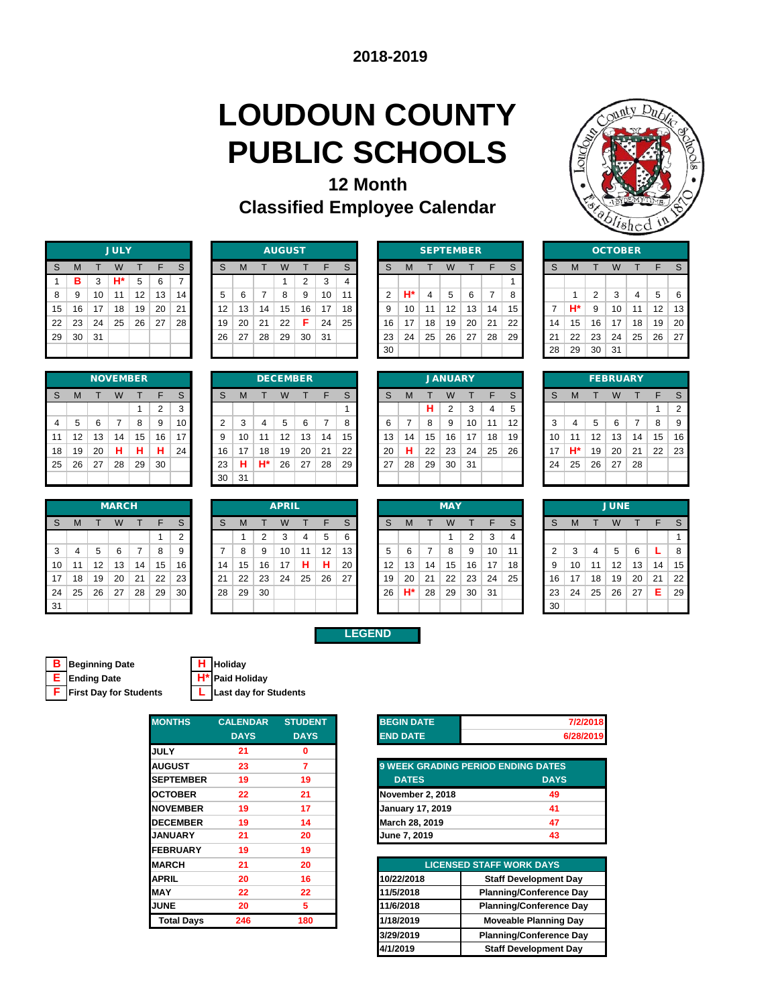# **LOUDOUN COUNTY PUBLIC SCHOOLS**



| <b>12 Month</b>                     |  |
|-------------------------------------|--|
| <b>Classified Employee Calendar</b> |  |

|    |    |    | <b>JULY</b> |    |    |    |
|----|----|----|-------------|----|----|----|
| S  | M  | т  | W           | т  | F  | S  |
| 1  | в  | 3  | H*          | 5  | 6  | 7  |
| 8  | 9  | 10 | 11          | 12 | 13 | 14 |
| 15 | 16 | 17 | 18          | 19 | 20 | 21 |
| 22 | 23 | 24 | 25          | 26 | 27 | 28 |
| 29 | 30 | 31 |             |    |    |    |
|    |    |    |             |    |    |    |

|    |    |    | <b>NOVEMBER</b> |    |                |              |
|----|----|----|-----------------|----|----------------|--------------|
| S  | M  |    | W               |    | F              | $\mathsf{s}$ |
|    |    |    |                 |    | $\overline{2}$ | 3            |
| 4  | 5  | 6  | 7               | 8  | 9              | 10           |
| 11 | 12 | 13 | 14              | 15 | 16             | 17           |
| 18 | 19 | 20 | н               | н  | н              | 24           |
| 25 | 26 | 27 | 28              | 29 | 30             |              |
|    |    |    |                 |    |                |              |

|    |          |    | <b>MARCH</b> |    |    |        |    |    |    | <b>APRIL</b> |    |    |    |    |    |    | <b>MAY</b> |    |    |    |
|----|----------|----|--------------|----|----|--------|----|----|----|--------------|----|----|----|----|----|----|------------|----|----|----|
| S  | M        |    | W            |    | F  | S      | S  | м  |    | W            |    | E  | S  | s  | M  |    | W          |    |    | S  |
|    |          |    |              |    |    | っ<br>ے |    |    | ◠  | ີ            | 4  | 5  | 6  |    |    |    |            | 2  | 3  | 4  |
| 3  | 4        | 5  | 6            |    | 8  | 9      |    | 8  | 9  | 10           | 11 | 12 | 13 | 5  | 6  |    | 8          | 9  | 10 | 11 |
| 10 | -1<br>-1 | 12 | 3            | 14 | 15 | 16     | 14 | 15 | 16 | 17           | н  | н  | 20 | 12 | 13 | 14 | 15         | 16 | 17 | 18 |
| 17 | 18       | 19 | 20           | 21 | 22 | 23     | 21 | 22 | 23 | 24           | 25 | 26 | 27 | 19 | 20 | 21 | 22         | 23 | 24 | 25 |
| 24 | 25       | 26 | 27           | 28 | 29 | 30     | 28 | 29 | 30 |              |    |    |    | 26 | H* | 28 | 29         | 30 | 31 |    |
| 31 |          |    |              |    |    |        |    |    |    |              |    |    |    |    |    |    |            |    |    |    |

|    |    |    | <b>JULY</b> |    |    |    |    |    |    | <b>AUGUST</b> |    |    |    |    |    | <b>SEPTEMBER</b> |    |    |    |    |    |    |    | <b>OCTOBER</b> |    |                   |    |
|----|----|----|-------------|----|----|----|----|----|----|---------------|----|----|----|----|----|------------------|----|----|----|----|----|----|----|----------------|----|-------------------|----|
| S  | м  |    | W           |    |    | S  | S  | м  |    | W             |    | ᄃ  | C  |    | м  |                  |    |    |    | S  | S  | M  |    |                |    |                   |    |
|    | в  | 3  | H*          | 5  | 6  |    |    |    |    |               | ົ  | 3  | 4  |    |    |                  |    |    |    |    |    |    |    |                |    |                   |    |
| 8  | 9  | 10 | 11          | 12 | 13 | 14 | 5  | 6  |    | 8             | 9  | 10 | 11 |    | Н۴ | 4                | 5  | 6  |    | 8  |    |    | ◠  | 3              | 4  | 5                 | 6  |
| 15 | 16 | 17 | 18          | 19 | 20 | 21 | 12 | 13 | 14 | 15            | 16 | 17 | 18 |    | 10 | 11               | 12 | 13 | 14 | 15 |    | H* | 9  | 10             | 11 | $12 \overline{ }$ | 13 |
| 22 | 23 | 24 | 25          | 26 | 27 | 28 | 19 | 20 | 21 | 22            | Е  | 24 | 25 | 16 | 17 | 18               | 19 | 20 | 21 | 22 | 14 | 15 | 16 | 17             | 18 | 19                | 20 |
| 29 | 30 | 31 |             |    |    |    | 26 | 27 | 28 | 29            | 30 | 31 |    | 23 | 24 | 25               | 26 | 27 | 28 | 29 | 21 | 22 | 23 | 24             | 25 | 26                | 27 |
|    |    |    |             |    |    |    |    |    |    |               |    |    |    | 30 |    |                  |    |    |    |    | 28 | 29 | 30 | 31             |    |                   |    |

|                |    | <b>SEPTEMBER</b> |    |    |    |    |    |    | OCTO |    |
|----------------|----|------------------|----|----|----|----|----|----|------|----|
| S              | M  |                  | W  |    | F  | S  | S  | M  |      | W  |
|                |    |                  |    |    |    | 1  |    |    |      |    |
| $\overline{2}$ | H* | 4                | 5  | 6  | 7  | 8  |    | 1  | 2    | 3  |
| 9              | 10 | 11               | 12 | 13 | 14 | 15 |    | H* | 9    | 10 |
| 16             | 17 | 18               | 19 | 20 | 21 | 22 | 14 | 15 | 16   | 17 |
| 23             | 24 | 25               | 26 | 27 | 28 | 29 | 21 | 22 | 23   | 24 |
| 30             |    |                  |    |    |    |    | 28 | 29 | 30   | 31 |
|                |    |                  |    |    |    |    |    |    |      |    |

|    |    |    | <b>OCTOBER</b> |    |    |    |
|----|----|----|----------------|----|----|----|
| S  | M  | т  | W              | т  | F  | S  |
|    |    |    |                |    |    |    |
|    | 1  | 2  | 3              | 4  | 5  | 6  |
| 7  | H* | 9  | 10             | 11 | 12 | 13 |
| 14 | 15 | 16 | 17             | 18 | 19 | 20 |
| 21 | 22 | 23 | 24             | 25 | 26 | 27 |
| 28 | 29 | 30 | 31             |    |    |    |

|                |    |    |    | <b>NOVEMBER</b> |          |    |    |    |    | <b>DECEMBER</b> |    |    |    |    |    |    | <b>JANUARY</b> |    |    |    |        |    |    | <b>FEBRUARY</b> |    |    |                |
|----------------|----|----|----|-----------------|----------|----|----|----|----|-----------------|----|----|----|----|----|----|----------------|----|----|----|--------|----|----|-----------------|----|----|----------------|
| S              | M  |    | W  |                 | Е        | S  | S  | м  |    | W               |    | ᄃ  | C  |    | M  |    | W              |    |    | S  | S      | M  |    |                 |    |    |                |
|                |    |    |    |                 | $\Omega$ | 3  |    |    |    |                 |    |    |    |    |    | н  | 2              | 3  | 4  | 5  |        |    |    |                 |    |    | $\overline{2}$ |
| $\overline{4}$ | 5  | 6  |    | 8               | 9        | 10 | ◠  | 3  | 4  | 5               | 6  |    |    |    |    | 8  | 9              | 10 | 11 | 12 | ົ<br>ъ | 4  | 5  | 6               |    | 8  | 9              |
| 11             | 12 | 13 | 14 | 15              | 16       | 17 | 9  | 10 | 11 | 12              | 13 | 14 | 15 | 13 | 14 | 15 | 16             | 17 | 18 | 19 | 10     | 11 | 12 | 13              | 14 | 15 | 16             |
| 18             | 19 | 20 | н  | н               | н        | 24 | 16 | 17 | 18 | 19              | 20 | 21 | 22 | 20 | н  | 22 | 23             | 24 | 25 | 26 | 17     | H* | 19 | 20              | 21 | 22 | 23             |
| 25             | 26 | 27 | 28 | 29              | 30       |    | 23 | н  | H* | 26              | 27 | 28 | 29 | 27 | 28 | 29 | 30             | 31 |    |    | 24     | 25 | 26 | 27              | 28 |    |                |
|                |    |    |    |                 |          |    | 30 | 31 |    |                 |    |    |    |    |    |    |                |    |    |    |        |    |    |                 |    |    |                |

|    |    |    | <b>JANUARY</b> |    |    |    |
|----|----|----|----------------|----|----|----|
| S  | M  | т  | W              | т  | F  | S  |
|    |    | н  | $\overline{2}$ | 3  | 4  | 5  |
| 6  | 7  | 8  | 9              | 10 | 11 | 12 |
| 13 | 14 | 15 | 16             | 17 | 18 | 1S |
| 20 | н  | 22 | 23             | 24 | 25 | 26 |
| 27 | 28 | 29 | 30             | 31 |    |    |
|    |    |    |                |    |    |    |

|    |    |    | <b>FEBRUARY</b> |    |    |                |
|----|----|----|-----------------|----|----|----------------|
| S  | M  |    | W               | т  | F  | S              |
|    |    |    |                 |    | 1  | $\overline{2}$ |
| 3  | 4  | 5  | 6               | 7  | 8  | 9              |
| 10 | 11 | 12 | 13              | 14 | 15 | 16             |
| 17 | H* | 19 | 20              | 21 | 22 | 23             |
| 24 | 25 | 26 | 27              | 28 |    |                |
|    |    |    |                 |    |    |                |

|    |    |    | <b>MARCH</b> |    |    |    |    |    |    | <b>APRIL</b> |    |    |    |                   |    |    | <b>MAY</b> |    |     |    |    |    |    | <b>JUNE</b>       |    |    |    |
|----|----|----|--------------|----|----|----|----|----|----|--------------|----|----|----|-------------------|----|----|------------|----|-----|----|----|----|----|-------------------|----|----|----|
| S  | M  |    | W            |    | F  | S  | S  | м  |    | W            |    | F  | S. | S                 | M  |    | W          |    |     | S  | S  | M  |    |                   |    |    |    |
|    |    |    |              |    |    | ◠  |    |    | 2  | 3            | 4  | 5  | 6  |                   |    |    |            | っ  | 3   | 4  |    |    |    |                   |    |    |    |
| 3  | 4  | 5  | 6            | 7  | 8  | 9  |    | 8  | 9  | 10           | 11 | 12 | 13 |                   | 6  |    | 8          | 9  | 10  | 11 |    | 3  | 4  | 5                 | 6  |    | 8  |
| 10 | 11 | 12 | 13           | 14 | 15 | 16 | 14 | 15 | 16 | 17           | н  | н  | 20 | $12 \overline{ }$ | 13 | 14 | 15         | 16 | 17  | 18 | 9  | 10 | 11 | $12 \overline{ }$ | 13 | 14 | 15 |
| 17 | 18 | 19 | 20           | 21 | 22 | 23 | 21 | 22 | 23 | 24           | 25 | 26 | 27 | 19                | 20 | 21 | 22         | 23 | 24  | 25 | 16 | 17 | 18 | 19                | 20 | 21 | 22 |
| 24 | 25 | 26 | 27           | 28 | 29 | 30 | 28 | 29 | 30 |              |    |    |    | 26                | H* | 28 | 29         | 30 | -31 |    | 23 | 24 | 25 | 26                | 27 | Е  | 29 |
| 31 |    |    |              |    |    |    |    |    |    |              |    |    |    |                   |    |    |            |    |     |    | 30 |    |    |                   |    |    |    |

|    |    |    | <b>MAY</b> |                |    |  |
|----|----|----|------------|----------------|----|--|
| S  | M  | т  | W          | т              | F  |  |
|    |    |    | 1          | $\overline{2}$ | 3  |  |
| 5  | 6  | 7  | 8          | 9              | 10 |  |
| 12 | 13 | 14 | 15         | 16             | 17 |  |
| 19 | 20 | 21 | 22         | 23             | 24 |  |
| 26 | H* | 28 | 29         | 30             | 31 |  |
|    |    |    |            |                |    |  |

|                |    |    | <b>JUNE</b> |    |    |    |
|----------------|----|----|-------------|----|----|----|
| S              | M  | т  | W           | т  | F  | S  |
|                |    |    |             |    |    | 1  |
| $\overline{2}$ | 3  | 4  | 5           | 6  | L  | 8  |
| 9              | 10 | 11 | 12          | 13 | 14 | 15 |
| 16             | 17 | 18 | 19          | 20 | 21 | 22 |
| 23             | 24 | 25 | 26          | 27 | E  | 29 |
| 30             |    |    |             |    |    |    |

**LEGEND**

| <b>B</b> Beginning Date         |  |
|---------------------------------|--|
| <b>E</b> Ending Date            |  |
| <b>F</b> First Day for Students |  |

**B Beginning Date H Holiday E** Paid Holiday<br>**L** Last day for Students

| <b>MONTHS</b>     | <b>CALENDAR</b> | <b>STUDENT</b> |
|-------------------|-----------------|----------------|
|                   | <b>DAYS</b>     | <b>DAYS</b>    |
| <b>JULY</b>       | 21              | 0              |
| <b>AUGUST</b>     | 23              | 7              |
| <b>SEPTEMBER</b>  | 19              | 19             |
| <b>OCTOBER</b>    | 22              | 21             |
| <b>NOVEMBER</b>   | 19              | 17             |
| <b>DECEMBER</b>   | 19              | 14             |
| <b>JANUARY</b>    | 21              | 20             |
| <b>FEBRUARY</b>   | 19              | 19             |
| <b>MARCH</b>      | 21              | 20             |
| <b>APRIL</b>      | 20              | 16             |
| <b>MAY</b>        | 22              | 22             |
| <b>JUNE</b>       | 20              | 5              |
| <b>Total Days</b> | 246             | 180            |
|                   |                 |                |

| <b>BEGIN DATE</b> | 7/2/2018                                  |
|-------------------|-------------------------------------------|
| <b>END DATE</b>   | 6/28/2019                                 |
|                   |                                           |
|                   | <b>9 WEEK GRADING PERIOD ENDING DATES</b> |
| <b>DATES</b>      | <b>DAYS</b>                               |
| November 2, 2018  | 49                                        |

| <b>November 2, 2018</b> | 49 |
|-------------------------|----|
| <b>January 17, 2019</b> | 41 |
| March 28, 2019          | 47 |
| June 7, 2019            | 43 |
|                         |    |

| <b>ARCH</b> | 21  | 20  |            | <b>LICENSED STAFF WORK DAYS</b> |
|-------------|-----|-----|------------|---------------------------------|
| PRIL        | 20  | 16  | 10/22/2018 | <b>Staff Development Day</b>    |
| AY          | 22  | 22  | 11/5/2018  | <b>Planning/Conference Day</b>  |
| JNE         | 20  | 5   | 11/6/2018  | <b>Planning/Conference Day</b>  |
| Total Days  | 246 | 180 | 1/18/2019  | <b>Moveable Planning Day</b>    |
|             |     |     | 3/29/2019  | <b>Planning/Conference Day</b>  |
|             |     |     | 4/1/2019   | <b>Staff Development Day</b>    |